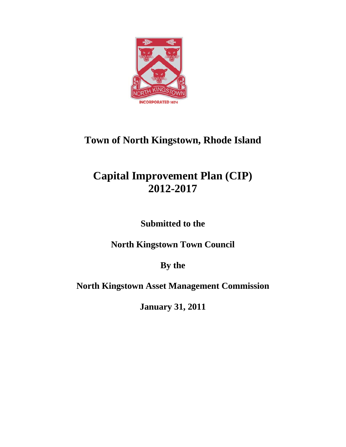

## **Town of North Kingstown, Rhode Island**

# **Capital Improvement Plan (CIP) 2012-2017**

**Submitted to the** 

**North Kingstown Town Council** 

**By the** 

**North Kingstown Asset Management Commission** 

**January 31, 2011**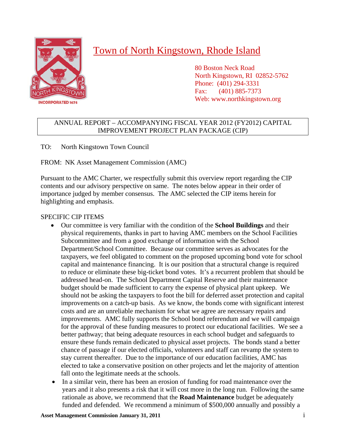

### Town of North Kingstown, Rhode Island

 80 Boston Neck Road North Kingstown, RI 02852-5762 Phone: (401) 294-3331 Fax: (401) 885-7373 Web: www.northkingstown.org

### ANNUAL REPORT – ACCOMPANYING FISCAL YEAR 2012 (FY2012) CAPITAL IMPROVEMENT PROJECT PLAN PACKAGE (CIP)

TO: North Kingstown Town Council

FROM: NK Asset Management Commission (AMC)

Pursuant to the AMC Charter, we respectfully submit this overview report regarding the CIP contents and our advisory perspective on same. The notes below appear in their order of importance judged by member consensus. The AMC selected the CIP items herein for highlighting and emphasis.

### SPECIFIC CIP ITEMS

- Our committee is very familiar with the condition of the **School Buildings** and their physical requirements, thanks in part to having AMC members on the School Facilities Subcommittee and from a good exchange of information with the School Department/School Committee. Because our committee serves as advocates for the taxpayers, we feel obligated to comment on the proposed upcoming bond vote for school capital and maintenance financing. It is our position that a structural change is required to reduce or eliminate these big-ticket bond votes. It's a recurrent problem that should be addressed head-on. The School Department Capital Reserve and their maintenance budget should be made sufficient to carry the expense of physical plant upkeep. We should not be asking the taxpayers to foot the bill for deferred asset protection and capital improvements on a catch-up basis. As we know, the bonds come with significant interest costs and are an unreliable mechanism for what we agree are necessary repairs and improvements. AMC fully supports the School bond referendum and we will campaign for the approval of these funding measures to protect our educational facilities. We see a better pathway; that being adequate resources in each school budget and safeguards to ensure these funds remain dedicated to physical asset projects. The bonds stand a better chance of passage if our elected officials, volunteers and staff can revamp the system to stay current thereafter. Due to the importance of our education facilities, AMC has elected to take a conservative position on other projects and let the majority of attention fall onto the legitimate needs at the schools.
- In a similar vein, there has been an erosion of funding for road maintenance over the years and it also presents a risk that it will cost more in the long run. Following the same rationale as above, we recommend that the **Road Maintenance** budget be adequately funded and defended. We recommend a minimum of \$500,000 annually and possibly a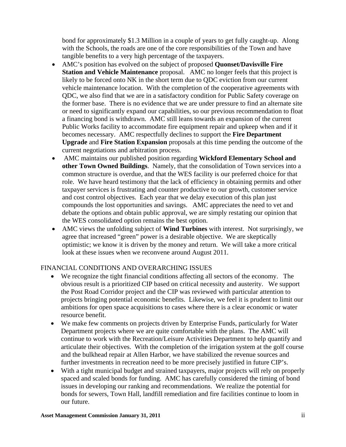bond for approximately \$1.3 Million in a couple of years to get fully caught-up. Along with the Schools, the roads are one of the core responsibilities of the Town and have tangible benefits to a very high percentage of the taxpayers.

- AMC's position has evolved on the subject of proposed **Quonset/Davisville Fire Station and Vehicle Maintenance** proposal. AMC no longer feels that this project is likely to be forced onto NK in the short term due to QDC eviction from our current vehicle maintenance location. With the completion of the cooperative agreements with QDC, we also find that we are in a satisfactory condition for Public Safety coverage on the former base. There is no evidence that we are under pressure to find an alternate site or need to significantly expand our capabilities, so our previous recommendation to float a financing bond is withdrawn. AMC still leans towards an expansion of the current Public Works facility to accommodate fire equipment repair and upkeep when and if it becomes necessary. AMC respectfully declines to support the **Fire Department Upgrade** and **Fire Station Expansion** proposals at this time pending the outcome of the current negotiations and arbitration process.
- AMC maintains our published position regarding **Wickford Elementary School and other Town Owned Buildings**. Namely, that the consolidation of Town services into a common structure is overdue, and that the WES facility is our preferred choice for that role. We have heard testimony that the lack of efficiency in obtaining permits and other taxpayer services is frustrating and counter productive to our growth, customer service and cost control objectives. Each year that we delay execution of this plan just compounds the lost opportunities and savings. AMC appreciates the need to vet and debate the options and obtain public approval, we are simply restating our opinion that the WES consolidated option remains the best option.
- AMC views the unfolding subject of **Wind Turbines** with interest. Not surprisingly, we agree that increased "green" power is a desirable objective. We are skeptically optimistic; we know it is driven by the money and return. We will take a more critical look at these issues when we reconvene around August 2011.

#### FINANCIAL CONDITIONS AND OVERARCHING ISSUES

- We recognize the tight financial conditions affecting all sectors of the economy. The obvious result is a prioritized CIP based on critical necessity and austerity. We support the Post Road Corridor project and the CIP was reviewed with particular attention to projects bringing potential economic benefits. Likewise, we feel it is prudent to limit our ambitions for open space acquisitions to cases where there is a clear economic or water resource benefit.
- We make few comments on projects driven by Enterprise Funds, particularly for Water Department projects where we are quite comfortable with the plans. The AMC will continue to work with the Recreation/Leisure Activities Department to help quantify and articulate their objectives. With the completion of the irrigation system at the golf course and the bulkhead repair at Allen Harbor, we have stabilized the revenue sources and further investments in recreation need to be more precisely justified in future CIP's.
- With a tight municipal budget and strained taxpayers, major projects will rely on properly spaced and scaled bonds for funding. AMC has carefully considered the timing of bond issues in developing our ranking and recommendations. We realize the potential for bonds for sewers, Town Hall, landfill remediation and fire facilities continue to loom in our future.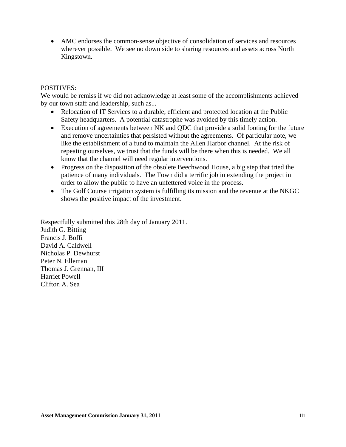• AMC endorses the common-sense objective of consolidation of services and resources wherever possible. We see no down side to sharing resources and assets across North Kingstown.

#### POSITIVES:

We would be remiss if we did not acknowledge at least some of the accomplishments achieved by our town staff and leadership, such as...

- Relocation of IT Services to a durable, efficient and protected location at the Public Safety headquarters. A potential catastrophe was avoided by this timely action.
- Execution of agreements between NK and QDC that provide a solid footing for the future and remove uncertainties that persisted without the agreements. Of particular note, we like the establishment of a fund to maintain the Allen Harbor channel. At the risk of repeating ourselves, we trust that the funds will be there when this is needed. We all know that the channel will need regular interventions.
- Progress on the disposition of the obsolete Beechwood House, a big step that tried the patience of many individuals. The Town did a terrific job in extending the project in order to allow the public to have an unfettered voice in the process.
- The Golf Course irrigation system is fulfilling its mission and the revenue at the NKGC shows the positive impact of the investment.

Respectfully submitted this 28th day of January 2011. Judith G. Bitting Francis J. Boffi David A. Caldwell Nicholas P. Dewhurst Peter N. Elleman Thomas J. Grennan, III Harriet Powell Clifton A. Sea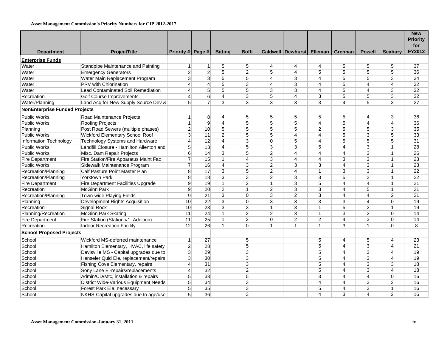#### **Asset Management Commission's Priority Numbers for CIP 2012-2017**

|                                      |                                              |                   |                 |                |                         |                |                   |                |                         |                |                | <b>New</b><br><b>Priority</b> |
|--------------------------------------|----------------------------------------------|-------------------|-----------------|----------------|-------------------------|----------------|-------------------|----------------|-------------------------|----------------|----------------|-------------------------------|
|                                      |                                              |                   |                 |                |                         |                |                   |                |                         |                |                | for                           |
| <b>Department</b>                    | ProjectTitle                                 | Priority # Page # |                 | <b>Bitting</b> | <b>Boffi</b>            |                | Caldwell Dewhurst | Elleman        | Grennan                 | <b>Powell</b>  | <b>Seabury</b> | FY2012                        |
| <b>Enterprise Funds</b>              |                                              |                   |                 |                |                         |                |                   |                |                         |                |                |                               |
| Water                                | Standpipe Maintenance and Painting           | $\vert$           | $\vert$         | 5              | 5                       | 4              | 4                 | 4              | 5                       | 5              | 5              | 37                            |
| Water                                | <b>Emergency Generators</b>                  | $\mathbf{2}$      | $\mathbf{2}$    | $\overline{5}$ | $\overline{2}$          | 5              | $\overline{4}$    | 5              | 5                       | 5              | 5              | 36                            |
| Water                                | Water Main Replacement Program               | $\overline{3}$    | $3\vert$        | 5              | 5                       | 4              | 3                 | 4              | 5                       | 5              | 3              | 34                            |
| Water                                | PRV with Chlorination                        | $\vert 4 \vert$   | $\vert 4 \vert$ | $\overline{5}$ | 3                       | 4              | 3                 | 4              | 5                       | $\overline{4}$ | $\overline{4}$ | 32                            |
| Water                                | Lead Contaminated Soil Remediation           | $\vert$           | 5 <sup>1</sup>  | 5              | $\overline{5}$          | 3              | 3                 | 4              | 5                       | $\overline{4}$ | 3              | 32                            |
| Recreation                           | <b>Golf Course Improvements</b>              | $\mathbf{4}$      | $6 \mid$        | $\overline{4}$ | 3                       | 5              | $\overline{4}$    | 3              | 5                       | 5              | 3              | 32                            |
| Water/Planning                       | Land Acq for New Supply Source Dev &         | 5 <sup>1</sup>    | $\overline{7}$  | 3              | 3                       | 3              | 3                 | 3              | 4                       | 5              | 3              | 27                            |
| <b>NonEnterprise Funded Projects</b> |                                              |                   |                 |                |                         |                |                   |                |                         |                |                |                               |
| <b>Public Works</b>                  | Road Maintenance Projects                    | $\vert$ 1         | 8 <sup>°</sup>  | $\overline{4}$ | 5                       | 5              | 5                 | 5              | 5                       | $\overline{4}$ | 3              | 36                            |
| Public Works                         | Roofing Projects                             | 1                 | $\vert 9 \vert$ | $\overline{4}$ | 5                       | 5              | 5                 | 4              | 5                       | $\overline{4}$ | $\overline{4}$ | 36                            |
| Planning                             | Post Road Sewers (multiple phases)           | $\overline{2}$    | 10 <sup>1</sup> | $\overline{5}$ | 5                       | 5              | $\overline{5}$    | $\overline{2}$ | $\overline{5}$          | $\overline{5}$ | $\overline{3}$ | 35                            |
| Public Works                         | Wickford Elementary School Roof              | $\overline{3}$    | 11              | 2              | 5                       | 5              | $\overline{4}$    | 4              | 5                       | 3              | 5              | 33                            |
| Information Technology               | <b>Technology Systems and Hardware</b>       | $\mathbf{4}$      | 12              | $\overline{4}$ | 3                       | 0              | 5                 | 4              | 5                       | 5              | 5              | 31                            |
| Public Works                         | Landfill Closure - Hamilton Allenton and     | $\overline{5}$    | 13              | $\overline{4}$ | 5                       | 3              | 3                 | 5              | $\overline{4}$          | 3              | $\mathbf{1}$   | 28                            |
| <b>Public Works</b>                  | Misc. Dam Repair Projects                    | $6 \mid$          | 14              | 3              | 5                       | $\overline{2}$ | $\overline{4}$    | 4              | 4                       | 3              | $\mathbf{1}$   | 26                            |
| <b>Fire Department</b>               | Fire Station/Fire Apparatus Maint Fac        | $\overline{7}$    | 15              | $\mathbf{1}$   | 4                       | 3              | $\overline{4}$    | 4              | 3                       | 3              | $\mathbf{1}$   | 23                            |
| Public Works                         | Sidewalk Maintenance Program                 | $\overline{7}$    | 16              | $\overline{4}$ | 3                       | $\overline{2}$ | 3                 | 3              | 4                       | 3              | $\mathbf{1}$   | 23                            |
| Recreation/Planning                  | Calf Pasture Point Master Plan               | 8 <sup>1</sup>    | 17              | 3              | 5                       | $\overline{2}$ | $\overline{4}$    | $\mathbf{1}$   | 3                       | 3              | $\mathbf{1}$   | 22                            |
| Recreation/Planning                  | Yorktown Park                                | $\mathbf{8}$      | 18              | 3              | 3                       | $\overline{2}$ | 3                 | 3              | 5                       | $\overline{2}$ | $\mathbf{1}$   | $\overline{22}$               |
| Fire Department                      | <b>Fire Department Facilities Upgrade</b>    | 9                 | 19              | $\mathbf{1}$   | $\overline{c}$          | $\mathbf{1}$   | 3                 | 5              | $\overline{4}$          | $\overline{4}$ | $\mathbf{1}$   | 21                            |
| Recreation                           | <b>McGinn Park</b>                           | 9 <sup>1</sup>    | 20              | $\overline{2}$ | $\mathbf{1}$            | $\overline{2}$ | 3                 | 3              | $\overline{\mathbf{A}}$ | 5              | $\mathbf{1}$   | 21                            |
| Recreation/Planning                  | Town-wide Playing Fields                     | $\overline{9}$    | 21              | 3              | 0                       | 3              | $\overline{2}$    | 3              | 4                       | $\overline{4}$ | $\overline{c}$ | 21                            |
| Planning                             | Development Rights Acquisition               | 10                | 22              | 3              | $\Omega$                | 3              | 3                 | 3              | 3                       | $\overline{4}$ | 0              | 19                            |
| Recreation                           | Signal Rock                                  | 10 <sup>1</sup>   | 23              | $\overline{3}$ | $\overline{3}$          | $\overline{1}$ | $\overline{3}$    | $\mathbf{1}$   | 5                       | $\overline{2}$ | $\mathbf{1}$   | 19                            |
| Planning/Recreation                  | <b>McGinn Park Skating</b>                   | 11                | 24              | $\mathbf{1}$   | $\overline{c}$          | 2              | 3                 | 1              | 3                       | $\overline{2}$ | 0              | 14                            |
| Fire Department                      | Fire Station (Station #1, Addition)          | 11                | 25              | $\mathbf{1}$   | $\overline{c}$          | 0              | $\overline{2}$    | $\overline{2}$ | 4                       | 3              | 0              | 14                            |
| Recreation                           | Indoor Recreation Facility                   | 12                | 26              | $\mathbf{1}$   | $\Omega$                | $\mathbf{1}$   | $\mathbf{1}$      | $\overline{1}$ | 3                       | $\overline{1}$ | $\Omega$       | 8                             |
| <b>School Proposed Projects</b>      |                                              |                   |                 |                |                         |                |                   |                |                         |                |                |                               |
| School                               | Wickford MS-deferred maintenance             | 1                 | 27              |                | 5                       |                |                   | 5              | 4                       | 5              | $\overline{4}$ | 23                            |
| School                               | Hamilton Elementary, HVAC, life safety       | $\overline{2}$    | 28              |                | 5                       |                |                   | 5              | 4                       | $\sqrt{3}$     | $\overline{4}$ | 21                            |
| School                               | Davisville MS - Capital upgrades due to      | $\overline{3}$    | 29              |                | 3                       |                |                   | 5              | 4                       | 3              | $\overline{4}$ | 19                            |
| School                               | Henseler Quid Ele, replacement/repairs       | 3 <sup>1</sup>    | 30 <sup>°</sup> |                | 3                       |                |                   | 5              | 4                       | $\sqrt{3}$     | $\overline{4}$ | 19                            |
| School                               | Fishing Cove Elementary, repairs             | $\mathbf{4}$      | 31              |                | 3                       |                |                   | 5              | 4                       | 3              | 3              | 18                            |
| School                               | Sony Lane El-repairs/replacements            | $\vert$           | 32              |                | $\overline{\mathbf{c}}$ |                |                   | 5              | 4                       | 3              | $\overline{4}$ | 18                            |
| School                               | Admin/CD/Mtc, installation & repairs         | $\overline{5}$    | 33              |                | 5                       |                |                   | 3              | 4                       | $\overline{4}$ | $\mathbf 0$    | 16                            |
| School                               | <b>District Wide-Various Equipment Needs</b> | 5 <sup>5</sup>    | 34              |                | 3                       |                |                   | 4              | 4                       | 3              | $\overline{2}$ | 16                            |
| School                               | Forest Park Ele, necessary                   | 5 <sup>1</sup>    | 35              |                | 3                       |                |                   | 5              | 4                       | 3              | $\mathbf{1}$   | 16                            |
| School                               | NKHS-Capital upgrades due to age/use         | 5 <sup>1</sup>    | 36              |                | 3                       |                |                   | 4              | 3                       | $\overline{4}$ | 2              | 16                            |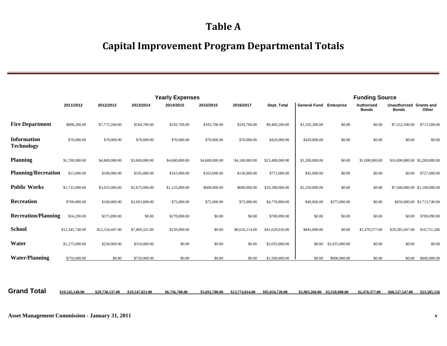### **Table A**

### **Capital Improvement Program Departmental Totals**

|                                         |                 |                 |                | <b>Yearly Expenses</b> |                |                |                 |                                |                | <b>Funding Source</b>      |                                         |                               |
|-----------------------------------------|-----------------|-----------------|----------------|------------------------|----------------|----------------|-----------------|--------------------------------|----------------|----------------------------|-----------------------------------------|-------------------------------|
|                                         | 2011/2012       | 2012/2013       | 2013/2014      | 2014/2015              | 2015/2015      | 2016/2017      | Dept. Total     | <b>General Fund Enterprise</b> |                | Authorized<br><b>Bonds</b> | Unauthorized Grants and<br><b>Bonds</b> | Other                         |
| <b>Fire Department</b>                  | \$898,200.00    | \$7,775,200.00  | \$184,700.00   | \$183,700.00           | \$183,700.00   | \$183,700.00   | \$9,409,200.00  | \$1,105,200.00                 | \$0.00         | \$0.00                     | \$7,552,500.00                          | \$713,500.00                  |
| <b>Information</b><br><b>Technology</b> | \$70,000.00     | \$70,000.00     | \$70,000.00    | \$70,000.00            | \$70,000.00    | \$70,000.00    | \$420,000.00    | \$420,000.00                   | \$0.00         | \$0.00                     | \$0.00                                  | \$0.00                        |
| <b>Planning</b>                         | \$1,700,000.00  | \$4,800,000.00  | \$3,600,000.00 | \$4,600,000.00         | \$4,600,000.00 | \$4,100,000.00 | \$23,400,000.00 | \$1,200,000.00                 | \$0.00         | \$1,000,000.00             | \$16,000,000.00 \$5,200,000.00          |                               |
| <b>Planning/Recreation</b>              | \$15,000.00     | \$100,000.00    | \$195,000.00   | \$163,000.00           | \$163,000.00   | \$136,000.00   | \$772,000.00    | \$45,000.00                    | \$0.00         | \$0.00                     | \$0.00                                  | \$727,000.00                  |
| <b>Public Works</b>                     | \$1,735,000.00  | \$3,655,000.00  | \$2,675,000.00 | \$1,125,000.00         | \$600,000.00   | \$600,000.00   | \$10,390,000.00 | \$2,250,000.00                 | \$0.00         | \$0.00                     |                                         | \$7,040,000.00 \$1,100,000.00 |
| Recreation                              | \$700,000.00    | \$160,000.00    | \$3,693,800.00 | \$75,000.00            | \$75,000.00    | \$75,000.00    | \$4,778,800.00  | \$40,060.00                    | \$375,000.00   | \$0.00                     |                                         | \$650,000.00 \$3,713,740.00   |
| <b>Recreation/Planning</b>              | \$56,200.00     | \$373,890.00    | \$0.00         | \$270,000.00           | \$0.00         | \$0.00         | \$700,090.00    | \$0.00                         | \$0.00         | \$0.00                     | \$0.00                                  | \$700,090.00                  |
| <b>School</b>                           | \$12,345,748.00 | \$12,554,447.00 | \$7,869,321.00 | \$250,000.00           | \$0.00         | \$8,610,114.00 | \$41,629,630.00 | \$843,000.00                   | \$0.00         | \$1,470,377.00             | \$29,285,047.00                         | \$10,751,206                  |
| Water                                   | \$1,275,000.00  | \$250,000.00    | \$510,000.00   | \$0.00                 | \$0.00         | \$0.00         | \$2,035,000.00  | \$0.00                         | \$2,035,000.00 | \$0.00                     | \$0.00                                  | \$0.00                        |
| <b>Water/Planning</b>                   | \$750,000.00    | \$0.00          | \$750,000.00   | \$0.00                 | \$0.00         | \$0.00         | \$1,500,000.00  | \$0.00                         | \$900,000.00   | \$0.00                     | \$0.00                                  | \$600,000.00                  |

Grand Total \$19,545,148.00 \$29,738,537.00 \$19,547,821.00 \$6,736,700.00 \$5,691,700.00 \$13,774,814.00 \$95,034,720.00 \$5,903,260.00 \$3,310,000.00 \$2,470,377.00 \$60,527,547.00 \$23,505,536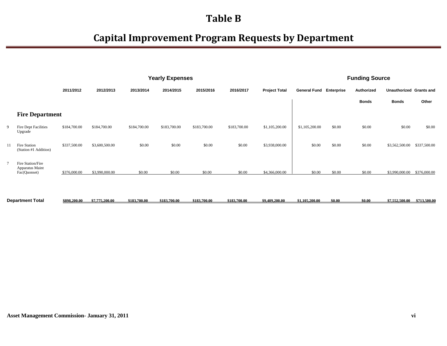|                |                                                      |              |                |              | <b>Yearly Expenses</b> |              |              |                      | <b>Funding Source</b>          |        |              |                         |              |
|----------------|------------------------------------------------------|--------------|----------------|--------------|------------------------|--------------|--------------|----------------------|--------------------------------|--------|--------------|-------------------------|--------------|
|                |                                                      | 2011/2012    | 2012/2013      | 2013/2014    | 2014/2015              | 2015/2016    | 2016/2017    | <b>Project Total</b> | <b>General Fund Enterprise</b> |        | Authorized   | Unauthorized Grants and |              |
|                |                                                      |              |                |              |                        |              |              |                      |                                |        | <b>Bonds</b> | <b>Bonds</b>            | Other        |
|                | <b>Fire Department</b>                               |              |                |              |                        |              |              |                      |                                |        |              |                         |              |
| 9              | Fire Dept Facilities<br>Upgrade                      | \$184,700.00 | \$184,700.00   | \$184,700.00 | \$183,700.00           | \$183,700.00 | \$183,700.00 | \$1,105,200.00       | \$1,105,200.00                 | \$0.00 | \$0.00       | \$0.00                  | \$0.00       |
| 11             | Fire Station<br>(Station #1 Addition)                | \$337,500.00 | \$3,600,500.00 | \$0.00       | \$0.00                 | \$0.00       | \$0.00       | \$3,938,000.00       | \$0.00                         | \$0.00 | \$0.00       | \$3,562,500.00          | \$337,500.00 |
| $\overline{7}$ | Fire Station/Fire<br>Apparatus Maint<br>Fac(Quonset) | \$376,000.00 | \$3,990,000.00 | \$0.00       | \$0.00                 | \$0.00       | \$0.00       | \$4,366,000.00       | \$0.00                         | \$0.00 | \$0.00       | \$3,990,000.00          | \$376,000.00 |
|                |                                                      |              |                |              |                        |              |              |                      |                                |        |              |                         |              |

|  | Department Total | \$898,200.00 | \$7,775,200.00 | \$183.700.00 | \$183,700.00 | \$183,700.00 | \$183.700.00 | \$9,409,200.00 | \$1,105,200,00 | \$0.00 | \$0.00 | \$7,552,500.00 | \$713,500.00 |
|--|------------------|--------------|----------------|--------------|--------------|--------------|--------------|----------------|----------------|--------|--------|----------------|--------------|
|--|------------------|--------------|----------------|--------------|--------------|--------------|--------------|----------------|----------------|--------|--------|----------------|--------------|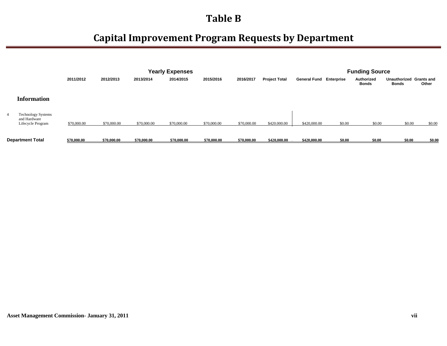|                                                                |             |             | <b>Yearly Expenses</b> |             |             |             | <b>Funding Source</b> |                                |        |                     |                       |                            |
|----------------------------------------------------------------|-------------|-------------|------------------------|-------------|-------------|-------------|-----------------------|--------------------------------|--------|---------------------|-----------------------|----------------------------|
|                                                                | 2011/2012   | 2012/2013   | 2013/2014              | 2014/2015   | 2015/2016   | 2016/2017   | <b>Project Total</b>  | <b>General Fund Enterprise</b> |        | Authorized<br>Bonds | Unauthorized<br>Bonds | <b>Grants and</b><br>Other |
| <b>Information</b>                                             |             |             |                        |             |             |             |                       |                                |        |                     |                       |                            |
| <b>Technology Systems</b><br>and Hardware<br>Lifecycle Program | \$70,000.00 | \$70,000.00 | \$70,000.00            | \$70,000.00 | \$70,000.00 | \$70,000.00 | \$420.000.00          | \$420,000.00                   | \$0.00 | \$0.00              | \$0.00                | \$0.00                     |
| <b>Department Total</b>                                        | \$70,000.00 | \$70,000.00 | \$70,000.00            | \$70,000.00 | \$70,000.00 | \$70,000.00 | \$420,000.00          | \$420,000.00                   | \$0.00 | \$0.00              | \$0.00                | \$0.00                     |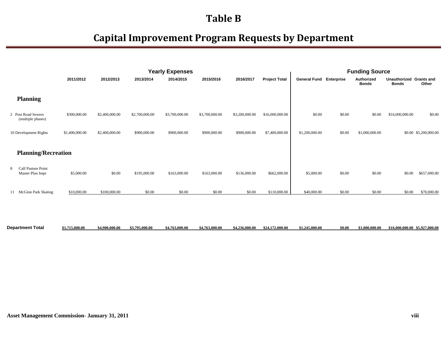## **Capital Improvement Program Requests by Department**

|    |                                         |                |                |                | <b>Yearly Expenses</b> |                |                |                      | <b>Funding Source</b>          |        |                            |                                         |                       |
|----|-----------------------------------------|----------------|----------------|----------------|------------------------|----------------|----------------|----------------------|--------------------------------|--------|----------------------------|-----------------------------------------|-----------------------|
|    |                                         | 2011/2012      | 2012/2013      | 2013/2014      | 2014/2015              | 2015/2016      | 2016/2017      | <b>Project Total</b> | <b>General Fund Enterprise</b> |        | Authorized<br><b>Bonds</b> | Unauthorized Grants and<br><b>Bonds</b> | Other                 |
|    | <b>Planning</b>                         |                |                |                |                        |                |                |                      |                                |        |                            |                                         |                       |
|    | 2 Post Road Sewers<br>(multiple phases) | \$300,000.00   | \$2,400,000.00 | \$2,700,000.00 | \$3,700,000.00         | \$3,700,000.00 | \$3,200,000.00 | \$16,000,000.00      | \$0.00                         | \$0.00 | \$0.00                     | \$16,000,000.00                         | \$0.00                |
|    | 10 Development Rights                   | \$1,400,000.00 | \$2,400,000.00 | \$900,000.00   | \$900,000.00           | \$900,000.00   | \$900,000.00   | \$7,400,000.00       | \$1,200,000.00                 | \$0.00 | \$1,000,000.00             |                                         | \$0.00 \$5,200,000.00 |
|    | <b>Planning/Recreation</b>              |                |                |                |                        |                |                |                      |                                |        |                            |                                         |                       |
| 8  | Calf Pasture Point<br>Master Plan Impr  | \$5,000.00     | \$0.00         | \$195,000.00   | \$163,000.00           | \$163,000.00   | \$136,000.00   | \$662,000.00         | \$5,000.00                     | \$0.00 | \$0.00                     | \$0.00                                  | \$657,000.00          |
| 11 | McGinn Park Skating                     | \$10,000.00    | \$100,000.00   | \$0.00         | \$0.00                 | \$0.00         | \$0.00         | \$110,000.00         | \$40,000.00                    | \$0.00 | \$0.00                     | \$0.00                                  | \$70,000.00           |
|    |                                         |                |                |                |                        |                |                |                      |                                |        |                            |                                         |                       |

Department Total \$1,715,000.00 \$4,900,000.00 \$3,795,000.00 \$4,763,000.00 \$4,763,000.00 \$4,236,000.00 \$24,172,000.00 \$1,245,000.00 \$0.00 \$1,000,000.00 \$16,000,000.00 \$5,927,000.00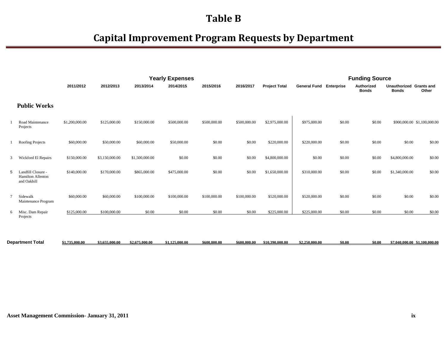|        |                                                        |                |                |                | <b>Yearly Expenses</b> |              |              |                      | <b>Funding Source</b>          |        |                            |                                         |                             |
|--------|--------------------------------------------------------|----------------|----------------|----------------|------------------------|--------------|--------------|----------------------|--------------------------------|--------|----------------------------|-----------------------------------------|-----------------------------|
|        |                                                        | 2011/2012      | 2012/2013      | 2013/2014      | 2014/2015              | 2015/2016    | 2016/2017    | <b>Project Total</b> | <b>General Fund Enterprise</b> |        | Authorized<br><b>Bonds</b> | Unauthorized Grants and<br><b>Bonds</b> | Other                       |
|        | <b>Public Works</b>                                    |                |                |                |                        |              |              |                      |                                |        |                            |                                         |                             |
|        | Road Maintenance<br>Projects                           | \$1,200,000.00 | \$125,000.00   | \$150,000.00   | \$500,000.00           | \$500,000.00 | \$500,000.00 | \$2,975,000.00       | \$975,000.00                   | \$0.00 | \$0.00                     |                                         | \$900,000.00 \$1,100,000.00 |
|        | Roofing Projects                                       | \$60,000.00    | \$50,000.00    | \$60,000.00    | \$50,000.00            | \$0.00       | \$0.00       | \$220,000.00         | \$220,000.00                   | \$0.00 | \$0.00                     | \$0.00                                  | \$0.00                      |
| 3      | Wickford El Repairs                                    | \$150,000.00   | \$3,150,000.00 | \$1,500,000.00 | \$0.00                 | \$0.00       | \$0.00       | \$4,800,000.00       | \$0.00                         | \$0.00 | \$0.00                     | \$4,800,000.00                          | \$0.00                      |
| 5      | Landfill Closure -<br>Hamilton Allenton<br>and Oakhill | \$140,000.00   | \$170,000.00   | \$865,000.00   | \$475,000.00           | \$0.00       | \$0.00       | \$1,650,000.00       | \$310,000.00                   | \$0.00 | \$0.00                     | \$1,340,000.00                          | \$0.00                      |
| $\tau$ | Sidewalk<br>Maintenance Program                        | \$60,000.00    | \$60,000.00    | \$100,000.00   | \$100,000.00           | \$100,000.00 | \$100,000.00 | \$520,000.00         | \$520,000.00                   | \$0.00 | \$0.00                     | \$0.00                                  | \$0.00                      |
| 6      | Misc. Dam Repair<br>Projects                           | \$125,000.00   | \$100,000.00   | \$0.00         | \$0.00                 | \$0.00       | \$0.00       | \$225,000.00         | \$225,000.00                   | \$0.00 | \$0.00                     | \$0.00                                  | \$0.00                      |

| <b>Department Total</b> | $^{\circ}$ 1.735,000,00 | \$3.655.000.00 | \$2,675,000.00 | 1.125.000.00<br>$B1.1 -$ | \$600,000.00 | \$600 000 00 | \$10.390.000.00 | \$2,250,000.00 | \$0.06 | \$0.00 | 7.040.000.00 \$1.100.000.00 |
|-------------------------|-------------------------|----------------|----------------|--------------------------|--------------|--------------|-----------------|----------------|--------|--------|-----------------------------|
|                         |                         |                |                |                          |              |              |                 |                |        |        |                             |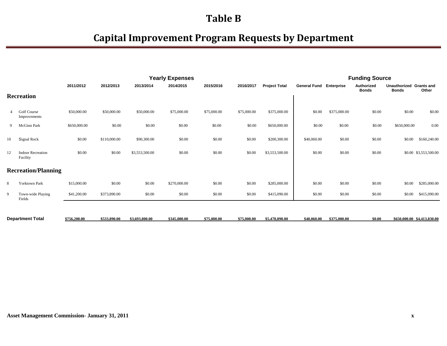|    |                                      |              |              | <b>Yearly Expenses</b> |              |             |             | <b>Funding Source</b> |                                |              |                            |                                         |                             |
|----|--------------------------------------|--------------|--------------|------------------------|--------------|-------------|-------------|-----------------------|--------------------------------|--------------|----------------------------|-----------------------------------------|-----------------------------|
|    |                                      | 2011/2012    | 2012/2013    | 2013/2014              | 2014/2015    | 2015/2016   | 2016/2017   | <b>Project Total</b>  | <b>General Fund Enterprise</b> |              | Authorized<br><b>Bonds</b> | Unauthorized Grants and<br><b>Bonds</b> | Other                       |
|    | <b>Recreation</b>                    |              |              |                        |              |             |             |                       |                                |              |                            |                                         |                             |
|    | Golf Course<br>Improvements          | \$50,000.00  | \$50,000.00  | \$50,000.00            | \$75,000.00  | \$75,000.00 | \$75,000.00 | \$375,000.00          | \$0.00                         | \$375,000.00 | \$0.00                     | \$0.00                                  | \$0.00                      |
| 9  | McGinn Park                          | \$650,000.00 | \$0.00       | \$0.00                 | \$0.00       | \$0.00      | \$0.00      | \$650,000.00          | \$0.00                         | \$0.00       | \$0.00                     | \$650,000.00                            | 0.00                        |
| 10 | Signal Rock                          | \$0.00       | \$110,000.00 | \$90,300.00            | \$0.00       | \$0.00      | \$0.00      | \$200,300.00          | \$40,060.00                    | \$0.00       | \$0.00                     | \$0.00                                  | \$160,240.00                |
| 12 | <b>Indoor Recreation</b><br>Facility | \$0.00       | \$0.00       | \$3,553,500.00         | \$0.00       | \$0.00      | \$0.00      | \$3,553,500.00        | \$0.00                         | \$0.00       | \$0.00                     |                                         | \$0.00 \$3,553,500.00       |
|    | <b>Recreation/Planning</b>           |              |              |                        |              |             |             |                       |                                |              |                            |                                         |                             |
| 8  | Yorktown Park                        | \$15,000.00  | \$0.00       | \$0.00                 | \$270,000.00 | \$0.00      | \$0.00      | \$285,000.00          | \$0.00                         | \$0.00       | \$0.00                     | \$0.00                                  | \$285,000.00                |
| 9  | Town-wide Playing<br>Fields          | \$41,200.00  | \$373,890.00 | \$0.00                 | \$0.00       | \$0.00      | \$0.00      | \$415,090.00          | \$0.00                         | \$0.00       | \$0.00                     | \$0.00                                  | \$415,090.00                |
|    |                                      |              |              |                        |              |             |             |                       |                                |              |                            |                                         |                             |
|    | <b>Department Total</b>              | \$756,200.00 | \$533,890.00 | \$3,693,800.00         | \$345,000.00 | \$75,000.00 | \$75,000.00 | \$5,478,890.00        | \$40,060.00                    | \$375,000.00 | \$0.00                     |                                         | \$650,000.00 \$4,413,830.00 |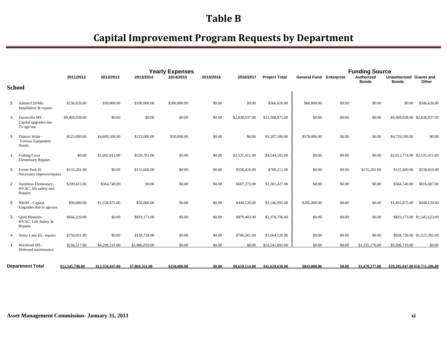|                |                                                          | 2011/2012       | 2012/2013       | 2013/2014      | <b>Yearly Expenses</b><br>2014/2015 | 2015/2016 | 2016/2017      | <b>Project Total</b> | <b>General Fund Enterprise</b> |        | <b>Funding Source</b><br>Authorized | Unauthorized Grants and         |
|----------------|----------------------------------------------------------|-----------------|-----------------|----------------|-------------------------------------|-----------|----------------|----------------------|--------------------------------|--------|-------------------------------------|---------------------------------|
|                |                                                          |                 |                 |                |                                     |           |                |                      |                                |        | <b>Bonds</b>                        | Other<br><b>Bonds</b>           |
|                | <b>School</b>                                            |                 |                 |                |                                     |           |                |                      |                                |        |                                     |                                 |
| 5              | Admin/CD/Mtc<br>Installation & repairs                   | \$236,626.00    | \$30,000.00     | \$100,000.00   | \$200,000.00                        | \$0.00    | \$0.00         | \$566,626.00         | \$60,000.00                    | \$0.00 | \$0.00                              | \$0.00<br>\$506,626.00          |
| 3              | Davisville MS -<br>Capital upgrades due<br>To age/use    | \$9,469,938.00  | \$0.00          | \$0.00         | \$0.00                              | \$0.00    | \$2,838,937.00 | \$12,308,875.00      | \$0.00                         | \$0.00 | \$0.00                              | \$9,469,938.00 \$2,838,937.00   |
| 5              | District Wide -<br>Various Equipment<br>Needs            | \$523,000.00    | \$4,609,500.00  | \$125,000.00   | \$50,000.00                         | \$0.00    | \$0.00         | \$5,307,500.00       | \$578,000.00                   | \$0.00 | \$0.00                              | \$4,729,500.00<br>\$0.00        |
| $\overline{4}$ | <b>Fishing Cove</b><br><b>Elementary Repairs</b>         | \$0.00          | \$1,492,013.00  | \$520,761.00   | \$0.00                              | \$0.00    | \$2,531,411.00 | \$4,544,185.00       | \$0.00                         | \$0.00 | \$0.00                              | \$2,012,774.00 \$2,531,411.00   |
| 5              | Forest Park El<br>Necessary improve/repairs              | \$135,201.00    | \$0.00          | \$115,600.00   | \$0.00                              | \$0.00    | \$538,410.00   | \$789,211.00         | \$0.00                         | \$0.00 | \$135,201.00                        | \$538,410.00<br>\$115,600.00    |
| 2              | Hamilton Elementary,<br>HVAC, life safety and<br>Repairs | \$209,415.00    | \$564,740.00    | \$0.00         | \$0.00                              | \$0.00    | \$607,272.00   | \$1,381,427.00       | \$0.00                         | \$0.00 | \$0.00                              | \$564,740.00<br>\$816,687.00    |
| 5              | NKHS - Capital<br>Upgrades due to age/use                | \$90,000.00     | \$1,558,875.00  | \$50,000.00    | \$0.00                              | \$0.00    | \$448,120.00   | \$2,146,995.00       | \$205,000.00                   | \$0.00 | \$0.00                              | \$1,493,875.00<br>\$448,120.00  |
| 3              | Ouid Henseler-<br>HVAC, Life Safety &<br>Repairs         | \$666,220.00    | \$0.00          | \$833,173.00   | \$0.00                              | \$0.00    | \$879,403.00   | \$2,378,796.00       | \$0.00                         | \$0.00 | \$0.00                              | \$833,173.00 \$1,545,623.00     |
| 4              | Stony Lane EL-repairs                                    | \$758,831.00    | \$0.00          | \$138,728.00   | \$0.00                              | \$0.00    | \$766,561.00   | \$1,664,120.00       | \$0.00                         | \$0.00 | \$0.00                              | \$858,728.00 \$1,525,392.00     |
|                | Wickford MS -<br>Deferred maintenance                    | \$256,517.00    | \$4,299,319.00  | \$5,986,059.00 | \$0.00                              | \$0.00    | \$0.00         | \$10,541,895.00      | \$0.00                         | \$0.00 | \$1,335,176.00                      | \$9,206,719.00<br>\$0.00        |
|                | <b>Department Total</b>                                  | \$12,345,748.00 | \$12,554,447.00 | \$7,869,321.00 | \$250,000.00                        | \$0.00    | \$8,610,114.00 | \$41,629,630.00      | \$843,000.00                   | \$0.00 | \$1,470,377.00                      | \$29,285,047,00 \$10,751,206.00 |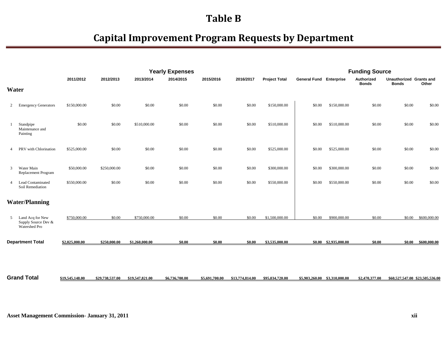|                |                                                          |                 |                 |                 | <b>Yearly Expenses</b> |                |                 |                      |                                | <b>Funding Source</b>         |                            |                                         |                                 |
|----------------|----------------------------------------------------------|-----------------|-----------------|-----------------|------------------------|----------------|-----------------|----------------------|--------------------------------|-------------------------------|----------------------------|-----------------------------------------|---------------------------------|
|                |                                                          | 2011/2012       | 2012/2013       | 2013/2014       | 2014/2015              | 2015/2016      | 2016/2017       | <b>Project Total</b> | <b>General Fund Enterprise</b> |                               | Authorized<br><b>Bonds</b> | Unauthorized Grants and<br><b>Bonds</b> | Other                           |
|                | Water                                                    |                 |                 |                 |                        |                |                 |                      |                                |                               |                            |                                         |                                 |
| 2              | <b>Emergency Generators</b>                              | \$150,000.00    | \$0.00          | \$0.00          | \$0.00                 | \$0.00         | \$0.00          | \$150,000.00         | \$0.00                         | \$150,000.00                  | \$0.00                     | \$0.00                                  | \$0.00                          |
|                | Standpipe<br>Maintenance and<br>Painting                 | \$0.00          | \$0.00          | \$510,000.00    | \$0.00                 | \$0.00         | \$0.00          | \$510,000.00         | \$0.00                         | \$510,000.00                  | \$0.00                     | \$0.00                                  | \$0.00                          |
| 4              | PRV with Chlorination                                    | \$525,000.00    | \$0.00          | \$0.00          | \$0.00                 | \$0.00         | \$0.00          | \$525,000.00         | \$0.00                         | \$525,000.00                  | \$0.00                     | \$0.00                                  | \$0.00                          |
| 3              | Water Main<br>Replacement Program                        | \$50,000.00     | \$250,000.00    | \$0.00          | \$0.00                 | \$0.00         | \$0.00          | \$300,000.00         | \$0.00                         | \$300,000.00                  | \$0.00                     | \$0.00                                  | \$0.00                          |
| $\overline{4}$ | <b>Lead Contaminated</b><br>Soil Remediation             | \$550,000.00    | \$0.00          | \$0.00          | \$0.00                 | \$0.00         | \$0.00          | \$550,000.00         | \$0.00                         | \$550,000.00                  | \$0.00                     | \$0.00                                  | \$0.00                          |
|                | <b>Water/Planning</b>                                    |                 |                 |                 |                        |                |                 |                      |                                |                               |                            |                                         |                                 |
| 5              | Land Acq for New<br>Supply Source Dev &<br>Watershed Pro | \$750,000.00    | \$0.00          | \$750,000.00    | \$0.00                 | \$0.00         | \$0.00          | \$1,500,000.00       | \$0.00                         | \$900,000.00                  | \$0.00                     | \$0.00                                  | \$600,000.00                    |
|                | <b>Department Total</b>                                  | \$2,025,000.00  | \$250,000.00    | \$1,260,000.00  | \$0.00                 | \$0.00         | \$0.00          | \$3,535,000.00       |                                | \$0.00 \$2,935,000.00         | \$0.00                     |                                         | \$0.00 \$600,000.00             |
|                |                                                          |                 |                 |                 |                        |                |                 |                      |                                |                               |                            |                                         |                                 |
|                | <b>Grand Total</b>                                       | \$19,545,148.00 | \$29,738,537.00 | \$19.547,821.00 | \$6,736,700.00         | \$5,691,700.00 | \$13,774,814.00 | \$95,034,720.00      |                                | \$5,903,260.00 \$3,310,000.00 | \$2,470,377.00             |                                         | \$60,527,547,00 \$23,505,536,00 |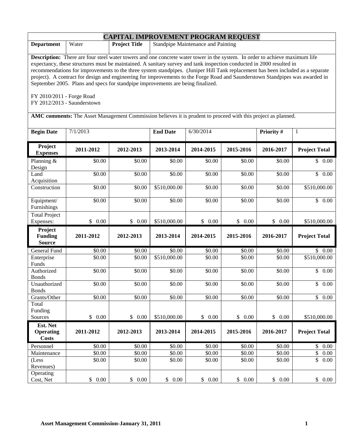|                                                          |                                                                                                                                                                                                                                                                                                                                                                                                                                                                                                                                                                                                                                                                                                                                    | <b>CAPITAL IMPROVEMENT PROGRAM REQUEST</b> |                 |                                    |           |           |                          |
|----------------------------------------------------------|------------------------------------------------------------------------------------------------------------------------------------------------------------------------------------------------------------------------------------------------------------------------------------------------------------------------------------------------------------------------------------------------------------------------------------------------------------------------------------------------------------------------------------------------------------------------------------------------------------------------------------------------------------------------------------------------------------------------------------|--------------------------------------------|-----------------|------------------------------------|-----------|-----------|--------------------------|
| <b>Department</b>                                        | Water                                                                                                                                                                                                                                                                                                                                                                                                                                                                                                                                                                                                                                                                                                                              | <b>Project Title</b>                       |                 | Standpipe Maintenance and Painting |           |           |                          |
| FY 2010/2011 - Forge Road<br>FY 2012/2013 - Saunderstown | <b>Description:</b> There are four steel water towers and one concrete water tower in the system. In order to achieve maximum life<br>expectancy, these structures must be maintained. A sanitary survey and tank inspection conducted in 2000 resulted in<br>recommendations for improvements to the three system standpipes. (Juniper Hill Tank replacement has been included as a separate<br>project). A contract for design and engineering for improvements to the Forge Road and Saunderstown Standpipes was awarded in<br>September 2005. Plans and specs for standpipe improvements are being finalized.<br>AMC comments: The Asset Management Commission believes it is prudent to proceed with this project as planned. |                                            |                 |                                    |           |           |                          |
| <b>Begin Date</b>                                        | 7/1/2013                                                                                                                                                                                                                                                                                                                                                                                                                                                                                                                                                                                                                                                                                                                           |                                            | <b>End Date</b> | 6/30/2014                          |           | Priority# | 1                        |
|                                                          |                                                                                                                                                                                                                                                                                                                                                                                                                                                                                                                                                                                                                                                                                                                                    |                                            |                 |                                    |           |           |                          |
| Project<br><b>Expenses</b>                               | 2011-2012                                                                                                                                                                                                                                                                                                                                                                                                                                                                                                                                                                                                                                                                                                                          | 2012-2013                                  | 2013-2014       | 2014-2015                          | 2015-2016 | 2016-2017 | <b>Project Total</b>     |
| Planning &<br>Design                                     | \$0.00                                                                                                                                                                                                                                                                                                                                                                                                                                                                                                                                                                                                                                                                                                                             | \$0.00                                     | \$0.00          | \$0.00                             | \$0.00    | \$0.00    | \$0.00                   |
| Land<br>Acquisition                                      | \$0.00                                                                                                                                                                                                                                                                                                                                                                                                                                                                                                                                                                                                                                                                                                                             | \$0.00                                     | \$0.00          | \$0.00                             | \$0.00    | \$0.00    | \$<br>0.00               |
| Construction                                             | \$0.00                                                                                                                                                                                                                                                                                                                                                                                                                                                                                                                                                                                                                                                                                                                             | \$0.00                                     | \$510,000.00    | \$0.00                             | \$0.00    | \$0.00    | \$510,000.00             |
| Equipment/<br>Furnishings                                | \$0.00                                                                                                                                                                                                                                                                                                                                                                                                                                                                                                                                                                                                                                                                                                                             | \$0.00                                     | \$0.00          | \$0.00                             | \$0.00    | \$0.00    | $\overline{\$}$ 0.00     |
| <b>Total Project</b><br>Expenses:                        | \$0.00                                                                                                                                                                                                                                                                                                                                                                                                                                                                                                                                                                                                                                                                                                                             | \$0.00                                     | \$510,000.00    | \$0.00                             | \$0.00    | \$0.00    | \$510,000.00             |
| Project<br><b>Funding</b><br><b>Source</b>               | 2011-2012                                                                                                                                                                                                                                                                                                                                                                                                                                                                                                                                                                                                                                                                                                                          | 2012-2013                                  | 2013-2014       | 2014-2015                          | 2015-2016 | 2016-2017 | <b>Project Total</b>     |
| General Fund                                             | \$0.00                                                                                                                                                                                                                                                                                                                                                                                                                                                                                                                                                                                                                                                                                                                             | \$0.00                                     | \$0.00          | \$0.00                             | \$0.00    | \$0.00    | \$0.00                   |
| Enterprise<br>Funds                                      | \$0.00                                                                                                                                                                                                                                                                                                                                                                                                                                                                                                                                                                                                                                                                                                                             | \$0.00                                     | \$510,000.00    | \$0.00                             | \$0.00    | \$0.00    | $\overline{$}510,000.00$ |
| Authorized<br><b>Bonds</b>                               | \$0.00                                                                                                                                                                                                                                                                                                                                                                                                                                                                                                                                                                                                                                                                                                                             | \$0.00                                     | \$0.00          | \$0.00                             | \$0.00    | \$0.00    | \$<br>0.00               |
| Unauthorized<br><b>Bonds</b>                             | \$0.00                                                                                                                                                                                                                                                                                                                                                                                                                                                                                                                                                                                                                                                                                                                             | \$0.00                                     | \$0.00          | \$0.00                             | \$0.00    | \$0.00    | \$0.00                   |
| Grants/Other                                             | \$0.00                                                                                                                                                                                                                                                                                                                                                                                                                                                                                                                                                                                                                                                                                                                             | \$0.00                                     | \$0.00          | \$0.00                             | \$0.00    | \$0.00    | \$<br>0.00               |
| Total<br>Funding                                         |                                                                                                                                                                                                                                                                                                                                                                                                                                                                                                                                                                                                                                                                                                                                    |                                            |                 |                                    |           |           |                          |
| Sources                                                  | \$0.00                                                                                                                                                                                                                                                                                                                                                                                                                                                                                                                                                                                                                                                                                                                             | \$0.00                                     | \$510,000.00    | \$0.00                             | \$0.00    | \$0.00    | \$510,000.00             |
| Est. Net<br><b>Operating</b><br><b>Costs</b>             | 2011-2012                                                                                                                                                                                                                                                                                                                                                                                                                                                                                                                                                                                                                                                                                                                          | 2012-2013                                  | 2013-2014       | 2014-2015                          | 2015-2016 | 2016-2017 | <b>Project Total</b>     |
| Personnel                                                | \$0.00                                                                                                                                                                                                                                                                                                                                                                                                                                                                                                                                                                                                                                                                                                                             | \$0.00                                     | \$0.00          | \$0.00                             | \$0.00    | \$0.00    | \$<br>0.00               |
| Maintenance                                              | \$0.00                                                                                                                                                                                                                                                                                                                                                                                                                                                                                                                                                                                                                                                                                                                             | \$0.00                                     | \$0.00          | \$0.00                             | \$0.00    | \$0.00    | \$<br>0.00               |
| (Less<br>Revenues)                                       | \$0.00                                                                                                                                                                                                                                                                                                                                                                                                                                                                                                                                                                                                                                                                                                                             | \$0.00                                     | \$0.00          | \$0.00                             | \$0.00    | \$0.00    | \$<br>0.00               |
| Operating<br>Cost, Net                                   | \$0.00                                                                                                                                                                                                                                                                                                                                                                                                                                                                                                                                                                                                                                                                                                                             | \$0.00                                     | \$0.00          | \$0.00                             | \$0.00    | \$0.00    | \$0.00                   |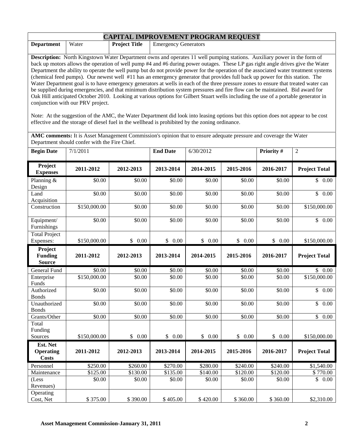| <b>CAPITAL IMPROVEMENT PROGRAM REQUEST</b>                                                                                                                                                                                                                                                                                                                                                                                                                                                                                                                                                                                                                                                                                                                                                                                                                                                                                                                                                                                                                                                                                                                                                                                                                                                                                                           |                                               |                                                     |                    |                    |                    |                    |                      |
|------------------------------------------------------------------------------------------------------------------------------------------------------------------------------------------------------------------------------------------------------------------------------------------------------------------------------------------------------------------------------------------------------------------------------------------------------------------------------------------------------------------------------------------------------------------------------------------------------------------------------------------------------------------------------------------------------------------------------------------------------------------------------------------------------------------------------------------------------------------------------------------------------------------------------------------------------------------------------------------------------------------------------------------------------------------------------------------------------------------------------------------------------------------------------------------------------------------------------------------------------------------------------------------------------------------------------------------------------|-----------------------------------------------|-----------------------------------------------------|--------------------|--------------------|--------------------|--------------------|----------------------|
| <b>Department</b>                                                                                                                                                                                                                                                                                                                                                                                                                                                                                                                                                                                                                                                                                                                                                                                                                                                                                                                                                                                                                                                                                                                                                                                                                                                                                                                                    | Water                                         | <b>Project Title</b><br><b>Emergency Generators</b> |                    |                    |                    |                    |                      |
| Description: North Kingstown Water Department owns and operates 11 well pumping stations. Auxiliary power in the form of<br>back up motors allows the operation of well pump #4 and #6 during power outages. These LP gas right angle drives give the Water<br>Department the ability to operate the well pump but do not provide power for the operation of the associated water treatment systems<br>(chemical feed pumps). Our newest well #11 has an emergency generator that provides full back up power for this station. The<br>Water Department goal is to have emergency generators at wells in each of the three pressure zones to ensure that treated water can<br>be supplied during emergencies, and that minimum distribution system pressures and fire flow can be maintained. Bid award for<br>Oak Hill anticipated October 2010. Looking at various options for Gilbert Stuart wells including the use of a portable generator in<br>conjunction with our PRV project.<br>Note: At the suggestion of the AMC, the Water Department did look into leasing options but this option does not appear to be cost<br>effective and the storage of diesel fuel in the wellhead is prohibited by the zoning ordinance.<br>AMC comments: It is Asset Management Commission's opinion that to ensure adequate pressure and coverage the Water |                                               |                                                     |                    |                    |                    |                    |                      |
|                                                                                                                                                                                                                                                                                                                                                                                                                                                                                                                                                                                                                                                                                                                                                                                                                                                                                                                                                                                                                                                                                                                                                                                                                                                                                                                                                      | Department should confer with the Fire Chief. |                                                     |                    |                    |                    |                    |                      |
| <b>Begin Date</b>                                                                                                                                                                                                                                                                                                                                                                                                                                                                                                                                                                                                                                                                                                                                                                                                                                                                                                                                                                                                                                                                                                                                                                                                                                                                                                                                    | 7/1/2011                                      |                                                     | <b>End Date</b>    | 6/30/2012          |                    | Priority #         | $\overline{2}$       |
| Project<br><b>Expenses</b>                                                                                                                                                                                                                                                                                                                                                                                                                                                                                                                                                                                                                                                                                                                                                                                                                                                                                                                                                                                                                                                                                                                                                                                                                                                                                                                           | 2011-2012                                     | 2012-2013                                           | 2013-2014          | 2014-2015          | 2015-2016          | 2016-2017          | <b>Project Total</b> |
| Planning &<br>Design                                                                                                                                                                                                                                                                                                                                                                                                                                                                                                                                                                                                                                                                                                                                                                                                                                                                                                                                                                                                                                                                                                                                                                                                                                                                                                                                 | \$0.00                                        | \$0.00                                              | \$0.00             | \$0.00             | \$0.00             | \$0.00             | \$0.00               |
| Land<br>Acquisition                                                                                                                                                                                                                                                                                                                                                                                                                                                                                                                                                                                                                                                                                                                                                                                                                                                                                                                                                                                                                                                                                                                                                                                                                                                                                                                                  | \$0.00                                        | \$0.00                                              | \$0.00             | \$0.00             | \$0.00             | \$0.00             | $\overline{\$}$ 0.00 |
| Construction                                                                                                                                                                                                                                                                                                                                                                                                                                                                                                                                                                                                                                                                                                                                                                                                                                                                                                                                                                                                                                                                                                                                                                                                                                                                                                                                         | \$150,000.00                                  | \$0.00                                              | \$0.00             | \$0.00             | \$0.00             | \$0.00             | \$150,000.00         |
| Equipment/<br>Furnishings                                                                                                                                                                                                                                                                                                                                                                                                                                                                                                                                                                                                                                                                                                                                                                                                                                                                                                                                                                                                                                                                                                                                                                                                                                                                                                                            | \$0.00                                        | \$0.00                                              | \$0.00             | \$0.00             | \$0.00             | \$0.00             | \$0.00               |
| <b>Total Project</b><br>Expenses:                                                                                                                                                                                                                                                                                                                                                                                                                                                                                                                                                                                                                                                                                                                                                                                                                                                                                                                                                                                                                                                                                                                                                                                                                                                                                                                    | \$150,000.00                                  | \$0.00                                              | \$0.00             | \$0.00             | \$0.00             | \$0.00             | \$150,000.00         |
| Project<br><b>Funding</b><br><b>Source</b>                                                                                                                                                                                                                                                                                                                                                                                                                                                                                                                                                                                                                                                                                                                                                                                                                                                                                                                                                                                                                                                                                                                                                                                                                                                                                                           | 2011-2012                                     | 2012-2013                                           | 2013-2014          | 2014-2015          | 2015-2016          | 2016-2017          | <b>Project Total</b> |
| General Fund                                                                                                                                                                                                                                                                                                                                                                                                                                                                                                                                                                                                                                                                                                                                                                                                                                                                                                                                                                                                                                                                                                                                                                                                                                                                                                                                         | \$0.00                                        | \$0.00                                              | \$0.00             | \$0.00             | \$0.00             | \$0.00             | \$0.00               |
| Enterprise<br>Funds                                                                                                                                                                                                                                                                                                                                                                                                                                                                                                                                                                                                                                                                                                                                                                                                                                                                                                                                                                                                                                                                                                                                                                                                                                                                                                                                  | \$150,000.00                                  | \$0.00                                              | \$0.00             | \$0.00             | \$0.00             | \$0.00             | \$150,000.00         |
| Authorized<br><b>Bonds</b>                                                                                                                                                                                                                                                                                                                                                                                                                                                                                                                                                                                                                                                                                                                                                                                                                                                                                                                                                                                                                                                                                                                                                                                                                                                                                                                           | \$0.00                                        | \$0.00                                              | \$0.00             | \$0.00             | \$0.00             | \$0.00             | \$<br>0.00           |
| Unauthorized<br><b>Bonds</b>                                                                                                                                                                                                                                                                                                                                                                                                                                                                                                                                                                                                                                                                                                                                                                                                                                                                                                                                                                                                                                                                                                                                                                                                                                                                                                                         | \$0.00                                        | \$0.00                                              | \$0.00             | \$0.00             | \$0.00             | \$0.00             | \$0.00               |
| Grants/Other                                                                                                                                                                                                                                                                                                                                                                                                                                                                                                                                                                                                                                                                                                                                                                                                                                                                                                                                                                                                                                                                                                                                                                                                                                                                                                                                         | \$0.00                                        | \$0.00                                              | \$0.00             | \$0.00             | \$0.00             | \$0.00             | \$0.00               |
| Total<br>Funding                                                                                                                                                                                                                                                                                                                                                                                                                                                                                                                                                                                                                                                                                                                                                                                                                                                                                                                                                                                                                                                                                                                                                                                                                                                                                                                                     |                                               |                                                     |                    |                    |                    |                    |                      |
| Sources                                                                                                                                                                                                                                                                                                                                                                                                                                                                                                                                                                                                                                                                                                                                                                                                                                                                                                                                                                                                                                                                                                                                                                                                                                                                                                                                              | \$150,000.00                                  | \$0.00                                              | \$0.00             | \$0.00             | \$0.00             | \$0.00             | \$150,000.00         |
| Est. Net<br><b>Operating</b><br><b>Costs</b>                                                                                                                                                                                                                                                                                                                                                                                                                                                                                                                                                                                                                                                                                                                                                                                                                                                                                                                                                                                                                                                                                                                                                                                                                                                                                                         | 2011-2012                                     | 2012-2013                                           | 2013-2014          | 2014-2015          | 2015-2016          | 2016-2017          | <b>Project Total</b> |
| Personnel                                                                                                                                                                                                                                                                                                                                                                                                                                                                                                                                                                                                                                                                                                                                                                                                                                                                                                                                                                                                                                                                                                                                                                                                                                                                                                                                            | \$250.00                                      | \$260.00                                            | \$270.00           | \$280.00           | \$240.00           | \$240.00           | \$1,540.00           |
| Maintenance<br>(Less<br>Revenues)                                                                                                                                                                                                                                                                                                                                                                                                                                                                                                                                                                                                                                                                                                                                                                                                                                                                                                                                                                                                                                                                                                                                                                                                                                                                                                                    | \$125.00<br>\$0.00                            | \$130.00<br>\$0.00                                  | \$135.00<br>\$0.00 | \$140.00<br>\$0.00 | \$120.00<br>\$0.00 | \$120.00<br>\$0.00 | \$770.00<br>\$0.00   |
| Operating<br>Cost, Net                                                                                                                                                                                                                                                                                                                                                                                                                                                                                                                                                                                                                                                                                                                                                                                                                                                                                                                                                                                                                                                                                                                                                                                                                                                                                                                               | \$375.00                                      | \$390.00                                            | \$405.00           | \$420.00           | \$360.00           | \$360.00           | \$2,310.00           |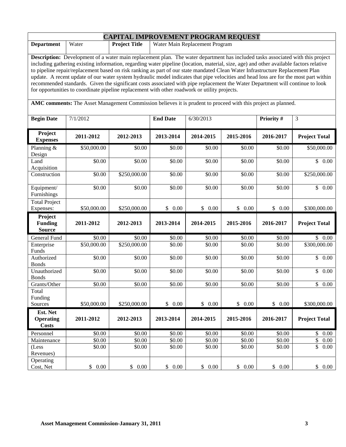| <b>CAPITAL IMPROVEMENT PROGRAM REQUEST</b>                                                                                                                                                                                                                                                                                                                                                                                                                                                                                                                                                                                                                                                                                                                                                                                                                                                                |             |                                                        |                 |           |           |            |                       |  |
|-----------------------------------------------------------------------------------------------------------------------------------------------------------------------------------------------------------------------------------------------------------------------------------------------------------------------------------------------------------------------------------------------------------------------------------------------------------------------------------------------------------------------------------------------------------------------------------------------------------------------------------------------------------------------------------------------------------------------------------------------------------------------------------------------------------------------------------------------------------------------------------------------------------|-------------|--------------------------------------------------------|-----------------|-----------|-----------|------------|-----------------------|--|
| <b>Department</b>                                                                                                                                                                                                                                                                                                                                                                                                                                                                                                                                                                                                                                                                                                                                                                                                                                                                                         | Water       | <b>Project Title</b><br>Water Main Replacement Program |                 |           |           |            |                       |  |
| Description: Development of a water main replacement plan. The water department has included tasks associated with this project<br>including gathering existing information, regarding water pipeline (location, material, size, age) and other available factors relative<br>to pipeline repair/replacement based on risk ranking as part of our state mandated Clean Water Infrastructure Replacement Plan<br>update. A recent update of our water system hydraulic model indicates that pipe velocities and head loss are for the most part within<br>recommended standards. Given the significant costs associated with pipe replacement the Water Department will continue to look<br>for opportunities to coordinate pipeline replacement with other roadwork or utility projects.<br>AMC comments: The Asset Management Commission believes it is prudent to proceed with this project as planned. |             |                                                        |                 |           |           |            |                       |  |
|                                                                                                                                                                                                                                                                                                                                                                                                                                                                                                                                                                                                                                                                                                                                                                                                                                                                                                           |             |                                                        |                 |           |           |            |                       |  |
| <b>Begin Date</b>                                                                                                                                                                                                                                                                                                                                                                                                                                                                                                                                                                                                                                                                                                                                                                                                                                                                                         | 7/1/2012    |                                                        | <b>End Date</b> | 6/30/2013 |           | Priority # | 3                     |  |
| Project<br><b>Expenses</b>                                                                                                                                                                                                                                                                                                                                                                                                                                                                                                                                                                                                                                                                                                                                                                                                                                                                                | 2011-2012   | 2012-2013                                              | 2013-2014       | 2014-2015 | 2015-2016 | 2016-2017  | <b>Project Total</b>  |  |
| Planning &<br>Design                                                                                                                                                                                                                                                                                                                                                                                                                                                                                                                                                                                                                                                                                                                                                                                                                                                                                      | \$50,000.00 | \$0.00                                                 | \$0.00          | \$0.00    | \$0.00    | \$0.00     | \$50,000.00           |  |
| Land<br>Acquisition                                                                                                                                                                                                                                                                                                                                                                                                                                                                                                                                                                                                                                                                                                                                                                                                                                                                                       | \$0.00      | \$0.00                                                 | \$0.00          | \$0.00    | \$0.00    | \$0.00     | \$0.00                |  |
| Construction                                                                                                                                                                                                                                                                                                                                                                                                                                                                                                                                                                                                                                                                                                                                                                                                                                                                                              | \$0.00      | \$250,000.00                                           | \$0.00          | \$0.00    | \$0.00    | \$0.00     | \$250,000.00          |  |
| Equipment/<br>Furnishings                                                                                                                                                                                                                                                                                                                                                                                                                                                                                                                                                                                                                                                                                                                                                                                                                                                                                 | \$0.00      | \$0.00                                                 | \$0.00          | \$0.00    | \$0.00    | \$0.00     | $\mathbb{S}$<br>0.00  |  |
| <b>Total Project</b><br>Expenses:                                                                                                                                                                                                                                                                                                                                                                                                                                                                                                                                                                                                                                                                                                                                                                                                                                                                         | \$50,000.00 | \$250,000.00                                           | \$0.00          | \$0.00    | \$0.00    | \$0.00     | \$300,000.00          |  |
| Project<br><b>Funding</b><br><b>Source</b>                                                                                                                                                                                                                                                                                                                                                                                                                                                                                                                                                                                                                                                                                                                                                                                                                                                                | 2011-2012   | 2012-2013                                              | 2013-2014       | 2014-2015 | 2015-2016 | 2016-2017  | <b>Project Total</b>  |  |
| General Fund                                                                                                                                                                                                                                                                                                                                                                                                                                                                                                                                                                                                                                                                                                                                                                                                                                                                                              | \$0.00      | \$0.00                                                 | \$0.00          | \$0.00    | \$0.00    | \$0.00     | \$0.00                |  |
| Enterprise<br>Funds                                                                                                                                                                                                                                                                                                                                                                                                                                                                                                                                                                                                                                                                                                                                                                                                                                                                                       | \$50,000.00 | \$250,000.00                                           | \$0.00          | \$0.00    | \$0.00    | \$0.00     | \$300,000.00          |  |
| Authorized<br><b>Bonds</b>                                                                                                                                                                                                                                                                                                                                                                                                                                                                                                                                                                                                                                                                                                                                                                                                                                                                                | \$0.00      | \$0.00                                                 | \$0.00          | \$0.00    | \$0.00    | \$0.00     | $\overline{\$}$ 0.00  |  |
| Unauthorized<br><b>Bonds</b>                                                                                                                                                                                                                                                                                                                                                                                                                                                                                                                                                                                                                                                                                                                                                                                                                                                                              | \$0.00      | \$0.00                                                 | \$0.00          | \$0.00    | \$0.00    | \$0.00     | $\mathbb{S}$<br>0.00  |  |
| Grants/Other                                                                                                                                                                                                                                                                                                                                                                                                                                                                                                                                                                                                                                                                                                                                                                                                                                                                                              | \$0.00      | \$0.00                                                 | \$0.00          | \$0.00    | \$0.00    | \$0.00     | \$0.00                |  |
| Total<br>Funding<br>Sources                                                                                                                                                                                                                                                                                                                                                                                                                                                                                                                                                                                                                                                                                                                                                                                                                                                                               | \$50,000.00 | \$250,000.00                                           | \$0.00          | \$0.00    | \$0.00    | \$0.00     | \$300,000.00          |  |
| Est. Net                                                                                                                                                                                                                                                                                                                                                                                                                                                                                                                                                                                                                                                                                                                                                                                                                                                                                                  |             |                                                        |                 |           |           |            |                       |  |
| <b>Operating</b><br><b>Costs</b>                                                                                                                                                                                                                                                                                                                                                                                                                                                                                                                                                                                                                                                                                                                                                                                                                                                                          | 2011-2012   | 2012-2013                                              | 2013-2014       | 2014-2015 | 2015-2016 | 2016-2017  | <b>Project Total</b>  |  |
| Personnel                                                                                                                                                                                                                                                                                                                                                                                                                                                                                                                                                                                                                                                                                                                                                                                                                                                                                                 | \$0.00      | \$0.00                                                 | \$0.00          | \$0.00    | \$0.00    | \$0.00     | \$0.00                |  |
| Maintenance                                                                                                                                                                                                                                                                                                                                                                                                                                                                                                                                                                                                                                                                                                                                                                                                                                                                                               | \$0.00      | \$0.00                                                 | \$0.00          | \$0.00    | \$0.00    | \$0.00     | $\mathsf{\$}$<br>0.00 |  |
| (Less<br>Revenues)                                                                                                                                                                                                                                                                                                                                                                                                                                                                                                                                                                                                                                                                                                                                                                                                                                                                                        | \$0.00      | \$0.00                                                 | \$0.00          | \$0.00    | \$0.00    | \$0.00     | \$<br>0.00            |  |
| Operating<br>Cost, Net                                                                                                                                                                                                                                                                                                                                                                                                                                                                                                                                                                                                                                                                                                                                                                                                                                                                                    | \$0.00      | \$0.00                                                 | \$0.00          | \$0.00    | \$0.00    | \$ 0.00    | \$0.00                |  |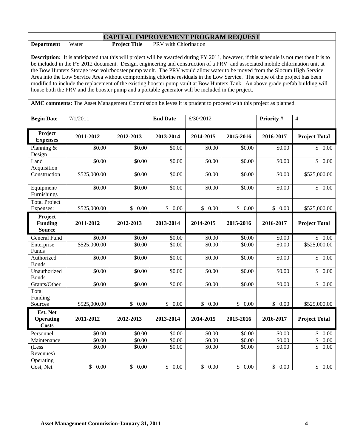| <b>CAPITAL IMPROVEMENT PROGRAM REQUEST</b>                                                                                                                                                                                                                                                                                                                                                                                                                                                                                                                                                                                                                                                                                                                                                                                                                                                            |              |                                               |                    |           |           |            |                          |
|-------------------------------------------------------------------------------------------------------------------------------------------------------------------------------------------------------------------------------------------------------------------------------------------------------------------------------------------------------------------------------------------------------------------------------------------------------------------------------------------------------------------------------------------------------------------------------------------------------------------------------------------------------------------------------------------------------------------------------------------------------------------------------------------------------------------------------------------------------------------------------------------------------|--------------|-----------------------------------------------|--------------------|-----------|-----------|------------|--------------------------|
| <b>Department</b>                                                                                                                                                                                                                                                                                                                                                                                                                                                                                                                                                                                                                                                                                                                                                                                                                                                                                     | Water        | <b>Project Title</b><br>PRV with Chlorination |                    |           |           |            |                          |
| <b>Description:</b> It is anticipated that this will project will be awarded during FY 2011, however, if this schedule is not met then it is to<br>be included in the FY 2012 document. Design, engineering and construction of a PRV and associated mobile chlorination unit at<br>the Bow Hunters Storage reservoir/booster pump vault. The PRV would allow water to be moved from the Slocum High Service<br>Area into the Low Service Area without compromising chlorine residuals in the Low Service. The scope of the project has been<br>modified to include the replacement of the existing booster pump vault at Bow Hunters Tank. An above grade prefab building will<br>house both the PRV and the booster pump and a portable generator will be included in the project.<br>AMC comments: The Asset Management Commission believes it is prudent to proceed with this project as planned. |              |                                               |                    |           |           |            |                          |
| <b>Begin Date</b>                                                                                                                                                                                                                                                                                                                                                                                                                                                                                                                                                                                                                                                                                                                                                                                                                                                                                     | 7/1/2011     |                                               | <b>End Date</b>    | 6/30/2012 |           | Priority # | $\overline{4}$           |
| Project<br><b>Expenses</b>                                                                                                                                                                                                                                                                                                                                                                                                                                                                                                                                                                                                                                                                                                                                                                                                                                                                            | 2011-2012    | 2012-2013                                     | 2013-2014          | 2014-2015 | 2015-2016 | 2016-2017  | <b>Project Total</b>     |
| Planning $&$<br>Design                                                                                                                                                                                                                                                                                                                                                                                                                                                                                                                                                                                                                                                                                                                                                                                                                                                                                | \$0.00       | \$0.00                                        | \$0.00             | \$0.00    | \$0.00    | \$0.00     | \$0.00                   |
| Land<br>Acquisition                                                                                                                                                                                                                                                                                                                                                                                                                                                                                                                                                                                                                                                                                                                                                                                                                                                                                   | \$0.00       | \$0.00                                        | \$0.00             | \$0.00    | \$0.00    | \$0.00     | \$0.00                   |
| Construction                                                                                                                                                                                                                                                                                                                                                                                                                                                                                                                                                                                                                                                                                                                                                                                                                                                                                          | \$525,000.00 | \$0.00                                        | \$0.00             | \$0.00    | \$0.00    | \$0.00     | \$525,000.00             |
| Equipment/<br>Furnishings                                                                                                                                                                                                                                                                                                                                                                                                                                                                                                                                                                                                                                                                                                                                                                                                                                                                             | \$0.00       | \$0.00                                        | \$0.00             | \$0.00    | \$0.00    | \$0.00     | \$0.00                   |
| <b>Total Project</b><br>Expenses:                                                                                                                                                                                                                                                                                                                                                                                                                                                                                                                                                                                                                                                                                                                                                                                                                                                                     | \$525,000.00 | \$0.00                                        | \$0.00             | \$0.00    | \$0.00    | \$0.00     | \$525,000.00             |
| Project<br><b>Funding</b><br><b>Source</b>                                                                                                                                                                                                                                                                                                                                                                                                                                                                                                                                                                                                                                                                                                                                                                                                                                                            | 2011-2012    | 2012-2013                                     | 2013-2014          | 2014-2015 | 2015-2016 | 2016-2017  | <b>Project Total</b>     |
| General Fund                                                                                                                                                                                                                                                                                                                                                                                                                                                                                                                                                                                                                                                                                                                                                                                                                                                                                          | \$0.00       | \$0.00                                        | \$0.00             | \$0.00    | \$0.00    | \$0.00     | \$0.00                   |
| Enterprise<br>Funds                                                                                                                                                                                                                                                                                                                                                                                                                                                                                                                                                                                                                                                                                                                                                                                                                                                                                   | \$525,000.00 | \$0.00                                        | \$0.00             | \$0.00    | \$0.00    | \$0.00     | $\overline{$}525,000.00$ |
| Authorized<br><b>Bonds</b>                                                                                                                                                                                                                                                                                                                                                                                                                                                                                                                                                                                                                                                                                                                                                                                                                                                                            | \$0.00       | \$0.00                                        | $\overline{$}0.00$ | \$0.00    | \$0.00    | \$0.00     | $\overline{\$}$ 0.00     |
| Unauthorized<br><b>Bonds</b>                                                                                                                                                                                                                                                                                                                                                                                                                                                                                                                                                                                                                                                                                                                                                                                                                                                                          | \$0.00       | \$0.00                                        | \$0.00             | \$0.00    | \$0.00    | \$0.00     | $\mathbb{S}$<br>0.00     |
| Grants/Other                                                                                                                                                                                                                                                                                                                                                                                                                                                                                                                                                                                                                                                                                                                                                                                                                                                                                          | \$0.00       | \$0.00                                        | \$0.00             | \$0.00    | \$0.00    | \$0.00     | \$0.00                   |
| Total<br>Funding<br>Sources                                                                                                                                                                                                                                                                                                                                                                                                                                                                                                                                                                                                                                                                                                                                                                                                                                                                           | \$525,000.00 | \$0.00                                        | \$0.00             | \$0.00    | \$0.00    | \$0.00     | \$525,000.00             |
| Est. Net                                                                                                                                                                                                                                                                                                                                                                                                                                                                                                                                                                                                                                                                                                                                                                                                                                                                                              |              |                                               |                    |           |           |            |                          |
| <b>Operating</b><br><b>Costs</b>                                                                                                                                                                                                                                                                                                                                                                                                                                                                                                                                                                                                                                                                                                                                                                                                                                                                      | 2011-2012    | 2012-2013                                     | 2013-2014          | 2014-2015 | 2015-2016 | 2016-2017  | <b>Project Total</b>     |
| Personnel                                                                                                                                                                                                                                                                                                                                                                                                                                                                                                                                                                                                                                                                                                                                                                                                                                                                                             | \$0.00       | \$0.00                                        | \$0.00             | \$0.00    | \$0.00    | \$0.00     | \$0.00                   |
| Maintenance                                                                                                                                                                                                                                                                                                                                                                                                                                                                                                                                                                                                                                                                                                                                                                                                                                                                                           | \$0.00       | \$0.00                                        | \$0.00             | \$0.00    | \$0.00    | \$0.00     | \$<br>0.00               |
| (Less<br>Revenues)                                                                                                                                                                                                                                                                                                                                                                                                                                                                                                                                                                                                                                                                                                                                                                                                                                                                                    | \$0.00       | \$0.00                                        | \$0.00             | \$0.00    | \$0.00    | \$0.00     | \$<br>0.00               |
| Operating<br>Cost, Net                                                                                                                                                                                                                                                                                                                                                                                                                                                                                                                                                                                                                                                                                                                                                                                                                                                                                | \$0.00       | \$0.00                                        | \$0.00             | \$0.00    | \$0.00    | \$ 0.00    | \$0.00                   |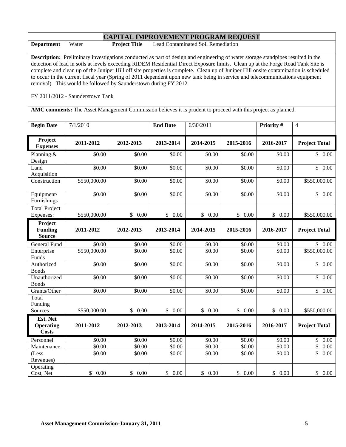|                                                                                                                                                                                                                                                                                                                                                                                                                                                                                                                                                                                                                                                              |              | <b>CAPITAL IMPROVEMENT PROGRAM REQUEST</b>                 |                 |           |           |            |                      |  |
|--------------------------------------------------------------------------------------------------------------------------------------------------------------------------------------------------------------------------------------------------------------------------------------------------------------------------------------------------------------------------------------------------------------------------------------------------------------------------------------------------------------------------------------------------------------------------------------------------------------------------------------------------------------|--------------|------------------------------------------------------------|-----------------|-----------|-----------|------------|----------------------|--|
| <b>Department</b>                                                                                                                                                                                                                                                                                                                                                                                                                                                                                                                                                                                                                                            | Water        | Lead Contaminated Soil Remediation<br><b>Project Title</b> |                 |           |           |            |                      |  |
| <b>Description:</b> Preliminary investigations conducted as part of design and engineering of water storage standpipes resulted in the<br>detection of lead in soils at levels exceeding RIDEM Residential Direct Exposure limits. Clean up at the Forge Road Tank Site is<br>complete and clean up of the Juniper Hill off site properties is complete. Clean up of Juniper Hill onsite contamination is scheduled<br>to occur in the current fiscal year (Spring of 2011 dependent upon new tank being in service and telecommunications equipment<br>removal). This would be followed by Saunderstown during FY 2012.<br>FY 2011/2012 - Saunderstown Tank |              |                                                            |                 |           |           |            |                      |  |
| AMC comments: The Asset Management Commission believes it is prudent to proceed with this project as planned.                                                                                                                                                                                                                                                                                                                                                                                                                                                                                                                                                |              |                                                            |                 |           |           |            |                      |  |
| <b>Begin Date</b>                                                                                                                                                                                                                                                                                                                                                                                                                                                                                                                                                                                                                                            | 7/1/2010     |                                                            | <b>End Date</b> | 6/30/2011 |           | Priority # | $\overline{4}$       |  |
| Project<br><b>Expenses</b>                                                                                                                                                                                                                                                                                                                                                                                                                                                                                                                                                                                                                                   | 2011-2012    | 2012-2013                                                  | 2013-2014       | 2014-2015 | 2015-2016 | 2016-2017  | <b>Project Total</b> |  |
| Planning &<br>Design                                                                                                                                                                                                                                                                                                                                                                                                                                                                                                                                                                                                                                         | \$0.00       | \$0.00                                                     | \$0.00          | \$0.00    | \$0.00    | \$0.00     | \$0.00               |  |
| Land<br>Acquisition                                                                                                                                                                                                                                                                                                                                                                                                                                                                                                                                                                                                                                          | \$0.00       | \$0.00                                                     | \$0.00          | \$0.00    | \$0.00    | \$0.00     | $\mathbb{S}$<br>0.00 |  |
| Construction                                                                                                                                                                                                                                                                                                                                                                                                                                                                                                                                                                                                                                                 | \$550,000.00 | \$0.00                                                     | \$0.00          | \$0.00    | \$0.00    | \$0.00     | \$550,000.00         |  |
| Equipment/<br>Furnishings                                                                                                                                                                                                                                                                                                                                                                                                                                                                                                                                                                                                                                    | \$0.00       | \$0.00                                                     | \$0.00          | \$0.00    | \$0.00    | \$0.00     | \$0.00               |  |
| <b>Total Project</b><br>Expenses:                                                                                                                                                                                                                                                                                                                                                                                                                                                                                                                                                                                                                            | \$550,000.00 | \$0.00                                                     | \$0.00          | \$0.00    | \$0.00    | \$0.00     | \$550,000.00         |  |
| Project<br><b>Funding</b><br><b>Source</b>                                                                                                                                                                                                                                                                                                                                                                                                                                                                                                                                                                                                                   | 2011-2012    | 2012-2013                                                  | 2013-2014       | 2014-2015 | 2015-2016 | 2016-2017  | <b>Project Total</b> |  |
| General Fund                                                                                                                                                                                                                                                                                                                                                                                                                                                                                                                                                                                                                                                 | \$0.00       | \$0.00                                                     | \$0.00          | \$0.00    | \$0.00    | \$0.00     | \$0.00               |  |
| Enterprise<br>Funds                                                                                                                                                                                                                                                                                                                                                                                                                                                                                                                                                                                                                                          | \$550,000.00 | \$0.00                                                     | \$0.00          | \$0.00    | \$0.00    | \$0.00     | \$550,000.00         |  |
| Authorized<br><b>Bonds</b>                                                                                                                                                                                                                                                                                                                                                                                                                                                                                                                                                                                                                                   | \$0.00       | \$0.00                                                     | \$0.00          | \$0.00    | \$0.00    | \$0.00     | \$0.00               |  |
| Unauthorized<br><b>Bonds</b>                                                                                                                                                                                                                                                                                                                                                                                                                                                                                                                                                                                                                                 | \$0.00       | \$0.00                                                     | \$0.00          | \$0.00    | \$0.00    | \$0.00     | $\mathbb{S}$<br>0.00 |  |
| Grants/Other                                                                                                                                                                                                                                                                                                                                                                                                                                                                                                                                                                                                                                                 | \$0.00       | \$0.00                                                     | \$0.00          | \$0.00    | \$0.00    | \$0.00     | $\overline{\$}$ 0.00 |  |
| Total<br>Funding<br>Sources                                                                                                                                                                                                                                                                                                                                                                                                                                                                                                                                                                                                                                  | \$550,000.00 | \$0.00                                                     | \$0.00          | \$0.00    | \$0.00    | \$0.00     | \$550,000.00         |  |
| Est. Net<br><b>Operating</b><br><b>Costs</b>                                                                                                                                                                                                                                                                                                                                                                                                                                                                                                                                                                                                                 | 2011-2012    | 2012-2013                                                  | 2013-2014       | 2014-2015 | 2015-2016 | 2016-2017  | <b>Project Total</b> |  |
| Personnel                                                                                                                                                                                                                                                                                                                                                                                                                                                                                                                                                                                                                                                    | \$0.00       | \$0.00                                                     | \$0.00          | \$0.00    | \$0.00    | \$0.00     | \$0.00               |  |
| Maintenance                                                                                                                                                                                                                                                                                                                                                                                                                                                                                                                                                                                                                                                  | \$0.00       | \$0.00                                                     | \$0.00          | \$0.00    | \$0.00    | \$0.00     | \$<br>0.00           |  |
| (Less<br>Revenues)                                                                                                                                                                                                                                                                                                                                                                                                                                                                                                                                                                                                                                           | \$0.00       | \$0.00                                                     | \$0.00          | \$0.00    | \$0.00    | \$0.00     | \$<br>0.00           |  |
| Operating<br>Cost, Net                                                                                                                                                                                                                                                                                                                                                                                                                                                                                                                                                                                                                                       | \$0.00       | \$0.00                                                     | \$0.00          | \$0.00    | \$0.00    | \$0.00     | \$0.00               |  |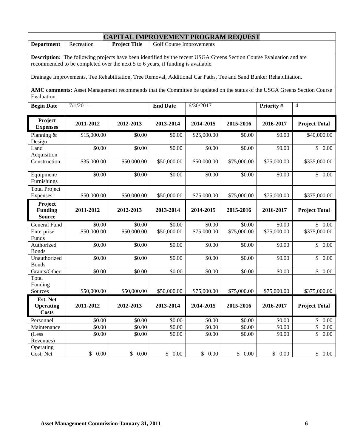| <b>CAPITAL IMPROVEMENT PROGRAM REQUEST</b> |                                                                                                                         |                                                         |                  |                  |                  |                  |                          |  |
|--------------------------------------------|-------------------------------------------------------------------------------------------------------------------------|---------------------------------------------------------|------------------|------------------|------------------|------------------|--------------------------|--|
| <b>Department</b>                          | Recreation                                                                                                              | <b>Project Title</b><br><b>Golf Course Improvements</b> |                  |                  |                  |                  |                          |  |
|                                            | Description: The following projects have been identified by the recent USGA Greens Section Course Evaluation and are    |                                                         |                  |                  |                  |                  |                          |  |
|                                            | recommended to be completed over the next 5 to 6 years, if funding is available.                                        |                                                         |                  |                  |                  |                  |                          |  |
|                                            | Drainage Improvements, Tee Rehabilitation, Tree Removal, Additional Car Paths, Tee and Sand Bunker Rehabilitation.      |                                                         |                  |                  |                  |                  |                          |  |
|                                            | AMC comments: Asset Management recommends that the Committee be updated on the status of the USGA Greens Section Course |                                                         |                  |                  |                  |                  |                          |  |
| Evaluation.                                |                                                                                                                         |                                                         |                  |                  |                  |                  |                          |  |
| <b>Begin Date</b>                          | 7/1/2011                                                                                                                |                                                         | <b>End Date</b>  | 6/30/2017        |                  | Priority #       | $\overline{4}$           |  |
| Project<br><b>Expenses</b>                 | 2011-2012                                                                                                               | 2012-2013                                               | 2013-2014        | 2014-2015        | 2015-2016        | 2016-2017        | <b>Project Total</b>     |  |
| Planning $&$<br>Design                     | \$15,000.00                                                                                                             | \$0.00                                                  | \$0.00           | \$25,000.00      | \$0.00           | \$0.00           | \$40,000.00              |  |
| Land<br>Acquisition                        | \$0.00                                                                                                                  | \$0.00                                                  | \$0.00           | \$0.00           | \$0.00           | \$0.00           | \$0.00                   |  |
| Construction                               | \$35,000.00                                                                                                             | \$50,000.00                                             | \$50,000.00      | \$50,000.00      | \$75,000.00      | \$75,000.00      | \$335,000.00             |  |
| Equipment/<br>Furnishings                  | \$0.00                                                                                                                  | \$0.00                                                  | \$0.00           | \$0.00           | \$0.00           | \$0.00           | \$0.00                   |  |
| <b>Total Project</b><br>Expenses:          | \$50,000.00                                                                                                             | \$50,000.00                                             | \$50,000.00      | \$75,000.00      | \$75,000.00      | \$75,000.00      | \$375,000.00             |  |
| Project<br><b>Funding</b><br><b>Source</b> | 2011-2012                                                                                                               | 2012-2013                                               | 2013-2014        | 2014-2015        | 2015-2016        | 2016-2017        | <b>Project Total</b>     |  |
| General Fund                               | \$0.00                                                                                                                  | \$0.00                                                  | \$0.00           | \$0.00           | \$0.00           | \$0.00           | \$0.00                   |  |
| Enterprise<br>Funds                        | \$50,000.00                                                                                                             | \$50,000.00                                             | \$50,000.00      | \$75,000.00      | \$75,000.00      | \$75,000.00      | \$375,000.00             |  |
| Authorized<br><b>Bonds</b>                 | \$0.00                                                                                                                  | \$0.00                                                  | \$0.00           | \$0.00           | \$0.00           | \$0.00           | $\overline{\$}$ 0.00     |  |
| Unauthorized<br><b>Bonds</b>               | \$0.00                                                                                                                  | \$0.00                                                  | \$0.00           | \$0.00           | \$0.00           | \$0.00           | $\mathbb{S}$<br>0.00     |  |
| Grants/Other                               | \$0.00                                                                                                                  | \$0.00                                                  | \$0.00           | \$0.00           | \$0.00           | \$0.00           | \$<br>0.00               |  |
| Total<br>Funding<br>Sources                | \$50,000.00                                                                                                             | \$50,000.00                                             | \$50,000.00      | \$75,000.00      | \$75,000.00      | \$75,000.00      | \$375,000.00             |  |
| Est. Net<br><b>Operating</b>               | 2011-2012                                                                                                               | 2012-2013                                               | 2013-2014        | 2014-2015        | 2015-2016        | 2016-2017        | <b>Project Total</b>     |  |
| <b>Costs</b>                               |                                                                                                                         |                                                         |                  |                  |                  |                  |                          |  |
| Personnel                                  | \$0.00                                                                                                                  | \$0.00                                                  | \$0.00           | \$0.00           | \$0.00           | \$0.00           | \$0.00                   |  |
| Maintenance                                | \$0.00<br>\$0.00                                                                                                        | \$0.00<br>\$0.00                                        | \$0.00<br>\$0.00 | \$0.00<br>\$0.00 | \$0.00<br>\$0.00 | \$0.00<br>\$0.00 | \$<br>0.00<br>\$<br>0.00 |  |
| (Less<br>Revenues)                         |                                                                                                                         |                                                         |                  |                  |                  |                  |                          |  |
| Operating                                  |                                                                                                                         |                                                         |                  |                  |                  |                  |                          |  |
| Cost, Net                                  | \$0.00                                                                                                                  | \$0.00                                                  | \$0.00           | \$0.00           | \$0.00           | \$0.00           | \$0.00                   |  |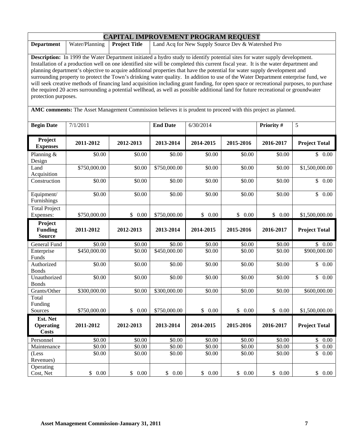|                                                                                                                                                                                                                                                                                                                                                                                                                                                                                                                                                                                                                                                                                                                                                                                                                                                                                                                                                                      | <b>CAPITAL IMPROVEMENT PROGRAM REQUEST</b> |                                                                            |                 |           |           |           |                      |  |
|----------------------------------------------------------------------------------------------------------------------------------------------------------------------------------------------------------------------------------------------------------------------------------------------------------------------------------------------------------------------------------------------------------------------------------------------------------------------------------------------------------------------------------------------------------------------------------------------------------------------------------------------------------------------------------------------------------------------------------------------------------------------------------------------------------------------------------------------------------------------------------------------------------------------------------------------------------------------|--------------------------------------------|----------------------------------------------------------------------------|-----------------|-----------|-----------|-----------|----------------------|--|
| <b>Department</b>                                                                                                                                                                                                                                                                                                                                                                                                                                                                                                                                                                                                                                                                                                                                                                                                                                                                                                                                                    | Water/Planning                             | Land Acq for New Supply Source Dev & Watershed Pro<br><b>Project Title</b> |                 |           |           |           |                      |  |
| <b>Description:</b> In 1999 the Water Department initiated a hydro study to identify potential sites for water supply development.<br>Installation of a production well on one identified site will be completed this current fiscal year. It is the water department and<br>planning department's objective to acquire additional properties that have the potential for water supply development and<br>surrounding property to protect the Town's drinking water quality. In addition to use of the Water Department enterprise fund, we<br>will seek creative methods of financing land acquisition including grant funding, for open space or recreational purposes, to purchase<br>the required 20 acres surrounding a potential wellhead, as well as possible additional land for future recreational or groundwater<br>protection purposes.<br>AMC comments: The Asset Management Commission believes it is prudent to proceed with this project as planned. |                                            |                                                                            |                 |           |           |           |                      |  |
| <b>Begin Date</b>                                                                                                                                                                                                                                                                                                                                                                                                                                                                                                                                                                                                                                                                                                                                                                                                                                                                                                                                                    | 7/1/2011                                   |                                                                            | <b>End Date</b> | 6/30/2014 |           | Priority# | 5                    |  |
|                                                                                                                                                                                                                                                                                                                                                                                                                                                                                                                                                                                                                                                                                                                                                                                                                                                                                                                                                                      |                                            |                                                                            |                 |           |           |           |                      |  |
| Project<br><b>Expenses</b>                                                                                                                                                                                                                                                                                                                                                                                                                                                                                                                                                                                                                                                                                                                                                                                                                                                                                                                                           | 2011-2012                                  | 2012-2013                                                                  | 2013-2014       | 2014-2015 | 2015-2016 | 2016-2017 | <b>Project Total</b> |  |
| Planning &<br>Design                                                                                                                                                                                                                                                                                                                                                                                                                                                                                                                                                                                                                                                                                                                                                                                                                                                                                                                                                 | \$0.00                                     | \$0.00                                                                     | \$0.00          | \$0.00    | \$0.00    | \$0.00    | \$0.00               |  |
| Land<br>Acquisition                                                                                                                                                                                                                                                                                                                                                                                                                                                                                                                                                                                                                                                                                                                                                                                                                                                                                                                                                  | \$750,000.00                               | \$0.00                                                                     | \$750,000.00    | \$0.00    | \$0.00    | \$0.00    | \$1,500,000.00       |  |
| Construction                                                                                                                                                                                                                                                                                                                                                                                                                                                                                                                                                                                                                                                                                                                                                                                                                                                                                                                                                         | \$0.00                                     | \$0.00                                                                     | \$0.00          | \$0.00    | \$0.00    | \$0.00    | $\overline{\$}$ 0.00 |  |
| Equipment/<br>Furnishings                                                                                                                                                                                                                                                                                                                                                                                                                                                                                                                                                                                                                                                                                                                                                                                                                                                                                                                                            | \$0.00                                     | \$0.00                                                                     | \$0.00          | \$0.00    | \$0.00    | \$0.00    | \$0.00               |  |
| <b>Total Project</b><br>Expenses:                                                                                                                                                                                                                                                                                                                                                                                                                                                                                                                                                                                                                                                                                                                                                                                                                                                                                                                                    | \$750,000.00                               | \$0.00                                                                     | \$750,000.00    | \$0.00    | \$0.00    | \$0.00    | \$1,500,000.00       |  |
| Project<br><b>Funding</b><br><b>Source</b>                                                                                                                                                                                                                                                                                                                                                                                                                                                                                                                                                                                                                                                                                                                                                                                                                                                                                                                           | 2011-2012                                  | 2012-2013                                                                  | 2013-2014       | 2014-2015 | 2015-2016 | 2016-2017 | <b>Project Total</b> |  |
| General Fund                                                                                                                                                                                                                                                                                                                                                                                                                                                                                                                                                                                                                                                                                                                                                                                                                                                                                                                                                         | \$0.00                                     | \$0.00                                                                     | \$0.00          | \$0.00    | \$0.00    | \$0.00    | \$0.00               |  |
| Enterprise<br>Funds                                                                                                                                                                                                                                                                                                                                                                                                                                                                                                                                                                                                                                                                                                                                                                                                                                                                                                                                                  | \$450,000.00                               | \$0.00                                                                     | \$450,000.00    | \$0.00    | \$0.00    | \$0.00    | \$900,000.00         |  |
| Authorized<br><b>Bonds</b>                                                                                                                                                                                                                                                                                                                                                                                                                                                                                                                                                                                                                                                                                                                                                                                                                                                                                                                                           | \$0.00                                     | \$0.00                                                                     | \$0.00          | \$0.00    | \$0.00    | \$0.00    | \$0.00               |  |
| Unauthorized<br><b>Bonds</b>                                                                                                                                                                                                                                                                                                                                                                                                                                                                                                                                                                                                                                                                                                                                                                                                                                                                                                                                         | \$0.00                                     | \$0.00                                                                     | \$0.00          | \$0.00    | \$0.00    | \$0.00    | $\mathbb{S}$<br>0.00 |  |
| Grants/Other                                                                                                                                                                                                                                                                                                                                                                                                                                                                                                                                                                                                                                                                                                                                                                                                                                                                                                                                                         | \$300,000.00                               | \$0.00                                                                     | \$300,000.00    | \$0.00    | \$0.00    | \$0.00    | \$600,000.00         |  |
| Total<br>Funding<br>Sources                                                                                                                                                                                                                                                                                                                                                                                                                                                                                                                                                                                                                                                                                                                                                                                                                                                                                                                                          | \$750,000.00                               | \$0.00                                                                     | \$750,000.00    | \$0.00    | \$0.00    | \$0.00    | \$1,500,000.00       |  |
| Est. Net<br><b>Operating</b><br><b>Costs</b>                                                                                                                                                                                                                                                                                                                                                                                                                                                                                                                                                                                                                                                                                                                                                                                                                                                                                                                         | 2011-2012                                  | 2012-2013                                                                  | 2013-2014       | 2014-2015 | 2015-2016 | 2016-2017 | <b>Project Total</b> |  |
| Personnel                                                                                                                                                                                                                                                                                                                                                                                                                                                                                                                                                                                                                                                                                                                                                                                                                                                                                                                                                            | $\sqrt{$0.00}$                             | \$0.00                                                                     | \$0.00          | \$0.00    | \$0.00    | \$0.00    | \$0.00               |  |
| Maintenance                                                                                                                                                                                                                                                                                                                                                                                                                                                                                                                                                                                                                                                                                                                                                                                                                                                                                                                                                          | \$0.00                                     | \$0.00                                                                     | \$0.00          | \$0.00    | \$0.00    | \$0.00    | $\sqrt{2}$<br>0.00   |  |
| (Less<br>Revenues)                                                                                                                                                                                                                                                                                                                                                                                                                                                                                                                                                                                                                                                                                                                                                                                                                                                                                                                                                   | \$0.00                                     | \$0.00                                                                     | \$0.00          | \$0.00    | \$0.00    | \$0.00    | \$<br>0.00           |  |
| Operating<br>Cost, Net                                                                                                                                                                                                                                                                                                                                                                                                                                                                                                                                                                                                                                                                                                                                                                                                                                                                                                                                               | \$0.00                                     | \$0.00                                                                     | \$0.00          | \$0.00    | \$0.00    | \$0.00    | \$0.00               |  |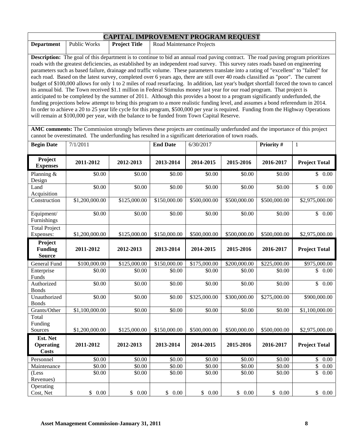| <b>CAPITAL IMPROVEMENT PROGRAM REQUEST</b>                                                                                                |                                                                                                                               |                      |                                                                                                                                           |  |  |  |  |
|-------------------------------------------------------------------------------------------------------------------------------------------|-------------------------------------------------------------------------------------------------------------------------------|----------------------|-------------------------------------------------------------------------------------------------------------------------------------------|--|--|--|--|
| <b>Department</b>                                                                                                                         | Public Works                                                                                                                  | <b>Project Title</b> | Road Maintenance Projects                                                                                                                 |  |  |  |  |
|                                                                                                                                           |                                                                                                                               |                      |                                                                                                                                           |  |  |  |  |
| <b>Description:</b> The goal of this department is to continue to bid an annual road paving contract. The road paving program prioritizes |                                                                                                                               |                      |                                                                                                                                           |  |  |  |  |
| roads with the greatest deficiencies, as established by an independent road survey. This survey rates roads based on engineering          |                                                                                                                               |                      |                                                                                                                                           |  |  |  |  |
| parameters such as based failure, drainage and traffic volume. These parameters translate into a rating of "excellent" to "failed" for    |                                                                                                                               |                      |                                                                                                                                           |  |  |  |  |
|                                                                                                                                           |                                                                                                                               |                      | each road. Based on the latest survey, completed over 6 years ago, there are still over 40 roads classified as "poor". The current        |  |  |  |  |
|                                                                                                                                           |                                                                                                                               |                      | budget of \$100,000 allows for only 1 to 2 miles of road resurfacing. In addition, last year's budget shortfall forced the town to cancel |  |  |  |  |
|                                                                                                                                           |                                                                                                                               |                      | its annual bid. The Town received \$1.1 million in Federal Stimulus money last year for our road program. That project is                 |  |  |  |  |
|                                                                                                                                           | anticipated to be completed by the summer of 2011. Although this provides a boost to a program significantly underfunded, the |                      |                                                                                                                                           |  |  |  |  |
|                                                                                                                                           |                                                                                                                               |                      | funding projections below attempt to bring this program to a more realistic funding level, and assumes a bond referendum in 2014.         |  |  |  |  |
|                                                                                                                                           |                                                                                                                               |                      | In order to achieve a 20 to 25 year life cycle for this program, \$500,000 per year is required. Funding from the Highway Operations      |  |  |  |  |
|                                                                                                                                           |                                                                                                                               |                      | will remain at \$100,000 per year, with the balance to be funded from Town Capital Reserve.                                               |  |  |  |  |

**AMC comments:** The Commission strongly believes these projects are continually underfunded and the importance of this project cannot be overestimated. The underfunding has resulted in a significant deterioration of town roads.

| <b>Begin Date</b>                            | 7/1/2011       |              | <b>End Date</b> | 6/30/2017    |              | Priority #   | $\mathbf{1}$            |
|----------------------------------------------|----------------|--------------|-----------------|--------------|--------------|--------------|-------------------------|
| Project<br><b>Expenses</b>                   | 2011-2012      | 2012-2013    | 2013-2014       | 2014-2015    | 2015-2016    | 2016-2017    | <b>Project Total</b>    |
| Planning &<br>Design                         | \$0.00         | \$0.00       | \$0.00          | \$0.00       | \$0.00       | \$0.00       | \$0.00                  |
| Land<br>Acquisition                          | \$0.00         | \$0.00       | \$0.00          | \$0.00       | \$0.00       | \$0.00       | $\overline{\$}$<br>0.00 |
| Construction                                 | \$1,200,000.00 | \$125,000.00 | \$150,000.00    | \$500,000.00 | \$500,000.00 | \$500,000.00 | \$2,975,000.00          |
| Equipment/<br>Furnishings                    | \$0.00         | \$0.00       | \$0.00          | \$0.00       | \$0.00       | \$0.00       | $\mathbb{S}$<br>0.00    |
| <b>Total Project</b><br>Expenses:            | \$1,200,000.00 | \$125,000.00 | \$150,000.00    | \$500,000.00 | \$500,000.00 | \$500,000.00 | \$2,975,000.00          |
| Project<br><b>Funding</b><br><b>Source</b>   | 2011-2012      | 2012-2013    | 2013-2014       | 2014-2015    | 2015-2016    | 2016-2017    | <b>Project Total</b>    |
| <b>General Fund</b>                          | \$100,000.00   | \$125,000.00 | \$150,000.00    | \$175,000.00 | \$200,000.00 | \$225,000.00 | \$975,000.00            |
| Enterprise<br>Funds                          | \$0.00         | \$0.00       | \$0.00          | \$0.00       | \$0.00       | \$0.00       | \$<br>0.00              |
| Authorized<br><b>Bonds</b>                   | \$0.00         | \$0.00       | \$0.00          | \$0.00       | \$0.00       | \$0.00       | \$<br>0.00              |
| Unauthorized<br><b>Bonds</b>                 | \$0.00         | \$0.00       | \$0.00          | \$325,000.00 | \$300,000.00 | \$275,000.00 | \$900,000.00            |
| Grants/Other                                 | \$1,100,000.00 | \$0.00       | \$0.00          | \$0.00       | \$0.00       | \$0.00       | \$1,100,000.00          |
| Total<br>Funding                             |                |              |                 |              |              |              |                         |
| Sources                                      | \$1,200,000.00 | \$125,000.00 | \$150,000.00    | \$500,000.00 | \$500,000.00 | \$500,000.00 | \$2,975,000.00          |
| Est. Net<br><b>Operating</b><br><b>Costs</b> | 2011-2012      | 2012-2013    | 2013-2014       | 2014-2015    | 2015-2016    | 2016-2017    | <b>Project Total</b>    |
| Personnel                                    | \$0.00         | \$0.00       | \$0.00          | \$0.00       | \$0.00       | \$0.00       | \$<br>0.00              |
| Maintenance                                  | \$0.00         | \$0.00       | \$0.00          | \$0.00       | \$0.00       | \$0.00       | $\overline{\$}$<br>0.00 |
| (Less<br>Revenues)                           | \$0.00         | \$0.00       | \$0.00          | \$0.00       | \$0.00       | \$0.00       | $\overline{\$}$<br>0.00 |
| Operating<br>Cost, Net                       | \$0.00         | \$0.00       | \$0.00          | \$0.00       | \$0.00       | \$0.00       | 0.00<br>$\mathbb{S}$    |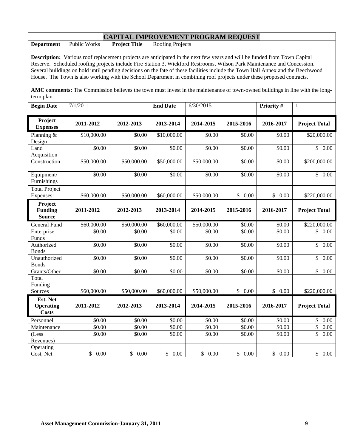| <b>CAPITAL IMPROVEMENT PROGRAM REQUEST</b>                                                                                                                                                                                                                                                                                                                                                                                                                                                                       |                     |                                          |                    |             |           |            |                      |
|------------------------------------------------------------------------------------------------------------------------------------------------------------------------------------------------------------------------------------------------------------------------------------------------------------------------------------------------------------------------------------------------------------------------------------------------------------------------------------------------------------------|---------------------|------------------------------------------|--------------------|-------------|-----------|------------|----------------------|
| <b>Department</b>                                                                                                                                                                                                                                                                                                                                                                                                                                                                                                | <b>Public Works</b> | <b>Project Title</b><br>Roofing Projects |                    |             |           |            |                      |
| Description: Various roof replacement projects are anticipated in the next few years and will be funded from Town Capital<br>Reserve. Scheduled roofing projects include Fire Station 3, Wickford Restrooms, Wilson Park Maintenance and Concession.<br>Several buildings on hold until pending decisions on the fate of these facilities include the Town Hall Annex and the Beechwood<br>House. The Town is also working with the School Department in combining roof projects under these proposed contracts. |                     |                                          |                    |             |           |            |                      |
| AMC comments: The Commission believes the town must invest in the maintenance of town-owned buildings in line with the long-<br>term plan.                                                                                                                                                                                                                                                                                                                                                                       |                     |                                          |                    |             |           |            |                      |
| <b>Begin Date</b>                                                                                                                                                                                                                                                                                                                                                                                                                                                                                                | 7/1/2011            |                                          | <b>End Date</b>    | 6/30/2015   |           | Priority # | $\mathbf{1}$         |
| Project<br><b>Expenses</b>                                                                                                                                                                                                                                                                                                                                                                                                                                                                                       | 2011-2012           | 2012-2013                                | 2013-2014          | 2014-2015   | 2015-2016 | 2016-2017  | <b>Project Total</b> |
| Planning $&$<br>Design                                                                                                                                                                                                                                                                                                                                                                                                                                                                                           | \$10,000.00         | \$0.00                                   | \$10,000.00        | \$0.00      | \$0.00    | \$0.00     | \$20,000.00          |
| Land<br>Acquisition                                                                                                                                                                                                                                                                                                                                                                                                                                                                                              | \$0.00              | \$0.00                                   | \$0.00             | \$0.00      | \$0.00    | \$0.00     | \$0.00               |
| Construction                                                                                                                                                                                                                                                                                                                                                                                                                                                                                                     | \$50,000.00         | \$50,000.00                              | \$50,000.00        | \$50,000.00 | \$0.00    | \$0.00     | \$200,000.00         |
| Equipment/<br>Furnishings                                                                                                                                                                                                                                                                                                                                                                                                                                                                                        | \$0.00              | \$0.00                                   | \$0.00             | \$0.00      | \$0.00    | \$0.00     | \$0.00               |
| <b>Total Project</b><br>Expenses:                                                                                                                                                                                                                                                                                                                                                                                                                                                                                | \$60,000.00         | \$50,000.00                              | \$60,000.00        | \$50,000.00 | \$0.00    | \$0.00     | \$220,000.00         |
| Project<br><b>Funding</b><br><b>Source</b>                                                                                                                                                                                                                                                                                                                                                                                                                                                                       | 2011-2012           | 2012-2013                                | 2013-2014          | 2014-2015   | 2015-2016 | 2016-2017  | <b>Project Total</b> |
| General Fund                                                                                                                                                                                                                                                                                                                                                                                                                                                                                                     | \$60,000.00         | \$50,000.00                              | \$60,000.00        | \$50,000.00 | \$0.00    | \$0.00     | \$220,000.00         |
| Enterprise<br>Funds                                                                                                                                                                                                                                                                                                                                                                                                                                                                                              | \$0.00              | \$0.00                                   | \$0.00             | \$0.00      | \$0.00    | \$0.00     | \$<br>0.00           |
| Authorized<br><b>Bonds</b>                                                                                                                                                                                                                                                                                                                                                                                                                                                                                       | \$0.00              | \$0.00                                   | \$0.00             | \$0.00      | \$0.00    | \$0.00     | $\mathbb{S}$<br>0.00 |
| Unauthorized<br><b>Bonds</b>                                                                                                                                                                                                                                                                                                                                                                                                                                                                                     | $\overline{$}0.00$  | \$0.00                                   | $\overline{50.00}$ | \$0.00      | \$0.00    | \$0.00     | $\mathbb{S}$<br>0.00 |
| Grants/Other                                                                                                                                                                                                                                                                                                                                                                                                                                                                                                     | \$0.00              | \$0.00                                   | \$0.00             | \$0.00      | \$0.00    | \$0.00     | $\mathbb{S}$<br>0.00 |
| Total<br>Funding<br>Sources                                                                                                                                                                                                                                                                                                                                                                                                                                                                                      | \$60,000.00         | \$50,000.00                              | \$60,000.00        | \$50,000.00 | \$0.00    | \$0.00     | \$220,000.00         |
| Est. Net<br><b>Operating</b><br><b>Costs</b>                                                                                                                                                                                                                                                                                                                                                                                                                                                                     | 2011-2012           | 2012-2013                                | 2013-2014          | 2014-2015   | 2015-2016 | 2016-2017  | <b>Project Total</b> |
| Personnel                                                                                                                                                                                                                                                                                                                                                                                                                                                                                                        | \$0.00              | \$0.00                                   | \$0.00             | \$0.00      | \$0.00    | \$0.00     | \$<br>0.00           |
| Maintenance                                                                                                                                                                                                                                                                                                                                                                                                                                                                                                      | \$0.00              | \$0.00                                   | \$0.00             | \$0.00      | \$0.00    | \$0.00     | \$<br>0.00           |
| (Less)<br>Revenues)                                                                                                                                                                                                                                                                                                                                                                                                                                                                                              | \$0.00              | \$0.00                                   | \$0.00             | \$0.00      | \$0.00    | \$0.00     | \$<br>0.00           |
| Operating<br>Cost, Net                                                                                                                                                                                                                                                                                                                                                                                                                                                                                           | \$0.00              | \$0.00                                   | \$0.00             | \$0.00      | \$0.00    | \$0.00     | \$0.00               |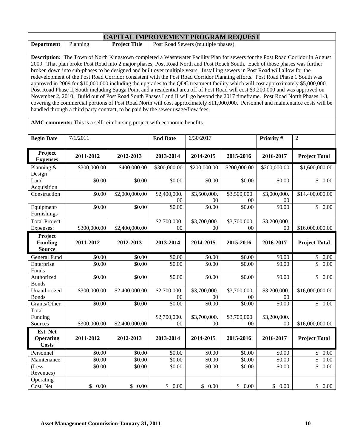| <b>CAPITAL IMPROVEMENT PROGRAM REQUEST</b>                                                                                           |                                                                                                                               |                      |                                                                                                                                   |  |  |  |  |
|--------------------------------------------------------------------------------------------------------------------------------------|-------------------------------------------------------------------------------------------------------------------------------|----------------------|-----------------------------------------------------------------------------------------------------------------------------------|--|--|--|--|
| <b>Department</b>                                                                                                                    | Planning                                                                                                                      | <b>Project Title</b> | Post Road Sewers (multiple phases)                                                                                                |  |  |  |  |
|                                                                                                                                      |                                                                                                                               |                      |                                                                                                                                   |  |  |  |  |
| <b>Description:</b> The Town of North Kingstown completed a Wastewater Facility Plan for sewers for the Post Road Corridor in August |                                                                                                                               |                      |                                                                                                                                   |  |  |  |  |
|                                                                                                                                      | 2009. That plan broke Post Road into 2 major phases, Post Road North and Post Roach South. Each of those phases was further   |                      |                                                                                                                                   |  |  |  |  |
| broken down into sub-phases to be designed and built over multiple years. Installing sewers in Post Road will allow for the          |                                                                                                                               |                      |                                                                                                                                   |  |  |  |  |
|                                                                                                                                      |                                                                                                                               |                      | redevelopment of the Post Road Corridor consistent with the Post Road Corridor Planning efforts. Post Road Phase 1 South was      |  |  |  |  |
|                                                                                                                                      |                                                                                                                               |                      | approved in 2009 for \$10,000,000 including the upgrades to the QDC treatment facility which will cost approximately \$5,000,000. |  |  |  |  |
|                                                                                                                                      |                                                                                                                               |                      | Post Road Phase II South including Sauga Point and a residential area off of Post Road will cost \$9,200,000 and was approved on  |  |  |  |  |
|                                                                                                                                      | November 2, 2010. Build out of Post Road South Phases I and II will go beyond the 2017 timeframe. Post Road North Phases 1-3, |                      |                                                                                                                                   |  |  |  |  |
| covering the commercial portions of Post Road North will cost approximately \$11,000,000. Personnel and maintenance costs will be    |                                                                                                                               |                      |                                                                                                                                   |  |  |  |  |
|                                                                                                                                      |                                                                                                                               |                      | handled through a third party contract, to be paid by the sewer usage/flow fees.                                                  |  |  |  |  |
|                                                                                                                                      |                                                                                                                               |                      |                                                                                                                                   |  |  |  |  |

**AMC comments:** This is a self-reimbursing project with economic benefits.

| <b>Begin Date</b>                            | 7/1/2011             |                          | <b>End Date</b>        | 6/30/2017              |                        | Priority #             | $\overline{2}$                  |
|----------------------------------------------|----------------------|--------------------------|------------------------|------------------------|------------------------|------------------------|---------------------------------|
| Project<br><b>Expenses</b>                   | 2011-2012            | 2012-2013                | 2013-2014              | 2014-2015              | 2015-2016              | 2016-2017              | <b>Project Total</b>            |
| Planning &<br>Design                         | \$300,000.00         | \$400,000.00             | \$300,000.00           | \$200,000.00           | \$200,000.00           | \$200,000.00           | \$1,600,000.00                  |
| Land<br>Acquisition                          | \$0.00               | \$0.00                   | \$0.00                 | \$0.00                 | \$0.00                 | \$0.00                 | $\mathbb{S}$<br>0.00            |
| Construction                                 | \$0.00               | \$2,000,000.00           | \$2,400,000.<br>$00\,$ | \$3,500,000.<br>$00\,$ | \$3,500,000.<br>00     | \$3,000,000.<br>$00\,$ | \$14,400,000.00                 |
| Equipment/<br>Furnishings                    | \$0.00               | \$0.00                   | \$0.00                 | \$0.00                 | \$0.00                 | \$0.00                 | \$0.00                          |
| <b>Total Project</b><br>Expenses:            | \$300,000.00         | \$2,400,000.00           | \$2,700,000.<br>00     | \$3,700,000.<br>$00\,$ | \$3,700,000.<br>$00\,$ | \$3,200,000.<br>00     | \$16,000,000.00                 |
| Project<br><b>Funding</b><br><b>Source</b>   | 2011-2012            | 2012-2013                | 2013-2014              | 2014-2015              | 2015-2016              | 2016-2017              | <b>Project Total</b>            |
| General Fund                                 | \$0.00               | \$0.00                   | \$0.00                 | \$0.00                 | \$0.00                 | \$0.00                 | \$<br>$0.00\,$                  |
| Enterprise<br>Funds                          | \$0.00               | \$0.00                   | \$0.00                 | \$0.00                 | \$0.00                 | \$0.00                 | $\overline{\mathbb{S}}$<br>0.00 |
| Authorized<br><b>Bonds</b>                   | \$0.00               | \$0.00                   | \$0.00                 | \$0.00                 | \$0.00                 | \$0.00                 | $\overline{\mathbb{S}}$<br>0.00 |
| Unauthorized<br><b>Bonds</b>                 | \$300,000.00         | \$2,400,000.00           | \$2,700,000.<br>$00\,$ | \$3,700,000.<br>$00\,$ | \$3,700,000.<br>00     | \$3,200,000.<br>$00\,$ | \$16,000,000.00                 |
| Grants/Other<br>Total                        | \$0.00               | \$0.00                   | \$0.00                 | \$0.00                 | \$0.00                 | \$0.00                 | $\overline{\mathbb{S}}$<br>0.00 |
| Funding<br>Sources                           | \$300,000.00         | \$2,400,000.00           | \$2,700,000.<br>00     | \$3,700,000.<br>$00\,$ | \$3,700,000.<br>$00\,$ | \$3,200,000.<br>00     | \$16,000,000.00                 |
| Est. Net<br><b>Operating</b><br><b>Costs</b> | 2011-2012            | 2012-2013                | 2013-2014              | 2014-2015              | 2015-2016              | 2016-2017              | <b>Project Total</b>            |
| Personnel                                    | \$0.00               | \$0.00                   | \$0.00                 | \$0.00                 | \$0.00                 | \$0.00                 | \$<br>$0.00\,$                  |
| Maintenance                                  | $\overline{$}0.00$   | \$0.00                   | \$0.00                 | $\overline{$}0.00$     | \$0.00                 | \$0.00                 | $\overline{\$}$<br>0.00         |
| (Less<br>Revenues)                           | \$0.00               | \$0.00                   | \$0.00                 | \$0.00                 | \$0.00                 | \$0.00                 | $\overline{\mathbb{S}}$<br>0.00 |
| Operating<br>Cost, Net                       | $\mathbb{S}$<br>0.00 | $0.00\,$<br>$\mathbb{S}$ | \$<br>0.00             | \$0.00                 | $\mathbb{S}$<br>0.00   | \$<br>0.00             | \$<br>$0.00\,$                  |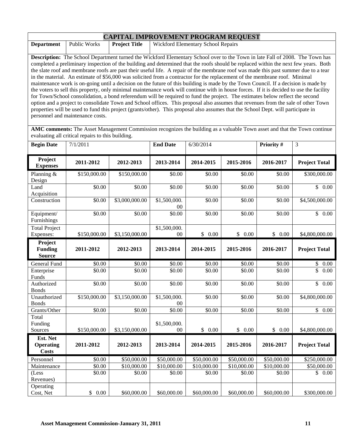| <b>CAPITAL IMPROVEMENT PROGRAM REQUEST</b>                                                                                          |                                                                                                                                          |                      |                                                                                                                                     |  |  |  |  |
|-------------------------------------------------------------------------------------------------------------------------------------|------------------------------------------------------------------------------------------------------------------------------------------|----------------------|-------------------------------------------------------------------------------------------------------------------------------------|--|--|--|--|
| <b>Department</b>                                                                                                                   | Public Works                                                                                                                             | <b>Project Title</b> | <b>Wickford Elementary School Repairs</b>                                                                                           |  |  |  |  |
|                                                                                                                                     |                                                                                                                                          |                      |                                                                                                                                     |  |  |  |  |
|                                                                                                                                     | <b>Description:</b> The School Department turned the Wickford Elementary School over to the Town in late Fall of 2008. The Town has      |                      |                                                                                                                                     |  |  |  |  |
| completed a preliminary inspection of the building and determined that the roofs should be replaced within the next few years. Both |                                                                                                                                          |                      |                                                                                                                                     |  |  |  |  |
|                                                                                                                                     |                                                                                                                                          |                      | the slate roof and membrane roofs are past their useful life. A repair of the membrane roof was made this past summer due to a tear |  |  |  |  |
|                                                                                                                                     |                                                                                                                                          |                      | in the material. An estimate of \$56,000 was solicited from a contractor for the replacement of the membrane roof. Minimal          |  |  |  |  |
|                                                                                                                                     |                                                                                                                                          |                      | maintenance work is on-going until a decision on the future of this building is made by the Town Council. If a decision is made by  |  |  |  |  |
|                                                                                                                                     | the voters to sell this property, only minimal maintenance work will continue with in house forces. If it is decided to use the facility |                      |                                                                                                                                     |  |  |  |  |
|                                                                                                                                     |                                                                                                                                          |                      | for Town/School consolidation, a bond referendum will be required to fund the project. The estimates below reflect the second       |  |  |  |  |
|                                                                                                                                     |                                                                                                                                          |                      | option and a project to consolidate Town and School offices. This proposal also assumes that revenues from the sale of other Town   |  |  |  |  |

**AMC comments:** The Asset Management Commission recognizes the building as a valuable Town asset and that the Town continue evaluating all critical repairs to this building.

properties will be used to fund this project (grants/other). This proposal also assumes that the School Dept. will participate in

| <b>Begin Date</b>                          | 7/1/2011     |                | <b>End Date</b>        | 6/30/2014   |             | Priority #         | 3                               |
|--------------------------------------------|--------------|----------------|------------------------|-------------|-------------|--------------------|---------------------------------|
| Project<br><b>Expenses</b>                 | 2011-2012    | 2012-2013      | 2013-2014              | 2014-2015   | 2015-2016   | 2016-2017          | <b>Project Total</b>            |
| Planning &<br>Design                       | \$150,000.00 | \$150,000.00   | \$0.00                 | \$0.00      | \$0.00      | \$0.00             | \$300,000.00                    |
| Land<br>Acquisition                        | \$0.00       | \$0.00         | \$0.00                 | \$0.00      | \$0.00      | \$0.00             | $\overline{\$}$ 0.00            |
| Construction                               | \$0.00       | \$3,000,000.00 | \$1,500,000.<br>$00\,$ | \$0.00      | \$0.00      | \$0.00             | \$4,500,000.00                  |
| Equipment/<br>Furnishings                  | \$0.00       | \$0.00         | \$0.00                 | \$0.00      | \$0.00      | \$0.00             | \$0.00                          |
| <b>Total Project</b><br>Expenses:          | \$150,000.00 | \$3,150,000.00 | \$1,500,000.<br>00     | \$0.00      | \$0.00      | \$0.00             | \$4,800,000.00                  |
| Project<br><b>Funding</b><br><b>Source</b> | 2011-2012    | 2012-2013      | 2013-2014              | 2014-2015   | 2015-2016   | 2016-2017          | <b>Project Total</b>            |
| <b>General Fund</b>                        | \$0.00       | \$0.00         | \$0.00                 | \$0.00      | \$0.00      | \$0.00             | 0.00<br>\$                      |
| Enterprise<br>Funds                        | \$0.00       | \$0.00         | \$0.00                 | \$0.00      | \$0.00      | \$0.00             | $\overline{\mathbb{S}}$<br>0.00 |
| Authorized<br><b>Bonds</b>                 | \$0.00       | \$0.00         | \$0.00                 | \$0.00      | \$0.00      | $\overline{$}0.00$ | $\overline{\mathbb{S}}$<br>0.00 |
| Unauthorized<br><b>Bonds</b>               | \$150,000.00 | \$3,150,000.00 | \$1,500,000.<br>00     | \$0.00      | \$0.00      | \$0.00             | \$4,800,000.00                  |
| Grants/Other                               | \$0.00       | \$0.00         | \$0.00                 | \$0.00      | \$0.00      | \$0.00             | \$0.00                          |
| Total<br>Funding<br>Sources                | \$150,000.00 | \$3,150,000.00 | \$1,500,000.<br>$00\,$ | \$0.00      | \$0.00      | \$0.00             | \$4,800,000.00                  |
| Est. Net                                   |              |                |                        |             |             |                    |                                 |
| <b>Operating</b><br><b>Costs</b>           | 2011-2012    | 2012-2013      | 2013-2014              | 2014-2015   | 2015-2016   | 2016-2017          | <b>Project Total</b>            |
| Personnel                                  | \$0.00       | \$50,000.00    | \$50,000.00            | \$50,000.00 | \$50,000.00 | \$50,000.00        | \$250,000.00                    |
| Maintenance                                | \$0.00       | \$10,000.00    | \$10,000.00            | \$10,000.00 | \$10,000.00 | \$10,000.00        | \$50,000.00                     |
| (Less<br>Revenues)                         | \$0.00       | \$0.00         | \$0.00                 | \$0.00      | \$0.00      | \$0.00             | \$0.00                          |
| Operating<br>Cost, Net                     | \$0.00       | \$60,000.00    | \$60,000.00            | \$60,000.00 | \$60,000.00 | \$60,000.00        | \$300,000.00                    |

personnel and maintenance costs.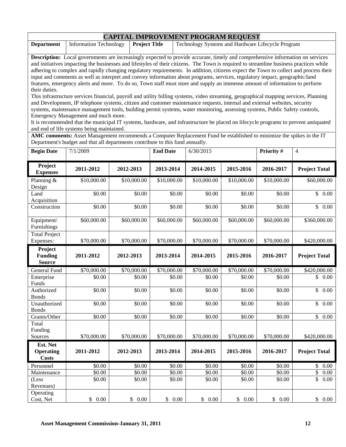| <b>CAPITAL IMPROVEMENT PROGRAM REQUEST</b> |                                                                   |  |                                                   |  |  |  |  |
|--------------------------------------------|-------------------------------------------------------------------|--|---------------------------------------------------|--|--|--|--|
|                                            | <b>Department</b>   Information Technology   <b>Project Title</b> |  | Technology Systems and Hardware Lifecycle Program |  |  |  |  |

**Description:** Local governments are increasingly expected to provide accurate, timely and comprehensive information on services and initiatives impacting the businesses and lifestyles of their citizens. The Town is required to streamline business practices while adhering to complex and rapidly changing regulatory requirements. In addition, citizens expect the Town to collect and process their input and comments as well as interpret and convey information about programs, services, regulatory impact, geographic/land features, emergency alerts and more. To do so, Town staff must store and supply an immense amount of information to perform their duties.

This infrastructure services financial, payroll and utility billing systems, video streaming, geographical mapping services, Planning and Development, IP telephone systems, citizen and customer maintenance requests, internal and external websites, security systems, maintenance management tools, building permit systems, water monitoring, assessing systems, Public Safety controls, Emergency Management and much more.

It is recommended that the municipal IT systems, hardware, and infrastructure be placed on lifecycle programs to prevent antiquated and end of life systems being maintained.

**AMC comments:** Asset Management recommends a Computer Replacement Fund be established to minimize the spikes in the IT Department's budget and that all departments contribute to this fund annually.

| <b>Begin Date</b>                            | 7/1/2009    |                    | <b>End Date</b> | 6/30/2015        |                | Priority #           | $\overline{4}$                               |
|----------------------------------------------|-------------|--------------------|-----------------|------------------|----------------|----------------------|----------------------------------------------|
| Project<br><b>Expenses</b>                   | 2011-2012   | 2012-2013          | 2013-2014       | 2014-2015        | 2015-2016      | 2016-2017            | <b>Project Total</b>                         |
| Planning &<br>Design                         | \$10,000.00 | \$10,000.00        | \$10,000.00     | \$10,000.00      | \$10,000.00    | \$10,000.00          | \$60,000.00                                  |
| Land<br>Acquisition                          | \$0.00      | \$0.00             | \$0.00          | \$0.00           | \$0.00         | \$0.00               | \$<br>0.00                                   |
| Construction                                 | \$0.00      | \$0.00             | \$0.00          | \$0.00           | \$0.00         | \$0.00               | \$<br>0.00                                   |
| Equipment/<br>Furnishings                    | \$60,000.00 | \$60,000.00        | \$60,000.00     | \$60,000.00      | \$60,000.00    | \$60,000.00          | \$360,000.00                                 |
| <b>Total Project</b><br>Expenses:            | \$70,000.00 | \$70,000.00        | \$70,000.00     | \$70,000.00      | \$70,000.00    | \$70,000.00          | \$420,000.00                                 |
| Project<br><b>Funding</b><br><b>Source</b>   | 2011-2012   | 2012-2013          | 2013-2014       | 2014-2015        | 2015-2016      | 2016-2017            | <b>Project Total</b>                         |
| <b>General Fund</b>                          | \$70,000.00 | \$70,000.00        | \$70,000.00     | \$70,000.00      | \$70,000.00    | \$70,000.00          | \$420,000.00                                 |
| Enterprise<br>Funds                          | \$0.00      | \$0.00             | \$0.00          | \$0.00           | \$0.00         | \$0.00               | \$<br>0.00                                   |
| Authorized<br><b>Bonds</b>                   | \$0.00      | \$0.00             | \$0.00          | \$0.00           | \$0.00         | \$0.00               | $\overline{\mathbb{S}}$<br>$\overline{0.00}$ |
| Unauthorized<br><b>Bonds</b>                 | \$0.00      | \$0.00             | \$0.00          | \$0.00           | \$0.00         | \$0.00               | \$<br>$\overline{0.00}$                      |
| Grants/Other                                 | \$0.00      | $\overline{$}0.00$ | \$0.00          | \$0.00           | \$0.00         | $\overline{$}0.00$   | $\overline{\mathbb{S}}$<br>0.00              |
| Total<br>Funding                             |             |                    |                 |                  |                |                      |                                              |
| Sources                                      | \$70,000.00 | \$70,000.00        | \$70,000.00     | \$70,000.00      | \$70,000.00    | \$70,000.00          | \$420,000.00                                 |
| Est. Net<br><b>Operating</b><br><b>Costs</b> | 2011-2012   | 2012-2013          | 2013-2014       | 2014-2015        | 2015-2016      | 2016-2017            | <b>Project Total</b>                         |
| Personnel                                    | \$0.00      | \$0.00             | \$0.00          | \$0.00           | \$0.00         | \$0.00               | $\mathbb{S}$<br>0.00                         |
| Maintenance                                  | \$0.00      | \$0.00             | \$0.00          | $\frac{1}{0.00}$ | \$0.00         | \$0.00               | $\overline{\$}$<br>0.00                      |
| (Less<br>Revenues)                           | \$0.00      | \$0.00             | \$0.00          | \$0.00           | \$0.00         | \$0.00               | $\overline{\$}$<br>0.00                      |
| Operating<br>Cost, Net                       | \$0.00      | \$<br>$0.00\,$     | \$<br>0.00      | \$0.00           | \$<br>$0.00\,$ | $\mathbb{S}$<br>0.00 | \$<br>0.00                                   |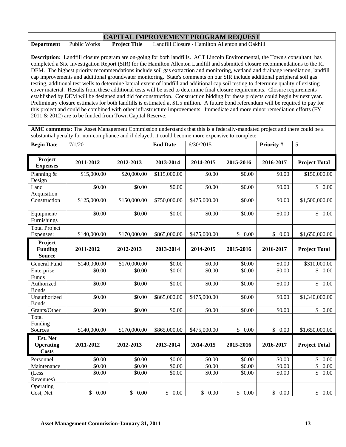| <b>CAPITAL IMPROVEMENT PROGRAM REQUEST</b> |                                                                                                                                     |  |                                                                                                                                |  |  |  |  |
|--------------------------------------------|-------------------------------------------------------------------------------------------------------------------------------------|--|--------------------------------------------------------------------------------------------------------------------------------|--|--|--|--|
| <b>Department</b>                          | <b>Project Title</b><br>Landfill Closure - Hamilton Allenton and Oakhill<br><b>Public Works</b>                                     |  |                                                                                                                                |  |  |  |  |
|                                            |                                                                                                                                     |  |                                                                                                                                |  |  |  |  |
|                                            | <b>Description:</b> Landfill closure program are on-going for both landfills. ACT Lincoln Environmental, the Town's consultant, has |  |                                                                                                                                |  |  |  |  |
|                                            |                                                                                                                                     |  | completed a Site Investigation Report (SIR) for the Hamilton Allenton Landfill and submitted closure recommendations to the RI |  |  |  |  |

DEM. The highest priority recommendations include soil gas extraction and monitoring, wetland and drainage remediation, landfill cap improvements and additional groundwater monitoring. State's comments on our SIR include additional peripheral soil gas testing, additional test wells to determine lateral extent of landfill and additional cap soil testing to determine quality of existing cover material. Results from these additional tests will be used to determine final closure requirements. Closure requirements established by DEM will be designed and did for construction. Construction bidding for these projects could begin by next year. Preliminary closure estimates for both landfills is estimated at \$1.5 million. A future bond referendum will be required to pay for this project and could be combined with other infrastructure improvements. Immediate and more minor remediation efforts (FY 2011 & 2012) are to be funded from Town Capital Reserve.

**AMC comments:** The Asset Management Commission understands that this is a federally-mandated project and there could be a substantial penalty for non-compliance and if delayed, it could become more expensive to complete.

| <b>Begin Date</b>                            | 7/1/2011     |              | <b>End Date</b> | 6/30/2015    |            | Priority #             | 5                                    |
|----------------------------------------------|--------------|--------------|-----------------|--------------|------------|------------------------|--------------------------------------|
| Project<br><b>Expenses</b>                   | 2011-2012    | 2012-2013    | 2013-2014       | 2014-2015    | 2015-2016  | 2016-2017              | <b>Project Total</b>                 |
| Planning $&$<br>Design                       | \$15,000.00  | \$20,000.00  | \$115,000.00    | \$0.00       | \$0.00     | \$0.00                 | \$150,000.00                         |
| Land<br>Acquisition                          | \$0.00       | \$0.00       | \$0.00          | \$0.00       | \$0.00     | \$0.00                 | $\mathbb{S}$<br>0.00                 |
| Construction                                 | \$125,000.00 | \$150,000.00 | \$750,000.00    | \$475,000.00 | \$0.00     | \$0.00                 | \$1,500,000.00                       |
| Equipment/<br>Furnishings                    | \$0.00       | \$0.00       | \$0.00          | \$0.00       | \$0.00     | \$0.00                 | \$0.00                               |
| <b>Total Project</b><br>Expenses:            | \$140,000.00 | \$170,000.00 | \$865,000.00    | \$475,000.00 | \$0.00     | \$0.00                 | \$1,650,000.00                       |
| Project<br><b>Funding</b><br><b>Source</b>   | 2011-2012    | 2012-2013    | 2013-2014       | 2014-2015    | 2015-2016  | 2016-2017              | <b>Project Total</b>                 |
| General Fund                                 | \$140,000.00 | \$170,000.00 | \$0.00          | \$0.00       | \$0.00     | \$0.00                 | \$310,000.00                         |
| Enterprise<br>Funds                          | \$0.00       | \$0.00       | \$0.00          | \$0.00       | \$0.00     | \$0.00                 | \$<br>0.00                           |
| Authorized<br><b>Bonds</b>                   | \$0.00       | \$0.00       | \$0.00          | \$0.00       | \$0.00     | \$0.00                 | \$<br>0.00                           |
| Unauthorized<br><b>Bonds</b>                 | \$0.00       | \$0.00       | \$865,000.00    | \$475,000.00 | \$0.00     | \$0.00                 | \$1,340,000.00                       |
| Grants/Other                                 | \$0.00       | \$0.00       | \$0.00          | \$0.00       | \$0.00     | \$0.00                 | \$0.00                               |
| Total<br>Funding<br>Sources                  |              |              |                 |              | \$0.00     | \$0.00                 |                                      |
|                                              | \$140,000.00 | \$170,000.00 | \$865,000.00    | \$475,000.00 |            |                        | \$1,650,000.00                       |
| Est. Net<br><b>Operating</b><br><b>Costs</b> | 2011-2012    | 2012-2013    | 2013-2014       | 2014-2015    | 2015-2016  | 2016-2017              | <b>Project Total</b>                 |
| Personnel                                    | \$0.00       | \$0.00       | \$0.00          | \$0.00       | \$0.00     | \$0.00                 | \$<br>0.00                           |
| Maintenance                                  | \$0.00       | \$0.00       | \$0.00          | \$0.00       | \$0.00     | \$0.00                 | $\overline{\mathbb{S}}$<br>0.00      |
| (Less<br>Revenues)                           | \$0.00       | \$0.00       | \$0.00          | \$0.00       | \$0.00     | \$0.00                 | $\overline{\$}$<br>$\overline{0.00}$ |
| Operating<br>Cost, Net                       | \$0.00       | \$<br>0.00   | \$<br>0.00      | \$0.00       | \$<br>0.00 | $\mathbb{S}^-$<br>0.00 | \$<br>0.00                           |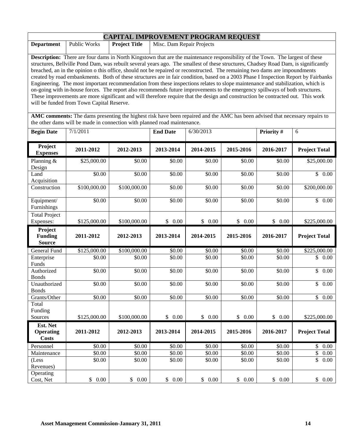| <b>CAPITAL IMPROVEMENT PROGRAM REQUEST</b>                                                                                   |                                                                   |  |                                                                                                                                      |  |  |  |  |
|------------------------------------------------------------------------------------------------------------------------------|-------------------------------------------------------------------|--|--------------------------------------------------------------------------------------------------------------------------------------|--|--|--|--|
| <b>Department</b>                                                                                                            | Misc. Dam Repair Projects<br><b>Project Title</b><br>Public Works |  |                                                                                                                                      |  |  |  |  |
|                                                                                                                              |                                                                   |  |                                                                                                                                      |  |  |  |  |
|                                                                                                                              |                                                                   |  | <b>Description:</b> There are four dams in North Kingstown that are the maintenance responsibility of the Town. The largest of these |  |  |  |  |
|                                                                                                                              |                                                                   |  | structures, Bellville Pond Dam, was rebuilt several years ago. The smallest of these structures, Chadsey Road Dam, is significantly  |  |  |  |  |
|                                                                                                                              |                                                                   |  | breached, an in the opinion o this office, should not be repaired or reconstructed. The remaining two dams are impoundments          |  |  |  |  |
|                                                                                                                              |                                                                   |  | created by road embankments. Both of these structures are in fair condition, based on a 2003 Phase I Inspection Report by Fairbanks  |  |  |  |  |
|                                                                                                                              |                                                                   |  | Engineering. The most important recommendation from these inspections relates to slope maintenance and stabilization, which is       |  |  |  |  |
|                                                                                                                              |                                                                   |  | on-going with in-house forces. The report also recommends future improvements to the emergency spillways of both structures.         |  |  |  |  |
|                                                                                                                              |                                                                   |  | These improvements are more significant and will therefore require that the design and construction be contracted out. This work     |  |  |  |  |
|                                                                                                                              | will be funded from Town Capital Reserve.                         |  |                                                                                                                                      |  |  |  |  |
|                                                                                                                              |                                                                   |  |                                                                                                                                      |  |  |  |  |
| AMC comments: The dams presenting the highest risk have been repaired and the AMC has been advised that necessary repairs to |                                                                   |  |                                                                                                                                      |  |  |  |  |
|                                                                                                                              |                                                                   |  | the other dams will be made in connection with planned road maintenance.                                                             |  |  |  |  |
|                                                                                                                              |                                                                   |  |                                                                                                                                      |  |  |  |  |

| <b>Begin Date</b>                            | 7/1/2011     |              | <b>End Date</b> | 6/30/2013 |           | Priority #         | 6                                |
|----------------------------------------------|--------------|--------------|-----------------|-----------|-----------|--------------------|----------------------------------|
| Project<br><b>Expenses</b>                   | 2011-2012    | 2012-2013    | 2013-2014       | 2014-2015 | 2015-2016 | 2016-2017          | <b>Project Total</b>             |
| Planning &<br>Design                         | \$25,000.00  | \$0.00       | \$0.00          | \$0.00    | \$0.00    | \$0.00             | \$25,000.00                      |
| Land<br>Acquisition                          | \$0.00       | \$0.00       | \$0.00          | \$0.00    | \$0.00    | \$0.00             | \$0.00                           |
| Construction                                 | \$100,000.00 | \$100,000.00 | \$0.00          | \$0.00    | \$0.00    | \$0.00             | \$200,000.00                     |
| Equipment/<br>Furnishings                    | \$0.00       | \$0.00       | \$0.00          | \$0.00    | \$0.00    | \$0.00             | \$0.00                           |
| <b>Total Project</b><br>Expenses:            | \$125,000.00 | \$100,000.00 | \$0.00          | \$0.00    | \$0.00    | \$0.00             | \$225,000.00                     |
| Project<br><b>Funding</b><br><b>Source</b>   | 2011-2012    | 2012-2013    | 2013-2014       | 2014-2015 | 2015-2016 | 2016-2017          | <b>Project Total</b>             |
| General Fund                                 | \$125,000.00 | \$100,000.00 | \$0.00          | \$0.00    | \$0.00    | \$0.00             | \$225,000.00                     |
| Enterprise<br>Funds                          | \$0.00       | \$0.00       | \$0.00          | \$0.00    | \$0.00    | \$0.00             | $\overline{\mathcal{S}}$<br>0.00 |
| Authorized<br><b>Bonds</b>                   | \$0.00       | \$0.00       | \$0.00          | \$0.00    | \$0.00    | \$0.00             | $\mathsf{\$}$<br>0.00            |
| Unauthorized<br><b>Bonds</b>                 | \$0.00       | \$0.00       | \$0.00          | \$0.00    | \$0.00    | \$0.00             | $\overline{\mathcal{S}}$<br>0.00 |
| Grants/Other                                 | \$0.00       | \$0.00       | \$0.00          | \$0.00    | \$0.00    | \$0.00             | \$0.00                           |
| Total<br>Funding                             |              |              |                 |           |           |                    |                                  |
| Sources                                      | \$125,000.00 | \$100,000.00 | \$0.00          | \$0.00    | \$0.00    | \$0.00             | \$225,000.00                     |
| Est. Net<br><b>Operating</b><br><b>Costs</b> | 2011-2012    | 2012-2013    | 2013-2014       | 2014-2015 | 2015-2016 | 2016-2017          | <b>Project Total</b>             |
| Personnel                                    | \$0.00       | \$0.00       | \$0.00          | \$0.00    | \$0.00    | \$0.00             | $\mathbb{S}$<br>0.00             |
| Maintenance                                  | \$0.00       | \$0.00       | \$0.00          | \$0.00    | \$0.00    | $\overline{$}0.00$ | \$<br>$0.00\,$                   |
| (Less<br>Revenues)                           | \$0.00       | \$0.00       | \$0.00          | \$0.00    | \$0.00    | \$0.00             | \$<br>0.00                       |
| Operating<br>Cost, Net                       | \$0.00       | \$0.00       | \$0.00          | \$0.00    | \$0.00    | \$0.00             | \$0.00                           |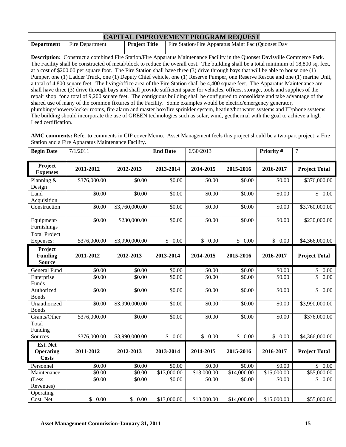| <b>CAPITAL IMPROVEMENT PROGRAM REQUEST</b> |                 |                      |                                                    |  |  |  |  |
|--------------------------------------------|-----------------|----------------------|----------------------------------------------------|--|--|--|--|
| <b>Department</b>                          | Fire Department | <b>Project Title</b> | Fire Station/Fire Apparatus Maint Fac (Quonset Dav |  |  |  |  |

**Description:** Construct a combined Fire Station/Fire Apparatus Maintenance Facility in the Quonset Davisville Commerce Park. The Facility shall be constructed of metal/block to reduce the overall cost. The building shall be a total minimum of 18,800 sq. feet, at a cost of \$200.00 per square foot. The Fire Station shall have three (3) drive through bays that will be able to house one (1) Pumper, one (1) Ladder Truck, one (1) Deputy Chief vehicle, one (1) Reserve Pumper, one Reserve Rescue and one (1) marine Unit, a total of 4,800 square feet. The living/office area of the Fire Station shall be 4,400 square feet. The Apparatus Maintenance are shall have three (3) drive through bays and shall provide sufficient space for vehicles, offices, storage, tools and supplies of the repair shop, for a total of 9,200 square feet. The contiguous building shall be configured to consolidate and take advantage of the shared use of many of the common fixtures of the Facility. Some examples would be electric/emergency generator, plumbing/showers/locker rooms, fire alarm and master box/fire sprinkler system, heating/hot water systems and IT/phone systems. The building should incorporate the use of GREEN technologies such as solar, wind, geothermal with the goal to achieve a high Leed certification.

**AMC comments:** Refer to comments in CIP cover Memo. Asset Management feels this project should be a two-part project; a Fire Station and a Fire Apparatus Maintenance Facility.

| <b>Begin Date</b>                            | 7/1/2011     |                | <b>End Date</b> | 6/30/2013   |             | Priority #  | $\tau$                               |
|----------------------------------------------|--------------|----------------|-----------------|-------------|-------------|-------------|--------------------------------------|
| Project<br><b>Expenses</b>                   | 2011-2012    | 2012-2013      | 2013-2014       | 2014-2015   | 2015-2016   | 2016-2017   | <b>Project Total</b>                 |
| Planning &<br>Design                         | \$376,000.00 | \$0.00         | \$0.00          | \$0.00      | \$0.00      | \$0.00      | \$376,000.00                         |
| Land<br>Acquisition                          | \$0.00       | \$0.00         | \$0.00          | \$0.00      | \$0.00      | \$0.00      | \$0.00                               |
| Construction                                 | \$0.00       | \$3,760,000.00 | \$0.00          | \$0.00      | \$0.00      | \$0.00      | \$3,760,000.00                       |
| Equipment/<br>Furnishings                    | \$0.00       | \$230,000.00   | \$0.00          | \$0.00      | \$0.00      | \$0.00      | \$230,000.00                         |
| <b>Total Project</b><br>Expenses:            | \$376,000.00 | \$3,990,000.00 | \$0.00          | \$ 0.00     | \$0.00      | \$0.00      | \$4,366,000.00                       |
| Project<br><b>Funding</b><br><b>Source</b>   | 2011-2012    | 2012-2013      | 2013-2014       | 2014-2015   | 2015-2016   | 2016-2017   | <b>Project Total</b>                 |
| General Fund                                 | \$0.00       | \$0.00         | \$0.00          | \$0.00      | \$0.00      | \$0.00      | \$<br>$0.00\,$                       |
| Enterprise<br>Funds                          | \$0.00       | \$0.00         | \$0.00          | \$0.00      | \$0.00      | \$0.00      | $\overline{\$}$<br>$\overline{0.00}$ |
| Authorized<br><b>Bonds</b>                   | \$0.00       | \$0.00         | \$0.00          | \$0.00      | \$0.00      | \$0.00      | \$<br>0.00                           |
| Unauthorized<br><b>Bonds</b>                 | \$0.00       | \$3,990,000.00 | \$0.00          | \$0.00      | \$0.00      | \$0.00      | \$3,990,000.00                       |
| Grants/Other                                 | \$376,000.00 | \$0.00         | \$0.00          | \$0.00      | \$0.00      | \$0.00      | \$376,000.00                         |
| Total<br>Funding                             |              |                |                 |             |             |             |                                      |
| Sources                                      | \$376,000.00 | \$3,990,000.00 | \$0.00          | \$0.00      | \$0.00      | \$0.00      | \$4,366,000.00                       |
| Est. Net<br><b>Operating</b><br><b>Costs</b> | 2011-2012    | 2012-2013      | 2013-2014       | 2014-2015   | 2015-2016   | 2016-2017   | <b>Project Total</b>                 |
| Personnel                                    | \$0.00       | \$0.00         | \$0.00          | \$0.00      | \$0.00      | \$0.00      | \$0.00                               |
| Maintenance                                  | \$0.00       | \$0.00         | \$13,000.00     | \$13,000.00 | \$14,000.00 | \$15,000.00 | \$55,000.00                          |
| (Less<br>Revenues)                           | \$0.00       | \$0.00         | \$0.00          | \$0.00      | \$0.00      | \$0.00      | 0.00<br>$\mathbb{S}$                 |
| Operating<br>Cost, Net                       | \$0.00       | \$0.00         | \$13,000.00     | \$13,000.00 | \$14,000.00 | \$15,000.00 | \$55,000.00                          |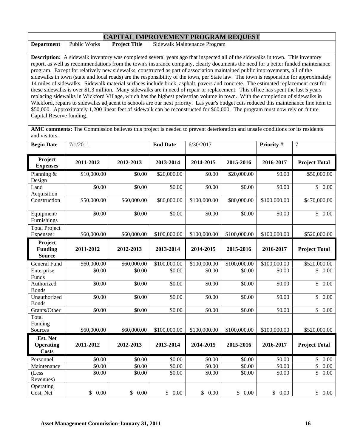| <b>CAPITAL IMPROVEMENT PROGRAM REQUEST</b>                                                                                           |              |               |                                                                                                                                  |  |  |  |
|--------------------------------------------------------------------------------------------------------------------------------------|--------------|---------------|----------------------------------------------------------------------------------------------------------------------------------|--|--|--|
| <b>Department</b>                                                                                                                    | Public Works | Project Title | <b>Sidewalk Maintenance Program</b>                                                                                              |  |  |  |
|                                                                                                                                      |              |               |                                                                                                                                  |  |  |  |
| <b>Description:</b> A sidewalk inventory was completed several years ago that inspected all of the sidewalks in town. This inventory |              |               |                                                                                                                                  |  |  |  |
|                                                                                                                                      |              |               | report, as well as recommendations from the town's insurance company, clearly documents the need for a better funded maintenance |  |  |  |

report, as well as recommendations from the town's insurance company, clearly documents the need for a better funded maintenance program. Except for relatively new sidewalks, constructed as part of association maintained public improvements, all of the sidewalks in town (state and local roads) are the responsibility of the town, per State law. The town is responsible for approximately 14 miles of sidewalks. Sidewalk material surfaces include brick, asphalt, pavers and concrete. The estimated replacement cost for these sidewalks is over \$1.3 million. Many sidewalks are in need of repair or replacement. This office has spent the last 5 years replacing sidewalks in Wickford Village, which has the highest pedestrian volume in town. With the completion of sidewalks in Wickford, repairs to sidewalks adjacent to schools are our next priority. Las year's budget cuts reduced this maintenance line item to \$50,000. Approximately 1,200 linear feet of sidewalk can be reconstructed for \$60,000. The program must now rely on future Capital Reserve funding.

**AMC comments:** The Commission believes this project is needed to prevent deterioration and unsafe conditions for its residents and visitors.

| <b>Begin Date</b>                            | 7/1/2011    |             | <b>End Date</b>    | 6/30/2017    |              | Priority #   | $\tau$                                        |
|----------------------------------------------|-------------|-------------|--------------------|--------------|--------------|--------------|-----------------------------------------------|
| Project<br><b>Expenses</b>                   | 2011-2012   | 2012-2013   | 2013-2014          | 2014-2015    | 2015-2016    | 2016-2017    | <b>Project Total</b>                          |
| Planning &<br>Design                         | \$10,000.00 | \$0.00      | \$20,000.00        | \$0.00       | \$20,000.00  | \$0.00       | \$50,000.00                                   |
| Land<br>Acquisition                          | \$0.00      | \$0.00      | $\overline{$}0.00$ | \$0.00       | \$0.00       | \$0.00       | \$0.00                                        |
| Construction                                 | \$50,000.00 | \$60,000.00 | \$80,000.00        | \$100,000.00 | \$80,000.00  | \$100,000.00 | \$470,000.00                                  |
| Equipment/<br>Furnishings                    | \$0.00      | \$0.00      | \$0.00             | \$0.00       | \$0.00       | \$0.00       | \$0.00                                        |
| <b>Total Project</b><br>Expenses:            | \$60,000.00 | \$60,000.00 | \$100,000.00       | \$100,000.00 | \$100,000.00 | \$100,000.00 | \$520,000.00                                  |
| Project<br><b>Funding</b><br><b>Source</b>   | 2011-2012   | 2012-2013   | 2013-2014          | 2014-2015    | 2015-2016    | 2016-2017    | <b>Project Total</b>                          |
| General Fund                                 | \$60,000.00 | \$60,000.00 | \$100,000.00       | \$100,000.00 | \$100,000.00 | \$100,000.00 | \$520,000.00                                  |
| Enterprise<br>Funds                          | \$0.00      | \$0.00      | \$0.00             | \$0.00       | \$0.00       | \$0.00       | \$<br>0.00                                    |
| Authorized<br><b>Bonds</b>                   | \$0.00      | \$0.00      | \$0.00             | \$0.00       | \$0.00       | \$0.00       | $\overline{\$}$<br>0.00                       |
| Unauthorized<br><b>Bonds</b>                 | \$0.00      | \$0.00      | \$0.00             | \$0.00       | \$0.00       | \$0.00       | $\overline{\mathcal{S}}$<br>$\overline{0.00}$ |
| Grants/Other                                 | \$0.00      | \$0.00      | \$0.00             | \$0.00       | \$0.00       | \$0.00       | $\mathbb{S}$<br>0.00                          |
| Total<br>Funding                             |             |             |                    |              |              |              |                                               |
| Sources                                      | \$60,000.00 | \$60,000.00 | \$100,000.00       | \$100,000.00 | \$100,000.00 | \$100,000.00 | \$520,000.00                                  |
| Est. Net<br><b>Operating</b><br><b>Costs</b> | 2011-2012   | 2012-2013   | 2013-2014          | 2014-2015    | 2015-2016    | 2016-2017    | <b>Project Total</b>                          |
| Personnel                                    | \$0.00      | \$0.00      | \$0.00             | \$0.00       | \$0.00       | \$0.00       | \$0.00                                        |
| Maintenance                                  | \$0.00      | \$0.00      | \$0.00             | \$0.00       | \$0.00       | \$0.00       | $\overline{\$}$<br>0.00                       |
| (Less<br>Revenues)                           | \$0.00      | \$0.00      | \$0.00             | \$0.00       | \$0.00       | \$0.00       | \$<br>0.00                                    |
| Operating<br>Cost, Net                       | \$0.00      | \$0.00      | \$0.00             | \$0.00       | \$0.00       | \$0.00       | \$0.00                                        |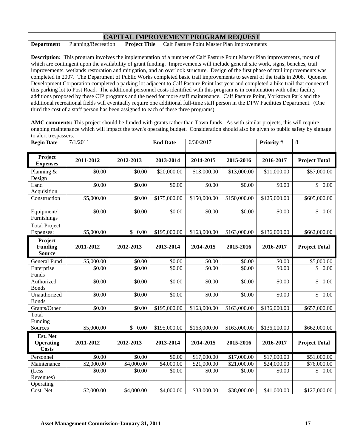| <b>CAPITAL IMPROVEMENT PROGRAM REQUEST</b>                                                                                        |                                                                                                                                    |  |                                                                                                                                 |  |  |  |  |
|-----------------------------------------------------------------------------------------------------------------------------------|------------------------------------------------------------------------------------------------------------------------------------|--|---------------------------------------------------------------------------------------------------------------------------------|--|--|--|--|
| <b>Project Title</b><br>Calf Pasture Point Master Plan Improvements<br><b>Department</b><br>Planning/Recreation                   |                                                                                                                                    |  |                                                                                                                                 |  |  |  |  |
|                                                                                                                                   |                                                                                                                                    |  |                                                                                                                                 |  |  |  |  |
| <b>Description:</b> This program involves the implementation of a number of Calf Pasture Point Master Plan improvements, most of  |                                                                                                                                    |  |                                                                                                                                 |  |  |  |  |
|                                                                                                                                   |                                                                                                                                    |  | which are contingent upon the availability of grant funding. Improvements will include general site work, signs, benches, trail |  |  |  |  |
| improvements, wetlands restoration and mitigation, and an overlook structure. Design of the first phase of trail improvements was |                                                                                                                                    |  |                                                                                                                                 |  |  |  |  |
| completed in 2007. The Department of Public Works completed basic trail improvements to several of the trails in 2008. Quonset    |                                                                                                                                    |  |                                                                                                                                 |  |  |  |  |
|                                                                                                                                   | Development Corporation completed a parking lot adjacent to Calf Pasture Point last year and completed a bike trail that connected |  |                                                                                                                                 |  |  |  |  |

this parking lot to Post Road. The additional personnel costs identified with this program is in combination with other facility additions proposed by these CIP programs and the need for more staff maintenance. Calf Pasture Point, Yorktown Park and the additional recreational fields will eventually require one additional full-time staff person in the DPW Facilities Department. (One third the cost of a staff person has been assigned to each of these three programs).

**AMC comments:** This project should be funded with grants rather than Town funds. As with similar projects, this will require ongoing maintenance which will impact the town's operating budget. Consideration should also be given to public safety by signage to alert trespassers.

| <b>Begin Date</b>                          | 7/1/2011   |            | <b>End Date</b> | 6/30/2017    |              | Priority #   | 8                                 |
|--------------------------------------------|------------|------------|-----------------|--------------|--------------|--------------|-----------------------------------|
| Project<br><b>Expenses</b>                 | 2011-2012  | 2012-2013  | 2013-2014       | 2014-2015    | 2015-2016    | 2016-2017    | <b>Project Total</b>              |
| Planning $\overline{\&}$<br>Design         | \$0.00     | \$0.00     | \$20,000.00     | \$13,000.00  | \$13,000.00  | \$11,000.00  | \$57,000.00                       |
| Land<br>Acquisition                        | \$0.00     | \$0.00     | \$0.00          | \$0.00       | \$0.00       | \$0.00       | \$0.00                            |
| Construction                               | \$5,000.00 | \$0.00     | \$175,000.00    | \$150,000.00 | \$150,000.00 | \$125,000.00 | \$605,000.00                      |
| Equipment/<br>Furnishings                  | \$0.00     | \$0.00     | \$0.00          | \$0.00       | \$0.00       | \$0.00       | \$0.00                            |
| <b>Total Project</b><br>Expenses:          | \$5,000.00 | \$0.00     | \$195,000.00    | \$163,000.00 | \$163,000.00 | \$136,000.00 | \$662,000.00                      |
| Project<br><b>Funding</b><br><b>Source</b> | 2011-2012  | 2012-2013  | 2013-2014       | 2014-2015    | 2015-2016    | 2016-2017    | <b>Project Total</b>              |
| General Fund                               | \$5,000.00 | \$0.00     | \$0.00          | \$0.00       | \$0.00       | \$0.00       | \$5,000.00                        |
| Enterprise<br>Funds                        | \$0.00     | \$0.00     | \$0.00          | \$0.00       | \$0.00       | \$0.00       | \$<br>0.00                        |
| Authorized<br><b>Bonds</b>                 | \$0.00     | \$0.00     | \$0.00          | \$0.00       | \$0.00       | \$0.00       | $\overline{0.00}$<br>$\mathbb{S}$ |
| Unauthorized<br><b>Bonds</b>               | \$0.00     | \$0.00     | \$0.00          | \$0.00       | \$0.00       | \$0.00       | $\mathbb{S}$<br>0.00              |
| Grants/Other                               | \$0.00     | \$0.00     | \$195,000.00    | \$163,000.00 | \$163,000.00 | \$136,000.00 | \$657,000.00                      |
| Total<br>Funding<br>Sources                | \$5,000.00 | \$0.00     | \$195,000.00    | \$163,000.00 | \$163,000.00 | \$136,000.00 | \$662,000.00                      |
| Est. Net                                   |            |            |                 |              |              |              |                                   |
| <b>Operating</b><br><b>Costs</b>           | 2011-2012  | 2012-2013  | 2013-2014       | 2014-2015    | 2015-2016    | 2016-2017    | <b>Project Total</b>              |
| Personnel                                  | \$0.00     | \$0.00     | \$0.00          | \$17,000.00  | \$17,000.00  | \$17,000.00  | \$51,000.00                       |
| Maintenance                                | \$2,000.00 | \$4,000.00 | \$4,000.00      | \$21,000.00  | \$21,000.00  | \$24,000.00  | \$76,000.00                       |
| (Less<br>Revenues)                         | \$0.00     | \$0.00     | \$0.00          | \$0.00       | \$0.00       | \$0.00       | 0.00<br>$\mathbb{S}$              |
| Operating<br>Cost, Net                     | \$2,000.00 | \$4,000.00 | \$4,000.00      | \$38,000.00  | \$38,000.00  | \$41,000.00  | \$127,000.00                      |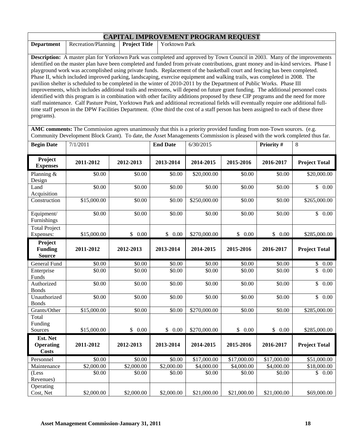| <b>Department</b>                          | Recreation/Planning                                                                                                                                                                                                                                                                                                                                                                                                                                                                                                                                                                                                                                                                                                                                                                                                                                                                                                                                                                                                                                                                                                                                                                                               | CALLATAD INII KO TEMIDITI TKOONGIM KEQODD I<br><b>Project Title</b> | Yorktown Park   |              |           |           |                      |
|--------------------------------------------|-------------------------------------------------------------------------------------------------------------------------------------------------------------------------------------------------------------------------------------------------------------------------------------------------------------------------------------------------------------------------------------------------------------------------------------------------------------------------------------------------------------------------------------------------------------------------------------------------------------------------------------------------------------------------------------------------------------------------------------------------------------------------------------------------------------------------------------------------------------------------------------------------------------------------------------------------------------------------------------------------------------------------------------------------------------------------------------------------------------------------------------------------------------------------------------------------------------------|---------------------------------------------------------------------|-----------------|--------------|-----------|-----------|----------------------|
|                                            |                                                                                                                                                                                                                                                                                                                                                                                                                                                                                                                                                                                                                                                                                                                                                                                                                                                                                                                                                                                                                                                                                                                                                                                                                   |                                                                     |                 |              |           |           |                      |
| programs).                                 | <b>Description:</b> A master plan for Yorktown Park was completed and approved by Town Council in 2003. Many of the improvements<br>identified on the master plan have been completed and funded from private contributions, grant money and in-kind services. Phase I<br>playground work was accomplished using private funds. Replacement of the basketball court and fencing has been completed.<br>Phase II, which included improved parking, landscaping, exercise equipment and walking trails, was completed in 2008. The<br>pavilion shelter is scheduled to be completed in the winter of 2010-2011 by the Department of Public Works. Phase III<br>improvements, which includes additional trails and restrooms, will depend on future grant funding. The additional personnel costs<br>identified with this program is in combination with other facility additions proposed by these CIP programs and the need for more<br>staff maintenance. Calf Pasture Point, Yorktown Park and additional recreational fields will eventually require one additional full-<br>time staff person in the DPW Facilities Department. (One third the cost of a staff person has been assigned to each of these three |                                                                     |                 |              |           |           |                      |
|                                            | AMC comments: The Commission agrees unanimously that this is a priority provided funding from non-Town sources. (e.g.<br>Community Development Block Grant). To date, the Asset Managements Commission is pleased with the work completed thus far.                                                                                                                                                                                                                                                                                                                                                                                                                                                                                                                                                                                                                                                                                                                                                                                                                                                                                                                                                               |                                                                     |                 |              |           |           |                      |
| <b>Begin Date</b>                          | 7/1/2011                                                                                                                                                                                                                                                                                                                                                                                                                                                                                                                                                                                                                                                                                                                                                                                                                                                                                                                                                                                                                                                                                                                                                                                                          |                                                                     | <b>End Date</b> | 6/30/2015    |           | Priority# | 8                    |
| Project<br><b>Expenses</b>                 | 2011-2012                                                                                                                                                                                                                                                                                                                                                                                                                                                                                                                                                                                                                                                                                                                                                                                                                                                                                                                                                                                                                                                                                                                                                                                                         | 2012-2013                                                           | 2013-2014       | 2014-2015    | 2015-2016 | 2016-2017 | <b>Project Total</b> |
| Planning &<br>Design                       | \$0.00                                                                                                                                                                                                                                                                                                                                                                                                                                                                                                                                                                                                                                                                                                                                                                                                                                                                                                                                                                                                                                                                                                                                                                                                            | \$0.00                                                              | \$0.00          | \$20,000.00  | \$0.00    | \$0.00    | \$20,000.00          |
| Land<br>Acquisition                        | \$0.00                                                                                                                                                                                                                                                                                                                                                                                                                                                                                                                                                                                                                                                                                                                                                                                                                                                                                                                                                                                                                                                                                                                                                                                                            | \$0.00                                                              | \$0.00          | \$0.00       | \$0.00    | \$0.00    | \$0.00               |
| Construction                               | \$15,000.00                                                                                                                                                                                                                                                                                                                                                                                                                                                                                                                                                                                                                                                                                                                                                                                                                                                                                                                                                                                                                                                                                                                                                                                                       | \$0.00                                                              | \$0.00          | \$250,000.00 | \$0.00    | \$0.00    | \$265,000.00         |
| Equipment/<br>Furnishings                  | \$0.00                                                                                                                                                                                                                                                                                                                                                                                                                                                                                                                                                                                                                                                                                                                                                                                                                                                                                                                                                                                                                                                                                                                                                                                                            | \$0.00                                                              | \$0.00          | \$0.00       | \$0.00    | \$0.00    | \$0.00               |
| <b>Total Project</b><br>Expenses:          | \$15,000.00                                                                                                                                                                                                                                                                                                                                                                                                                                                                                                                                                                                                                                                                                                                                                                                                                                                                                                                                                                                                                                                                                                                                                                                                       | \$0.00                                                              | \$0.00          | \$270,000.00 | \$0.00    | \$0.00    | \$285,000.00         |
| Project<br><b>Funding</b><br><b>Source</b> | 2011-2012                                                                                                                                                                                                                                                                                                                                                                                                                                                                                                                                                                                                                                                                                                                                                                                                                                                                                                                                                                                                                                                                                                                                                                                                         | 2012-2013                                                           | 2013-2014       | 2014-2015    | 2015-2016 | 2016-2017 | <b>Project Total</b> |
| General Fund                               | \$0.00                                                                                                                                                                                                                                                                                                                                                                                                                                                                                                                                                                                                                                                                                                                                                                                                                                                                                                                                                                                                                                                                                                                                                                                                            | \$0.00                                                              | \$0.00          | \$0.00       | \$0.00    | \$0.00    | \$<br>0.00           |
| Enterprise<br>Funds                        | \$0.00                                                                                                                                                                                                                                                                                                                                                                                                                                                                                                                                                                                                                                                                                                                                                                                                                                                                                                                                                                                                                                                                                                                                                                                                            | \$0.00                                                              | \$0.00          | \$0.00       | \$0.00    | \$0.00    | \$<br>0.00           |
| Authorized<br><b>Bonds</b>                 | \$0.00                                                                                                                                                                                                                                                                                                                                                                                                                                                                                                                                                                                                                                                                                                                                                                                                                                                                                                                                                                                                                                                                                                                                                                                                            | \$0.00                                                              | \$0.00          | \$0.00       | \$0.00    | \$0.00    | \$<br>0.00           |
| Unauthorized<br><b>Bonds</b>               | \$0.00                                                                                                                                                                                                                                                                                                                                                                                                                                                                                                                                                                                                                                                                                                                                                                                                                                                                                                                                                                                                                                                                                                                                                                                                            | \$0.00                                                              | \$0.00          | \$0.00       | \$0.00    | \$0.00    | \$<br>0.00           |
| Grants/Other                               | \$15,000.00                                                                                                                                                                                                                                                                                                                                                                                                                                                                                                                                                                                                                                                                                                                                                                                                                                                                                                                                                                                                                                                                                                                                                                                                       | \$0.00                                                              | \$0.00          | \$270,000.00 | \$0.00    | \$0.00    | \$285,000.00         |
| Total<br>Funding<br>Sources                | \$15,000.00                                                                                                                                                                                                                                                                                                                                                                                                                                                                                                                                                                                                                                                                                                                                                                                                                                                                                                                                                                                                                                                                                                                                                                                                       | \$0.00                                                              | \$0.00          | \$270,000.00 | \$0.00    | \$0.00    | \$285,000.00         |
| Est. Net                                   |                                                                                                                                                                                                                                                                                                                                                                                                                                                                                                                                                                                                                                                                                                                                                                                                                                                                                                                                                                                                                                                                                                                                                                                                                   |                                                                     |                 |              |           |           |                      |

**2011-2012 2012-2013 2013-2014 2014-2015 2015-2016 2016-2017 Project Total** 

 $$0.00$   $$0.00$   $$0.00$   $$0.00$   $$0.00$   $$0.00$   $$0.00$   $$0.00$ 

Personnel | \$0.00 | \$0.00 | \$0.00 \$17,000.00 \$17,000.00 \$17,000.00 \$51,000.00 Maintenance | \$2,000.00 | \$2,000.00 | \$2,000.00 \$4,000.00 | \$4,000.00 \$18,000.00

Cost, Net  $\begin{array}{|l} \n\text{ $2,000.00} \n\end{array}$   $\begin{array}{|l} \n\text{ $32,000.00} \n\end{array}$   $\begin{array}{|l} \n\text{ $321,000.00} \n\end{array}$   $\begin{array}{|l} \n\text{ $321,000.00} \n\end{array}$   $\begin{array}{|l} \n\text{ $321,000.00} \n\end{array}$   $\begin{array}{|l} \n\text{ $321,000.00} \n\end{array}$ 

**CAPITAL IMPROVEMENT PROGRAM REQUEST**

**Operating Costs** 

(Less Revenues)

Г

Operating<br>Cost, Net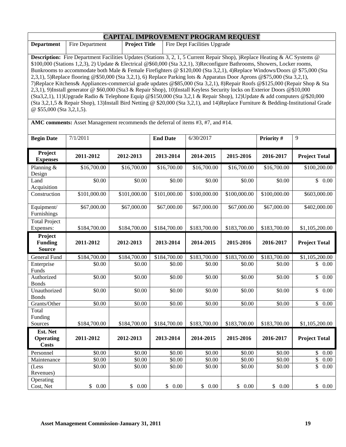| <b>CAPITAL IMPROVEMENT PROGRAM REQUEST</b>                                                                                        |                                                                                                                            |                      |                                                                                                                                     |  |  |  |  |
|-----------------------------------------------------------------------------------------------------------------------------------|----------------------------------------------------------------------------------------------------------------------------|----------------------|-------------------------------------------------------------------------------------------------------------------------------------|--|--|--|--|
| <b>Department</b>                                                                                                                 | Fire Department                                                                                                            | <b>Project Title</b> | Fire Dept Facilities Upgrade                                                                                                        |  |  |  |  |
|                                                                                                                                   |                                                                                                                            |                      |                                                                                                                                     |  |  |  |  |
| <b>Description:</b> Fire Department Facilities Updates (Stations 3, 2, 1, 5 Current Repair Shop), )Replace Heating & AC Systems @ |                                                                                                                            |                      |                                                                                                                                     |  |  |  |  |
| \$100,000 (Stations 1,2,3), 2) Update & Electrical @\$60,000 (Sta 3,2,1), 3) Reconfigure Bathrooms, Showers, Locker rooms,        |                                                                                                                            |                      |                                                                                                                                     |  |  |  |  |
|                                                                                                                                   |                                                                                                                            |                      | Bunkrooms to accommodate both Male & Female Firefighters @ \$120,000 (Sta 3,2,1), 4)Replace Windows/Doors @ \$75,000 (Sta           |  |  |  |  |
|                                                                                                                                   |                                                                                                                            |                      | 2,3,1), 5)Replace flooring @\$50,000 (Sta 3,2,1), 6) Replace Parking lots & Apparatus Door Aprons @\$75,000 (Sta 3,2,1),            |  |  |  |  |
|                                                                                                                                   |                                                                                                                            |                      | 7) Replace Kitchens & Appliances-commercial grade updates @\$85,000 (Sta 3,2,1), 8) Repair Roofs @\$125,000 (Repair Shop & Sta      |  |  |  |  |
| 2,3,1), 9)Install generator @ \$60,000 (Sta3 & Repair Shop), 10)Install Keyless Security locks on Exterior Doors @\$10,000        |                                                                                                                            |                      |                                                                                                                                     |  |  |  |  |
|                                                                                                                                   | $(Sta3,2,1), 11$ Upgrade Radio & Telephone Equip @\$150,000 (Sta 3,2,1 & Repair Shop), 12 Update & add computers @\$20,000 |                      |                                                                                                                                     |  |  |  |  |
|                                                                                                                                   |                                                                                                                            |                      | (Sta 3,2,1,5 & Repair Shop), 13)Install Bird Netting @ \$20,000 (Sta 3,2,1), and 14)Replace Furniture & Bedding-Institutional Grade |  |  |  |  |

@ \$55,000 (Sta 3,2,1,5).

**AMC comments:** Asset Management recommends the deferral of items #3, #7, and #14.

| <b>Begin Date</b>                            | 7/1/2011     |              | <b>End Date</b> | 6/30/2017    |              | Priority #   | 9                               |
|----------------------------------------------|--------------|--------------|-----------------|--------------|--------------|--------------|---------------------------------|
| Project<br><b>Expenses</b>                   | 2011-2012    | 2012-2013    | 2013-2014       | 2014-2015    | 2015-2016    | 2016-2017    | <b>Project Total</b>            |
| Planning &<br>Design                         | \$16,700.00  | \$16,700.00  | \$16,700.00     | \$16,700.00  | \$16,700.00  | \$16,700.00  | \$100,200.00                    |
| Land<br>Acquisition                          | \$0.00       | \$0.00       | \$0.00          | \$0.00       | \$0.00       | \$0.00       | \$0.00                          |
| Construction                                 | \$101,000.00 | \$101,000.00 | \$101,000.00    | \$100,000.00 | \$100,000.00 | \$100,000.00 | \$603,000.00                    |
| Equipment/<br>Furnishings                    | \$67,000.00  | \$67,000.00  | \$67,000.00     | \$67,000.00  | \$67,000.00  | \$67,000.00  | \$402,000.00                    |
| <b>Total Project</b><br>Expenses:            | \$184,700.00 | \$184,700.00 | \$184,700.00    | \$183,700.00 | \$183,700.00 | \$183,700.00 | \$1,105,200.00                  |
| Project<br><b>Funding</b><br><b>Source</b>   | 2011-2012    | 2012-2013    | 2013-2014       | 2014-2015    | 2015-2016    | 2016-2017    | <b>Project Total</b>            |
| General Fund                                 | \$184,700.00 | \$184,700.00 | \$184,700.00    | \$183,700.00 | \$183,700.00 | \$183,700.00 | \$1,105,200.00                  |
| Enterprise<br>Funds                          | \$0.00       | \$0.00       | \$0.00          | \$0.00       | \$0.00       | \$0.00       | \$<br>0.00                      |
| Authorized<br><b>Bonds</b>                   | \$0.00       | \$0.00       | \$0.00          | \$0.00       | \$0.00       | \$0.00       | $\mathbb{S}$<br>0.00            |
| Unauthorized<br><b>Bonds</b>                 | \$0.00       | \$0.00       | \$0.00          | \$0.00       | \$0.00       | \$0.00       | $\overline{\mathbb{S}}$<br>0.00 |
| Grants/Other                                 | \$0.00       | \$0.00       | \$0.00          | \$0.00       | \$0.00       | \$0.00       | $\mathbb{S}$<br>0.00            |
| Total<br>Funding                             |              |              |                 |              |              |              |                                 |
| Sources                                      | \$184,700.00 | \$184,700.00 | \$184,700.00    | \$183,700.00 | \$183,700.00 | \$183,700.00 | \$1,105,200.00                  |
| Est. Net<br><b>Operating</b><br><b>Costs</b> | 2011-2012    | 2012-2013    | 2013-2014       | 2014-2015    | 2015-2016    | 2016-2017    | <b>Project Total</b>            |
| Personnel                                    | \$0.00       | \$0.00       | \$0.00          | \$0.00       | \$0.00       | \$0.00       | \$0.00                          |
| Maintenance                                  | \$0.00       | \$0.00       | \$0.00          | \$0.00       | \$0.00       | \$0.00       | \$<br>0.00                      |
| (Less<br>Revenues)                           | \$0.00       | \$0.00       | \$0.00          | \$0.00       | \$0.00       | \$0.00       | \$<br>0.00                      |
| Operating<br>Cost, Net                       | \$0.00       | \$0.00       | \$0.00          | \$0.00       | \$0.00       | \$0.00       | \$0.00                          |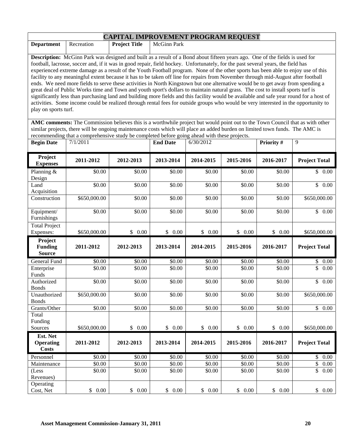|                                                                                                                                                                                                                                                                       | <b>CAPITAL IMPROVEMENT PROGRAM REQUEST</b>                                                                                              |                      |                 |           |           |            |                      |  |
|-----------------------------------------------------------------------------------------------------------------------------------------------------------------------------------------------------------------------------------------------------------------------|-----------------------------------------------------------------------------------------------------------------------------------------|----------------------|-----------------|-----------|-----------|------------|----------------------|--|
| <b>Department</b>                                                                                                                                                                                                                                                     | Recreation                                                                                                                              | <b>Project Title</b> | McGinn Park     |           |           |            |                      |  |
|                                                                                                                                                                                                                                                                       |                                                                                                                                         |                      |                 |           |           |            |                      |  |
|                                                                                                                                                                                                                                                                       | <b>Description:</b> McGinn Park was designed and built as a result of a Bond about fifteen years ago. One of the fields is used for     |                      |                 |           |           |            |                      |  |
| football, lacrosse, soccer and, if it was in good repair, field hockey. Unfortunately, for the past several years, the field has<br>experienced extreme damage as a result of the Youth Football program. None of the other sports has been able to enjoy use of this |                                                                                                                                         |                      |                 |           |           |            |                      |  |
|                                                                                                                                                                                                                                                                       | facility to any meaningful extent because it has to be taken off line for repairs from November through mid-August after football       |                      |                 |           |           |            |                      |  |
|                                                                                                                                                                                                                                                                       | ends. We need more fields to serve these activities in North Kingstown but one alternative would be to get away from spending a         |                      |                 |           |           |            |                      |  |
|                                                                                                                                                                                                                                                                       | great deal of Public Works time and Town and youth sport's dollars to maintain natural grass. The cost to install sports turf is        |                      |                 |           |           |            |                      |  |
|                                                                                                                                                                                                                                                                       | significantly less than purchasing land and building more fields and this facility would be available and safe year round for a host of |                      |                 |           |           |            |                      |  |
|                                                                                                                                                                                                                                                                       | activities. Some income could be realized through rental fees for outside groups who would be very interested in the opportunity to     |                      |                 |           |           |            |                      |  |
| play on sports turf.                                                                                                                                                                                                                                                  |                                                                                                                                         |                      |                 |           |           |            |                      |  |
|                                                                                                                                                                                                                                                                       | AMC comments: The Commission believes this is a worthwhile project but would point out to the Town Council that as with other           |                      |                 |           |           |            |                      |  |
|                                                                                                                                                                                                                                                                       | similar projects, there will be ongoing maintenance costs which will place an added burden on limited town funds. The AMC is            |                      |                 |           |           |            |                      |  |
|                                                                                                                                                                                                                                                                       | recommending that a comprehensive study be completed before going ahead with these projects.                                            |                      |                 |           |           |            |                      |  |
| <b>Begin Date</b>                                                                                                                                                                                                                                                     | 7/1/2011                                                                                                                                |                      | <b>End Date</b> | 6/30/2012 |           | Priority # | 9                    |  |
| Project<br><b>Expenses</b>                                                                                                                                                                                                                                            | 2011-2012                                                                                                                               | 2012-2013            | 2013-2014       | 2014-2015 | 2015-2016 | 2016-2017  | <b>Project Total</b> |  |
| Planning &<br>Design                                                                                                                                                                                                                                                  | \$0.00                                                                                                                                  | \$0.00               | \$0.00          | \$0.00    | \$0.00    | \$0.00     | \$0.00               |  |
| Land                                                                                                                                                                                                                                                                  | \$0.00                                                                                                                                  | \$0.00               | \$0.00          | \$0.00    | \$0.00    | \$0.00     | \$0.00               |  |
| Acquisition                                                                                                                                                                                                                                                           |                                                                                                                                         |                      |                 |           |           |            |                      |  |
| Construction                                                                                                                                                                                                                                                          | \$650,000.00                                                                                                                            | \$0.00               | \$0.00          | \$0.00    | \$0.00    | \$0.00     | \$650,000.00         |  |
| Equipment/                                                                                                                                                                                                                                                            | \$0.00                                                                                                                                  | \$0.00               | \$0.00          | \$0.00    | \$0.00    | \$0.00     | \$0.00               |  |
| Furnishings                                                                                                                                                                                                                                                           |                                                                                                                                         |                      |                 |           |           |            |                      |  |
| Total Project<br>Expenses:                                                                                                                                                                                                                                            | \$650,000.00                                                                                                                            | \$0.00               | \$0.00          | \$0.00    | \$0.00    | \$0.00     | \$650,000.00         |  |
| Project                                                                                                                                                                                                                                                               |                                                                                                                                         |                      |                 |           |           |            |                      |  |
| <b>Funding</b>                                                                                                                                                                                                                                                        | 2011-2012                                                                                                                               | 2012-2013            | 2013-2014       | 2014-2015 | 2015-2016 | 2016-2017  | <b>Project Total</b> |  |
| <b>Source</b>                                                                                                                                                                                                                                                         |                                                                                                                                         |                      |                 |           |           |            |                      |  |
| <b>General Fund</b>                                                                                                                                                                                                                                                   | \$0.00                                                                                                                                  | \$0.00               | \$0.00          | \$0.00    | \$0.00    | \$0.00     | \$<br>0.00           |  |
| Enterprise                                                                                                                                                                                                                                                            | \$0.00                                                                                                                                  | \$0.00               | \$0.00          | \$0.00    | \$0.00    | \$0.00     | \$<br>0.00           |  |
| Funds                                                                                                                                                                                                                                                                 |                                                                                                                                         |                      |                 |           |           |            |                      |  |
| Authorized<br><b>Bonds</b>                                                                                                                                                                                                                                            | \$0.00                                                                                                                                  | \$0.00               | \$0.00          | \$0.00    | \$0.00    | \$0.00     | \$0.00               |  |
| Unauthorized                                                                                                                                                                                                                                                          | \$650,000.00                                                                                                                            | \$0.00               | \$0.00          | \$0.00    | \$0.00    | \$0.00     | \$650,000.00         |  |
| <b>Bonds</b>                                                                                                                                                                                                                                                          |                                                                                                                                         |                      |                 |           |           |            |                      |  |
| Grants/Other                                                                                                                                                                                                                                                          | \$0.00                                                                                                                                  | \$0.00               | \$0.00          | \$0.00    | \$0.00    | \$0.00     | $\overline{\$}$ 0.00 |  |
| Total                                                                                                                                                                                                                                                                 |                                                                                                                                         |                      |                 |           |           |            |                      |  |
| Funding<br>Sources                                                                                                                                                                                                                                                    | \$650,000.00                                                                                                                            | \$0.00               | \$0.00          | \$0.00    | \$0.00    | \$0.00     | \$650,000.00         |  |
| Est. Net                                                                                                                                                                                                                                                              |                                                                                                                                         |                      |                 |           |           |            |                      |  |
| <b>Operating</b><br><b>Costs</b>                                                                                                                                                                                                                                      | 2011-2012                                                                                                                               | 2012-2013            | 2013-2014       | 2014-2015 | 2015-2016 | 2016-2017  | <b>Project Total</b> |  |
| Personnel                                                                                                                                                                                                                                                             | \$0.00                                                                                                                                  | \$0.00               | \$0.00          | \$0.00    | \$0.00    | \$0.00     | \$<br>0.00           |  |
| Maintenance                                                                                                                                                                                                                                                           | \$0.00                                                                                                                                  | \$0.00               | \$0.00          | \$0.00    | \$0.00    | \$0.00     | \$<br>0.00           |  |
| (Less                                                                                                                                                                                                                                                                 | \$0.00                                                                                                                                  | \$0.00               | \$0.00          | \$0.00    | \$0.00    | \$0.00     | \$<br>0.00           |  |
| Revenues)                                                                                                                                                                                                                                                             |                                                                                                                                         |                      |                 |           |           |            |                      |  |
| Operating                                                                                                                                                                                                                                                             |                                                                                                                                         |                      |                 |           |           |            |                      |  |
| Cost, Net                                                                                                                                                                                                                                                             | \$0.00                                                                                                                                  | \$0.00               | \$<br>0.00      | \$ 0.00   | \$ 0.00   | \$0.00     | \$<br>0.00           |  |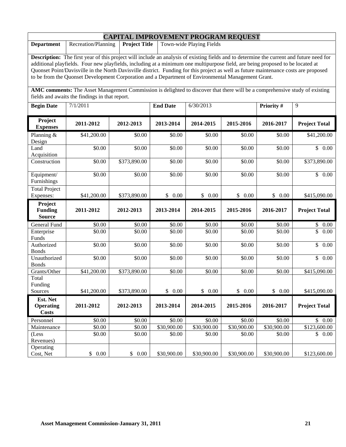|                                                                                                                                                                                                                                                                                                                                                                                                                                                                                                                                 | <b>CAPITAL IMPROVEMENT PROGRAM REQUEST</b>                                                                                                                                    |                      |                 |                          |             |             |                      |  |
|---------------------------------------------------------------------------------------------------------------------------------------------------------------------------------------------------------------------------------------------------------------------------------------------------------------------------------------------------------------------------------------------------------------------------------------------------------------------------------------------------------------------------------|-------------------------------------------------------------------------------------------------------------------------------------------------------------------------------|----------------------|-----------------|--------------------------|-------------|-------------|----------------------|--|
| <b>Department</b>                                                                                                                                                                                                                                                                                                                                                                                                                                                                                                               | Recreation/Planning                                                                                                                                                           | <b>Project Title</b> |                 | Town-wide Playing Fields |             |             |                      |  |
| <b>Description:</b> The first year of this project will include an analysis of existing fields and to determine the current and future need for<br>additional playfields. Four new playfields, including at a minimum one multipurpose field, are being proposed to be located at<br>Quonset Point/Davisville in the North Davisville district. Funding for this project as well as future maintenance costs are proposed<br>to be from the Quonset Development Corporation and a Department of Environmental Management Grant. |                                                                                                                                                                               |                      |                 |                          |             |             |                      |  |
|                                                                                                                                                                                                                                                                                                                                                                                                                                                                                                                                 | AMC comments: The Asset Management Commission is delighted to discover that there will be a comprehensive study of existing<br>fields and awaits the findings in that report. |                      |                 |                          |             |             |                      |  |
| <b>Begin Date</b>                                                                                                                                                                                                                                                                                                                                                                                                                                                                                                               | $\overline{7/1/2011}$                                                                                                                                                         |                      | <b>End Date</b> | 6/30/2013                |             | Priority #  | 9                    |  |
| Project<br><b>Expenses</b>                                                                                                                                                                                                                                                                                                                                                                                                                                                                                                      | 2011-2012                                                                                                                                                                     | 2012-2013            | 2013-2014       | 2014-2015                | 2015-2016   | 2016-2017   | <b>Project Total</b> |  |
| Planning &<br>Design                                                                                                                                                                                                                                                                                                                                                                                                                                                                                                            | \$41,200.00                                                                                                                                                                   | \$0.00               | \$0.00          | \$0.00                   | \$0.00      | \$0.00      | \$41,200.00          |  |
| Land<br>Acquisition                                                                                                                                                                                                                                                                                                                                                                                                                                                                                                             | \$0.00                                                                                                                                                                        | \$0.00               | \$0.00          | \$0.00                   | \$0.00      | \$0.00      | \$0.00               |  |
| Construction                                                                                                                                                                                                                                                                                                                                                                                                                                                                                                                    | \$0.00                                                                                                                                                                        | \$373,890.00         | \$0.00          | \$0.00                   | \$0.00      | \$0.00      | \$373,890.00         |  |
| Equipment/<br>Furnishings                                                                                                                                                                                                                                                                                                                                                                                                                                                                                                       | \$0.00                                                                                                                                                                        | \$0.00               | \$0.00          | \$0.00                   | \$0.00      | \$0.00      | \$0.00               |  |
| <b>Total Project</b><br>Expenses:                                                                                                                                                                                                                                                                                                                                                                                                                                                                                               | \$41,200.00                                                                                                                                                                   | \$373,890.00         | \$<br>0.00      | \$<br>0.00               | \$0.00      | \$<br>0.00  | \$415,090.00         |  |
| Project<br><b>Funding</b><br><b>Source</b>                                                                                                                                                                                                                                                                                                                                                                                                                                                                                      | 2011-2012                                                                                                                                                                     | 2012-2013            | 2013-2014       | 2014-2015                | 2015-2016   | 2016-2017   | <b>Project Total</b> |  |
| General Fund                                                                                                                                                                                                                                                                                                                                                                                                                                                                                                                    | \$0.00                                                                                                                                                                        | \$0.00               | \$0.00          | \$0.00                   | \$0.00      | \$0.00      | \$<br>0.00           |  |
| Enterprise<br>Funds                                                                                                                                                                                                                                                                                                                                                                                                                                                                                                             | \$0.00                                                                                                                                                                        | \$0.00               | \$0.00          | \$0.00                   | \$0.00      | \$0.00      | \$<br>0.00           |  |
| Authorized<br><b>Bonds</b>                                                                                                                                                                                                                                                                                                                                                                                                                                                                                                      | \$0.00                                                                                                                                                                        | \$0.00               | \$0.00          | \$0.00                   | \$0.00      | \$0.00      | \$<br>0.00           |  |
| Unauthorized<br><b>Bonds</b>                                                                                                                                                                                                                                                                                                                                                                                                                                                                                                    | \$0.00                                                                                                                                                                        | \$0.00               | \$0.00          | \$0.00                   | \$0.00      | \$0.00      | $\mathbb{S}$<br>0.00 |  |
| Grants/Other                                                                                                                                                                                                                                                                                                                                                                                                                                                                                                                    | \$41,200.00                                                                                                                                                                   | \$373,890.00         | \$0.00          | \$0.00                   | \$0.00      | \$0.00      | \$415,090.00         |  |
| Total<br>Funding<br>Sources                                                                                                                                                                                                                                                                                                                                                                                                                                                                                                     | \$41,200.00                                                                                                                                                                   | \$373,890.00         | \$0.00          | \$0.00                   | \$0.00      | \$0.00      | \$415,090.00         |  |
| Est. Net<br><b>Operating</b><br><b>Costs</b>                                                                                                                                                                                                                                                                                                                                                                                                                                                                                    | 2011-2012                                                                                                                                                                     | 2012-2013            | 2013-2014       | 2014-2015                | 2015-2016   | 2016-2017   | <b>Project Total</b> |  |
| Personnel                                                                                                                                                                                                                                                                                                                                                                                                                                                                                                                       | \$0.00                                                                                                                                                                        | \$0.00               | \$0.00          | \$0.00                   | \$0.00      | \$0.00      | \$0.00               |  |
| Maintenance                                                                                                                                                                                                                                                                                                                                                                                                                                                                                                                     | \$0.00                                                                                                                                                                        | \$0.00               | \$30,900.00     | \$30,900.00              | \$30,900.00 | \$30,900.00 | \$123,600.00         |  |
| (Less<br>Revenues)                                                                                                                                                                                                                                                                                                                                                                                                                                                                                                              | \$0.00                                                                                                                                                                        | \$0.00               | \$0.00          | \$0.00                   | \$0.00      | \$0.00      | \$0.00               |  |
| Operating<br>Cost, Net                                                                                                                                                                                                                                                                                                                                                                                                                                                                                                          | $0.00\,$<br>\$                                                                                                                                                                | \$0.00               | \$30,900.00     | \$30,900.00              | \$30,900.00 | \$30,900.00 | \$123,600.00         |  |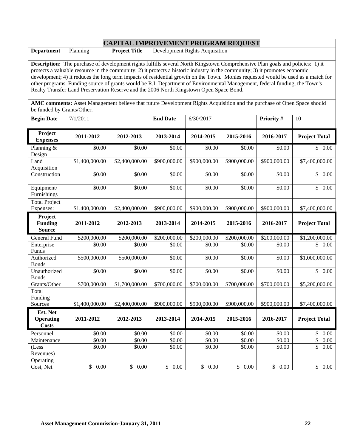|                                                                                                                                                                                                                                                                                                                                                                                                                                                                                                                                                                                                                                                                                                                                                       | <b>CAPITAL IMPROVEMENT PROGRAM REQUEST</b> |                      |                    |                                       |              |              |                      |  |
|-------------------------------------------------------------------------------------------------------------------------------------------------------------------------------------------------------------------------------------------------------------------------------------------------------------------------------------------------------------------------------------------------------------------------------------------------------------------------------------------------------------------------------------------------------------------------------------------------------------------------------------------------------------------------------------------------------------------------------------------------------|--------------------------------------------|----------------------|--------------------|---------------------------------------|--------------|--------------|----------------------|--|
| <b>Department</b>                                                                                                                                                                                                                                                                                                                                                                                                                                                                                                                                                                                                                                                                                                                                     | Planning                                   | <b>Project Title</b> |                    | <b>Development Rights Acquisition</b> |              |              |                      |  |
| Description: The purchase of development rights fulfills several North Kingstown Comprehensive Plan goals and policies: 1) it<br>protects a valuable resource in the community; 2) it protects a historic industry in the community; 3) it promotes economic<br>development; 4) it reduces the long term impacts of residential growth on the Town. Monies requested would be used as a match for<br>other programs. Funding source of grants would be R.I. Department of Environmental Management, federal funding, the Town's<br>Realty Transfer Land Preservation Reserve and the 2006 North Kingstown Open Space Bond.<br>AMC comments: Asset Management believe that future Development Rights Acquisition and the purchase of Open Space should |                                            |                      |                    |                                       |              |              |                      |  |
| be funded by Grants/Other.                                                                                                                                                                                                                                                                                                                                                                                                                                                                                                                                                                                                                                                                                                                            |                                            |                      |                    |                                       |              |              |                      |  |
| <b>Begin Date</b>                                                                                                                                                                                                                                                                                                                                                                                                                                                                                                                                                                                                                                                                                                                                     | 7/1/2011                                   |                      | <b>End Date</b>    | 6/30/2017                             |              | Priority #   | 10                   |  |
| Project<br><b>Expenses</b>                                                                                                                                                                                                                                                                                                                                                                                                                                                                                                                                                                                                                                                                                                                            | 2011-2012                                  | 2012-2013            | 2013-2014          | 2014-2015                             | 2015-2016    | 2016-2017    | <b>Project Total</b> |  |
| Planning &<br>Design                                                                                                                                                                                                                                                                                                                                                                                                                                                                                                                                                                                                                                                                                                                                  | \$0.00                                     | \$0.00               | \$0.00             | \$0.00                                | \$0.00       | \$0.00       | \$0.00               |  |
| Land<br>Acquisition                                                                                                                                                                                                                                                                                                                                                                                                                                                                                                                                                                                                                                                                                                                                   | \$1,400,000.00                             | \$2,400,000.00       | \$900,000.00       | \$900,000.00                          | \$900,000.00 | \$900,000.00 | \$7,400,000.00       |  |
| Construction                                                                                                                                                                                                                                                                                                                                                                                                                                                                                                                                                                                                                                                                                                                                          | \$0.00                                     | \$0.00               | \$0.00             | \$0.00                                | \$0.00       | \$0.00       | \$0.00               |  |
| Equipment/<br>Furnishings                                                                                                                                                                                                                                                                                                                                                                                                                                                                                                                                                                                                                                                                                                                             | 50.00                                      | \$0.00               | \$0.00             | \$0.00                                | \$0.00       | \$0.00       | \$<br>0.00           |  |
| <b>Total Project</b><br>Expenses:                                                                                                                                                                                                                                                                                                                                                                                                                                                                                                                                                                                                                                                                                                                     | \$1,400,000.00                             | \$2,400,000.00       | \$900,000.00       | \$900,000.00                          | \$900,000.00 | \$900,000.00 | \$7,400,000.00       |  |
| Project<br><b>Funding</b><br><b>Source</b>                                                                                                                                                                                                                                                                                                                                                                                                                                                                                                                                                                                                                                                                                                            | 2011-2012                                  | 2012-2013            | 2013-2014          | 2014-2015                             | 2015-2016    | 2016-2017    | <b>Project Total</b> |  |
| General Fund                                                                                                                                                                                                                                                                                                                                                                                                                                                                                                                                                                                                                                                                                                                                          | \$200,000.00                               | \$200,000.00         | \$200,000.00       | \$200,000.00                          | \$200,000.00 | \$200,000.00 | \$1,200,000.00       |  |
| Enterprise<br>Funds                                                                                                                                                                                                                                                                                                                                                                                                                                                                                                                                                                                                                                                                                                                                   | \$0.00                                     | \$0.00               | \$0.00             | \$0.00                                | \$0.00       | \$0.00       | \$0.00               |  |
| Authorized<br><b>Bonds</b>                                                                                                                                                                                                                                                                                                                                                                                                                                                                                                                                                                                                                                                                                                                            | \$500,000.00                               | \$500,000.00         | \$0.00             | \$0.00                                | \$0.00       | \$0.00       | \$1,000,000.00       |  |
| Unauthorized<br><b>Bonds</b>                                                                                                                                                                                                                                                                                                                                                                                                                                                                                                                                                                                                                                                                                                                          | \$0.00                                     | \$0.00               | \$0.00             | \$0.00                                | \$0.00       | \$0.00       | \$0.00               |  |
| Grants/Other                                                                                                                                                                                                                                                                                                                                                                                                                                                                                                                                                                                                                                                                                                                                          | \$700,000.00                               | \$1,700,000.00       | \$700,000.00       | \$700,000.00                          | \$700,000.00 | \$700,000.00 | \$5,200,000.00       |  |
| Total<br>Funding<br>Sources                                                                                                                                                                                                                                                                                                                                                                                                                                                                                                                                                                                                                                                                                                                           | \$1,400,000.00                             | \$2,400,000.00       | \$900,000.00       | \$900,000.00                          | \$900,000.00 | \$900,000.00 | \$7,400,000.00       |  |
| Est. Net                                                                                                                                                                                                                                                                                                                                                                                                                                                                                                                                                                                                                                                                                                                                              |                                            |                      |                    |                                       |              |              |                      |  |
| <b>Operating</b><br><b>Costs</b>                                                                                                                                                                                                                                                                                                                                                                                                                                                                                                                                                                                                                                                                                                                      | 2011-2012                                  | 2012-2013            | 2013-2014          | 2014-2015                             | 2015-2016    | 2016-2017    | <b>Project Total</b> |  |
| Personnel                                                                                                                                                                                                                                                                                                                                                                                                                                                                                                                                                                                                                                                                                                                                             | \$0.00                                     | \$0.00               | \$0.00             | \$0.00                                | \$0.00       | \$0.00       | $\mathbb{S}$<br>0.00 |  |
| Maintenance                                                                                                                                                                                                                                                                                                                                                                                                                                                                                                                                                                                                                                                                                                                                           | \$0.00                                     | \$0.00               | $\overline{$}0.00$ | \$0.00                                | \$0.00       | \$0.00       | \$<br>0.00           |  |
| (Less<br>Revenues)                                                                                                                                                                                                                                                                                                                                                                                                                                                                                                                                                                                                                                                                                                                                    | \$0.00                                     | \$0.00               | \$0.00             | \$0.00                                | \$0.00       | \$0.00       | \$<br>0.00           |  |
| Operating<br>Cost, Net                                                                                                                                                                                                                                                                                                                                                                                                                                                                                                                                                                                                                                                                                                                                | $0.00\,$<br>\$                             | \$<br>0.00           | \$<br>0.00         | $0.00\,$<br>\$                        | \$0.00       | \$<br>0.00   | \$<br>$0.00\,$       |  |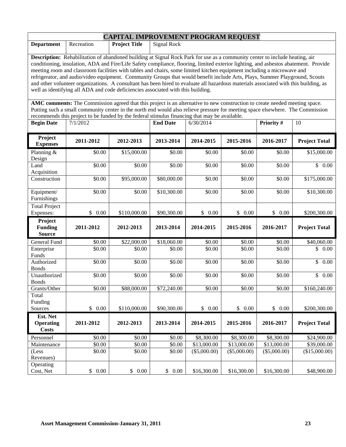|                                                                                                                                                                                                                                                                                                                                                                                                                                                                                                                                                                                                                                                                                                                                                         | <b>CAPITAL IMPROVEMENT PROGRAM REQUEST</b> |                      |                    |              |              |                |                      |  |
|---------------------------------------------------------------------------------------------------------------------------------------------------------------------------------------------------------------------------------------------------------------------------------------------------------------------------------------------------------------------------------------------------------------------------------------------------------------------------------------------------------------------------------------------------------------------------------------------------------------------------------------------------------------------------------------------------------------------------------------------------------|--------------------------------------------|----------------------|--------------------|--------------|--------------|----------------|----------------------|--|
| <b>Department</b>                                                                                                                                                                                                                                                                                                                                                                                                                                                                                                                                                                                                                                                                                                                                       | Recreation                                 | <b>Project Title</b> | <b>Signal Rock</b> |              |              |                |                      |  |
| Description: Rehabilitation of abandoned building at Signal Rock Park for use as a community center to include heating, air<br>conditioning, insulation, ADA and Fire/Life Safety compliance, flooring, limited exterior lighting, and asbestos abatement. Provide<br>meeting room and classroom facilities with tables and chairs, some limited kitchen equipment including a microwave and<br>refrigerator, and audio/video equipment. Community Groups that would benefit include Arts, Plays, Summer Playground, Scouts<br>and other volunteer organizations. A consultant has been hired to evaluate all hazardous materials associated with this building, as<br>well as identifying all ADA and code deficiencies associated with this building. |                                            |                      |                    |              |              |                |                      |  |
| AMC comments: The Commission agreed that this project is an alternative to new construction to create needed meeting space.<br>Putting such a small community center in the north end would also relieve pressure for meeting space elsewhere. The Commission<br>recommends this project to be funded by the federal stimulus financing that may be available.                                                                                                                                                                                                                                                                                                                                                                                          |                                            |                      |                    |              |              |                |                      |  |
| <b>Begin Date</b>                                                                                                                                                                                                                                                                                                                                                                                                                                                                                                                                                                                                                                                                                                                                       | 7/1/2012                                   |                      | <b>End Date</b>    | 6/30/2014    |              | Priority #     | 10                   |  |
| Project<br><b>Expenses</b>                                                                                                                                                                                                                                                                                                                                                                                                                                                                                                                                                                                                                                                                                                                              | 2011-2012                                  | 2012-2013            | 2013-2014          | 2014-2015    | 2015-2016    | 2016-2017      | <b>Project Total</b> |  |
| Planning &<br>Design                                                                                                                                                                                                                                                                                                                                                                                                                                                                                                                                                                                                                                                                                                                                    | \$0.00                                     | \$15,000.00          | \$0.00             | \$0.00       | \$0.00       | \$0.00         | \$15,000.00          |  |
| Land<br>Acquisition                                                                                                                                                                                                                                                                                                                                                                                                                                                                                                                                                                                                                                                                                                                                     | \$0.00                                     | \$0.00               | \$0.00             | \$0.00       | \$0.00       | \$0.00         | $\overline{\$}$ 0.00 |  |
| Construction                                                                                                                                                                                                                                                                                                                                                                                                                                                                                                                                                                                                                                                                                                                                            | \$0.00                                     | \$95,000.00          | \$80,000.00        | \$0.00       | \$0.00       | \$0.00         | \$175,000.00         |  |
| Equipment/<br>Furnishings                                                                                                                                                                                                                                                                                                                                                                                                                                                                                                                                                                                                                                                                                                                               | \$0.00                                     | \$0.00               | \$10,300.00        | \$0.00       | \$0.00       | \$0.00         | \$10,300.00          |  |
| <b>Total Project</b><br>Expenses:                                                                                                                                                                                                                                                                                                                                                                                                                                                                                                                                                                                                                                                                                                                       | \$0.00                                     | \$110,000.00         | \$90,300.00        | \$0.00       | \$0.00       | \$0.00         | \$200,300.00         |  |
| Project<br><b>Funding</b><br><b>Source</b>                                                                                                                                                                                                                                                                                                                                                                                                                                                                                                                                                                                                                                                                                                              | 2011-2012                                  | 2012-2013            | 2013-2014          | 2014-2015    | 2015-2016    | 2016-2017      | <b>Project Total</b> |  |
| General Fund                                                                                                                                                                                                                                                                                                                                                                                                                                                                                                                                                                                                                                                                                                                                            | \$0.00                                     | \$22,000.00          | \$18,060.00        | \$0.00       | \$0.00       | \$0.00         | \$40,060.00          |  |
| Enterprise<br>Funds                                                                                                                                                                                                                                                                                                                                                                                                                                                                                                                                                                                                                                                                                                                                     | \$0.00                                     | \$0.00               | \$0.00             | \$0.00       | \$0.00       | \$0.00         | \$<br>0.00           |  |
| Authorized<br><b>Bonds</b>                                                                                                                                                                                                                                                                                                                                                                                                                                                                                                                                                                                                                                                                                                                              | \$0.00                                     | \$0.00               | \$0.00             | \$0.00       | \$0.00       | \$0.00         | \$<br>0.00           |  |
| Unauthorized<br><b>Bonds</b>                                                                                                                                                                                                                                                                                                                                                                                                                                                                                                                                                                                                                                                                                                                            | \$0.00                                     | \$0.00               | \$0.00             | \$0.00       | \$0.00       | \$0.00         | \$<br>0.00           |  |
| Grants/Other                                                                                                                                                                                                                                                                                                                                                                                                                                                                                                                                                                                                                                                                                                                                            | \$0.00                                     | \$88,000.00          | \$72,240.00        | \$0.00       | \$0.00       | \$0.00         | \$160,240.00         |  |
| Total<br>Funding<br>Sources                                                                                                                                                                                                                                                                                                                                                                                                                                                                                                                                                                                                                                                                                                                             | \$<br>0.00                                 | \$110,000.00         | \$90,300.00        | \$0.00       | \$0.00       | \$<br>0.00     | \$200,300.00         |  |
| Est. Net                                                                                                                                                                                                                                                                                                                                                                                                                                                                                                                                                                                                                                                                                                                                                |                                            |                      |                    |              |              |                |                      |  |
| <b>Operating</b><br><b>Costs</b>                                                                                                                                                                                                                                                                                                                                                                                                                                                                                                                                                                                                                                                                                                                        | 2011-2012                                  | 2012-2013            | 2013-2014          | 2014-2015    | 2015-2016    | 2016-2017      | <b>Project Total</b> |  |
| Personnel                                                                                                                                                                                                                                                                                                                                                                                                                                                                                                                                                                                                                                                                                                                                               | \$0.00                                     | \$0.00               | \$0.00             | \$8,300.00   | \$8,300.00   | \$8,300.00     | \$24,900.00          |  |
| Maintenance                                                                                                                                                                                                                                                                                                                                                                                                                                                                                                                                                                                                                                                                                                                                             | \$0.00                                     | \$0.00               | \$0.00             | \$13,000.00  | \$13,000.00  | \$13,000.00    | \$39,000.00          |  |
| (Less<br>Revenues)                                                                                                                                                                                                                                                                                                                                                                                                                                                                                                                                                                                                                                                                                                                                      | \$0.00                                     | \$0.00               | \$0.00             | (\$5,000.00) | (\$5,000.00) | $(\$5,000.00)$ | (\$15,000.00)        |  |
| Operating<br>Cost, Net                                                                                                                                                                                                                                                                                                                                                                                                                                                                                                                                                                                                                                                                                                                                  | \$0.00                                     | \$0.00               | \$0.00             | \$16,300.00  | \$16,300.00  | \$16,300.00    | \$48,900.00          |  |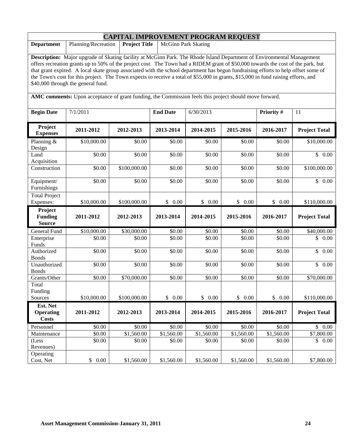| <b>CAPITAL IMPROVEMENT PROGRAM REQUEST</b>                                                                                                                                                                                                                                                                                                                                                                                                                                                                                                                                   |                     |                      |                            |                      |            |            |                      |
|------------------------------------------------------------------------------------------------------------------------------------------------------------------------------------------------------------------------------------------------------------------------------------------------------------------------------------------------------------------------------------------------------------------------------------------------------------------------------------------------------------------------------------------------------------------------------|---------------------|----------------------|----------------------------|----------------------|------------|------------|----------------------|
| <b>Department</b>                                                                                                                                                                                                                                                                                                                                                                                                                                                                                                                                                            | Planning/Recreation | <b>Project Title</b> | <b>McGinn Park Skating</b> |                      |            |            |                      |
| Description: Major upgrade of Skating facility at McGinn Park. The Rhode Island Department of Environmental Management<br>offers recreation grants up to 50% of the project cost. The Town had a RIDEM grant of \$50,000 towards the cost of the park, but<br>that grant expired. A local skate group associated with the school department has begun fundraising efforts to help offset some of<br>the Town's cost for this project. The Town expects to receive a total of \$55,000 in grants, \$15,000 in fund raising efforts, and<br>\$40,000 through the general fund. |                     |                      |                            |                      |            |            |                      |
| AMC comments: Upon acceptance of grant funding, the Commission feels this project should move forward.                                                                                                                                                                                                                                                                                                                                                                                                                                                                       |                     |                      |                            |                      |            |            |                      |
| <b>Begin Date</b>                                                                                                                                                                                                                                                                                                                                                                                                                                                                                                                                                            | 7/1/2011            |                      | <b>End Date</b>            | 6/30/2013            |            | Priority # | 11                   |
| Project<br><b>Expenses</b>                                                                                                                                                                                                                                                                                                                                                                                                                                                                                                                                                   | 2011-2012           | 2012-2013            | 2013-2014                  | 2014-2015            | 2015-2016  | 2016-2017  | <b>Project Total</b> |
| Planning &<br>Design                                                                                                                                                                                                                                                                                                                                                                                                                                                                                                                                                         | \$10,000.00         | \$0.00               | \$0.00                     | \$0.00               | \$0.00     | \$0.00     | \$10,000.00          |
| Land<br>Acquisition                                                                                                                                                                                                                                                                                                                                                                                                                                                                                                                                                          | \$0.00              | \$0.00               | \$0.00                     | $\overline{$}0.00$   | \$0.00     | \$0.00     | $\mathbb{S}$<br>0.00 |
| Construction                                                                                                                                                                                                                                                                                                                                                                                                                                                                                                                                                                 | \$0.00              | \$100,000.00         | \$0.00                     | \$0.00               | \$0.00     | \$0.00     | \$100,000.00         |
| Equipment/<br>Furnishings                                                                                                                                                                                                                                                                                                                                                                                                                                                                                                                                                    | \$0.00              | \$0.00               | \$0.00                     | \$0.00               | \$0.00     | \$0.00     | \$0.00               |
| <b>Total Project</b><br>Expenses:                                                                                                                                                                                                                                                                                                                                                                                                                                                                                                                                            | \$10,000.00         | \$100,000.00         | \$0.00                     | $\mathbb{S}$<br>0.00 | \$0.00     | \$0.00     | \$110,000.00         |
| Project<br><b>Funding</b><br><b>Source</b>                                                                                                                                                                                                                                                                                                                                                                                                                                                                                                                                   | 2011-2012           | 2012-2013            | 2013-2014                  | 2014-2015            | 2015-2016  | 2016-2017  | <b>Project Total</b> |
| General Fund                                                                                                                                                                                                                                                                                                                                                                                                                                                                                                                                                                 | \$10,000.00         | \$30,000.00          | \$0.00                     | \$0.00               | \$0.00     | \$0.00     | \$40,000.00          |
| Enterprise<br>Funds                                                                                                                                                                                                                                                                                                                                                                                                                                                                                                                                                          | \$0.00              | \$0.00               | \$0.00                     | \$0.00               | \$0.00     | \$0.00     | \$<br>0.00           |
| Authorized<br><b>Bonds</b>                                                                                                                                                                                                                                                                                                                                                                                                                                                                                                                                                   | \$0.00              | \$0.00               | \$0.00                     | \$0.00               | \$0.00     | \$0.00     | \$<br>0.00           |
| Unauthorized<br><b>Bonds</b>                                                                                                                                                                                                                                                                                                                                                                                                                                                                                                                                                 | \$0.00              | \$0.00               | \$0.00                     | \$0.00               | \$0.00     | \$0.00     | \$<br>0.00           |
| Grants/Other                                                                                                                                                                                                                                                                                                                                                                                                                                                                                                                                                                 | \$0.00              | \$70,000.00          | \$0.00                     | \$0.00               | \$0.00     | \$0.00     | \$70,000.00          |
| Total<br>Funding<br>Sources                                                                                                                                                                                                                                                                                                                                                                                                                                                                                                                                                  | \$10,000.00         | \$100,000.00         | \$0.00                     | \$0.00               | \$0.00     | \$0.00     | \$110,000.00         |
| Est. Net                                                                                                                                                                                                                                                                                                                                                                                                                                                                                                                                                                     |                     |                      |                            |                      |            |            |                      |
| <b>Operating</b><br><b>Costs</b>                                                                                                                                                                                                                                                                                                                                                                                                                                                                                                                                             | 2011-2012           | 2012-2013            | 2013-2014                  | 2014-2015            | 2015-2016  | 2016-2017  | <b>Project Total</b> |
| Personnel                                                                                                                                                                                                                                                                                                                                                                                                                                                                                                                                                                    | \$0.00              | \$0.00               | \$0.00                     | \$0.00               | \$0.00     | \$0.00     | $\$$ 0.00            |
| Maintenance                                                                                                                                                                                                                                                                                                                                                                                                                                                                                                                                                                  | \$0.00              | \$1,560.00           | \$1,560.00                 | \$1,560.00           | \$1,560.00 | \$1,560.00 | \$7,800.00           |
| (Less<br>Revenues)                                                                                                                                                                                                                                                                                                                                                                                                                                                                                                                                                           | \$0.00              | \$0.00               | \$0.00                     | \$0.00               | \$0.00     | \$0.00     | \$0.00               |
| Operating<br>Cost, Net                                                                                                                                                                                                                                                                                                                                                                                                                                                                                                                                                       | \$<br>0.00          | \$1,560.00           | \$1,560.00                 | \$1,560.00           | \$1,560.00 | \$1,560.00 | \$7,800.00           |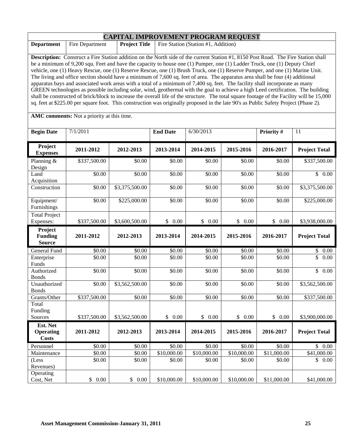|                                                                             | <b>CAPITAL IMPROVEMENT PROGRAM REQUEST</b>                                                                                                                                                                                                                                                                                                                                                                                                                                                                                                                                                                                                                                                                                                                                                                                                                                                                                                                                                                                                                                                   |                      |                 |                                     |             |             |                      |
|-----------------------------------------------------------------------------|----------------------------------------------------------------------------------------------------------------------------------------------------------------------------------------------------------------------------------------------------------------------------------------------------------------------------------------------------------------------------------------------------------------------------------------------------------------------------------------------------------------------------------------------------------------------------------------------------------------------------------------------------------------------------------------------------------------------------------------------------------------------------------------------------------------------------------------------------------------------------------------------------------------------------------------------------------------------------------------------------------------------------------------------------------------------------------------------|----------------------|-----------------|-------------------------------------|-------------|-------------|----------------------|
| <b>Department</b>                                                           | Fire Department                                                                                                                                                                                                                                                                                                                                                                                                                                                                                                                                                                                                                                                                                                                                                                                                                                                                                                                                                                                                                                                                              | <b>Project Title</b> |                 | Fire Station (Station #1, Addition) |             |             |                      |
|                                                                             | Description: Construct a Fire Station addition on the North side of the current Station #1, 8150 Post Road. The Fire Station shall<br>be a minimum of 9,200 squ. Feet and have the capacity to house one (1) Pumper, one (1) Ladder Truck, one (1) Deputy Chief<br>vehicle, one (1) Heavy Rescue, one (1) Reserve Rescue, one (1) Brush Truck, one (1) Reserve Pumper, and one (1) Marine Unit.<br>The living and office section should have a minimum of 7,600 sq. feet of area. The apparatus area shall be four (4) additional<br>apparatus bays and associated work areas with a total of a minimum of 7,400 sq. feet. The facility shall incorporate as many<br>GREEN technologies as possible including solar, wind, geothermal with the goal to achieve a high Leed certification. The building<br>shall be constructed of brick/block to increase the overall life of the structure. The total square footage of the Facility will be 15,000<br>sq. feet at \$225.00 per square foot. This construction was originally proposed in the late 90's as Public Safety Project (Phase 2). |                      |                 |                                     |             |             |                      |
| AMC comments: Not a priority at this time.<br><b>Begin Date</b><br>7/1/2011 |                                                                                                                                                                                                                                                                                                                                                                                                                                                                                                                                                                                                                                                                                                                                                                                                                                                                                                                                                                                                                                                                                              |                      | <b>End Date</b> | 6/30/2013                           |             | Priority #  | 11                   |
| Project<br><b>Expenses</b>                                                  | 2011-2012                                                                                                                                                                                                                                                                                                                                                                                                                                                                                                                                                                                                                                                                                                                                                                                                                                                                                                                                                                                                                                                                                    | 2012-2013            | 2013-2014       | 2014-2015                           | 2015-2016   | 2016-2017   | <b>Project Total</b> |
| Planning &<br>Design                                                        | \$337,500.00                                                                                                                                                                                                                                                                                                                                                                                                                                                                                                                                                                                                                                                                                                                                                                                                                                                                                                                                                                                                                                                                                 | \$0.00               | \$0.00          | \$0.00                              | \$0.00      | \$0.00      | \$337,500.00         |
| Land<br>Acquisition                                                         | \$0.00                                                                                                                                                                                                                                                                                                                                                                                                                                                                                                                                                                                                                                                                                                                                                                                                                                                                                                                                                                                                                                                                                       | \$0.00               | \$0.00          | \$0.00                              | \$0.00      | \$0.00      | \$0.00               |
| Construction                                                                | \$0.00                                                                                                                                                                                                                                                                                                                                                                                                                                                                                                                                                                                                                                                                                                                                                                                                                                                                                                                                                                                                                                                                                       | \$3,375,500.00       | \$0.00          | \$0.00                              | \$0.00      | \$0.00      | \$3,375,500.00       |
| Equipment/<br>Furnishings                                                   | \$0.00                                                                                                                                                                                                                                                                                                                                                                                                                                                                                                                                                                                                                                                                                                                                                                                                                                                                                                                                                                                                                                                                                       | \$225,000.00         | \$0.00          | \$0.00                              | \$0.00      | \$0.00      | \$225,000.00         |
| <b>Total Project</b><br>Expenses:                                           | \$337,500.00                                                                                                                                                                                                                                                                                                                                                                                                                                                                                                                                                                                                                                                                                                                                                                                                                                                                                                                                                                                                                                                                                 | \$3,600,500.00       | \$0.00          | \$0.00                              | \$0.00      | \$0.00      | \$3,938,000.00       |
| Project<br><b>Funding</b><br><b>Source</b>                                  | 2011-2012                                                                                                                                                                                                                                                                                                                                                                                                                                                                                                                                                                                                                                                                                                                                                                                                                                                                                                                                                                                                                                                                                    | 2012-2013            | 2013-2014       | 2014-2015                           | 2015-2016   | 2016-2017   | <b>Project Total</b> |
| General Fund                                                                | \$0.00                                                                                                                                                                                                                                                                                                                                                                                                                                                                                                                                                                                                                                                                                                                                                                                                                                                                                                                                                                                                                                                                                       | \$0.00               | \$0.00          | \$0.00                              | \$0.00      | \$0.00      | \$0.00               |
| Enterprise<br>Funds                                                         | \$0.00                                                                                                                                                                                                                                                                                                                                                                                                                                                                                                                                                                                                                                                                                                                                                                                                                                                                                                                                                                                                                                                                                       | \$0.00               | \$0.00          | \$0.00                              | \$0.00      | \$0.00      | \$<br>0.00           |
| Authorized<br><b>Bonds</b>                                                  | \$0.00                                                                                                                                                                                                                                                                                                                                                                                                                                                                                                                                                                                                                                                                                                                                                                                                                                                                                                                                                                                                                                                                                       | \$0.00               | \$0.00          | \$0.00                              | \$0.00      | \$0.00      | $\overline{\$}$ 0.00 |
| Unauthorized<br><b>Bonds</b>                                                | \$0.00                                                                                                                                                                                                                                                                                                                                                                                                                                                                                                                                                                                                                                                                                                                                                                                                                                                                                                                                                                                                                                                                                       | \$3,562,500.00       | \$0.00          | \$0.00                              | \$0.00      | \$0.00      | \$3,562,500.00       |
| Grants/Other                                                                | \$337,500.00                                                                                                                                                                                                                                                                                                                                                                                                                                                                                                                                                                                                                                                                                                                                                                                                                                                                                                                                                                                                                                                                                 | \$0.00               | \$0.00          | \$0.00                              | \$0.00      | \$0.00      | \$337,500.00         |
| Total<br>Funding                                                            |                                                                                                                                                                                                                                                                                                                                                                                                                                                                                                                                                                                                                                                                                                                                                                                                                                                                                                                                                                                                                                                                                              |                      |                 |                                     |             |             |                      |
| Sources                                                                     | \$337,500.00                                                                                                                                                                                                                                                                                                                                                                                                                                                                                                                                                                                                                                                                                                                                                                                                                                                                                                                                                                                                                                                                                 | \$3,562,500.00       | \$0.00          | \$0.00                              | \$0.00      | \$0.00      | \$3,900,000.00       |
| Est. Net<br><b>Operating</b><br><b>Costs</b>                                | 2011-2012                                                                                                                                                                                                                                                                                                                                                                                                                                                                                                                                                                                                                                                                                                                                                                                                                                                                                                                                                                                                                                                                                    | 2012-2013            | 2013-2014       | 2014-2015                           | 2015-2016   | 2016-2017   | <b>Project Total</b> |
| Personnel                                                                   | \$0.00                                                                                                                                                                                                                                                                                                                                                                                                                                                                                                                                                                                                                                                                                                                                                                                                                                                                                                                                                                                                                                                                                       | \$0.00               | \$0.00          | \$0.00                              | \$0.00      | \$0.00      | \$0.00               |
| Maintenance                                                                 | \$0.00                                                                                                                                                                                                                                                                                                                                                                                                                                                                                                                                                                                                                                                                                                                                                                                                                                                                                                                                                                                                                                                                                       | \$0.00               | \$10,000.00     | \$10,000.00                         | \$10,000.00 | \$11,000.00 | \$41,000.00          |
| (Less<br>Revenues)                                                          | \$0.00                                                                                                                                                                                                                                                                                                                                                                                                                                                                                                                                                                                                                                                                                                                                                                                                                                                                                                                                                                                                                                                                                       | \$0.00               | \$0.00          | \$0.00                              | \$0.00      | \$0.00      | \$0.00               |
| Operating<br>Cost, Net                                                      | \$0.00                                                                                                                                                                                                                                                                                                                                                                                                                                                                                                                                                                                                                                                                                                                                                                                                                                                                                                                                                                                                                                                                                       | \$0.00               | \$10,000.00     | \$10,000.00                         | \$10,000.00 | \$11,000.00 | \$41,000.00          |

r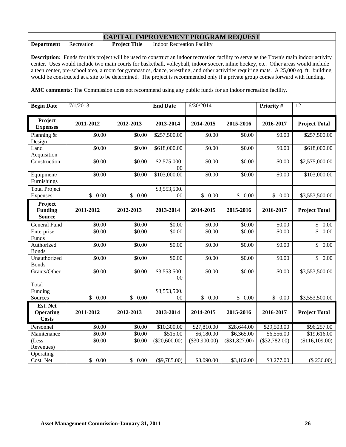| <b>CAPITAL IMPROVEMENT PROGRAM REQUEST</b>                                                                                                                                                                                                                                                                                                                                                                                                                                                                                                                          |            |                      |                                   |                 |                 |                 |                      |
|---------------------------------------------------------------------------------------------------------------------------------------------------------------------------------------------------------------------------------------------------------------------------------------------------------------------------------------------------------------------------------------------------------------------------------------------------------------------------------------------------------------------------------------------------------------------|------------|----------------------|-----------------------------------|-----------------|-----------------|-----------------|----------------------|
| <b>Department</b>                                                                                                                                                                                                                                                                                                                                                                                                                                                                                                                                                   | Recreation | <b>Project Title</b> | <b>Indoor Recreation Facility</b> |                 |                 |                 |                      |
| <b>Description:</b> Funds for this project will be used to construct an indoor recreation facility to serve as the Town's main indoor activity<br>center. Uses would include two main courts for basketball, volleyball, indoor soccer, inline hockey, etc. Other areas would include<br>a teen center, pre-school area, a room for gymnastics, dance, wrestling, and other activities requiring mats. A 25,000 sq. ft. building<br>would be constructed at a site to be determined. The project is recommended only if a private group comes forward with funding. |            |                      |                                   |                 |                 |                 |                      |
| AMC comments: The Commission does not recommend using any public funds for an indoor recreation facility.                                                                                                                                                                                                                                                                                                                                                                                                                                                           |            |                      |                                   |                 |                 |                 |                      |
| <b>Begin Date</b>                                                                                                                                                                                                                                                                                                                                                                                                                                                                                                                                                   | 7/1/2013   |                      | <b>End Date</b>                   | 6/30/2014       |                 | Priority #      | 12                   |
| Project<br><b>Expenses</b>                                                                                                                                                                                                                                                                                                                                                                                                                                                                                                                                          | 2011-2012  | 2012-2013            | 2013-2014                         | 2014-2015       | 2015-2016       | 2016-2017       | <b>Project Total</b> |
| Planning &<br>Design                                                                                                                                                                                                                                                                                                                                                                                                                                                                                                                                                | \$0.00     | \$0.00               | \$257,500.00                      | \$0.00          | \$0.00          | \$0.00          | \$257,500.00         |
| Land<br>Acquisition                                                                                                                                                                                                                                                                                                                                                                                                                                                                                                                                                 | \$0.00     | \$0.00               | \$618,000.00                      | \$0.00          | \$0.00          | \$0.00          | \$618,000.00         |
| Construction                                                                                                                                                                                                                                                                                                                                                                                                                                                                                                                                                        | \$0.00     | \$0.00               | \$2,575,000.<br>$00\,$            | \$0.00          | \$0.00          | \$0.00          | \$2,575,000.00       |
| Equipment/<br>Furnishings                                                                                                                                                                                                                                                                                                                                                                                                                                                                                                                                           | \$0.00     | \$0.00               | \$103,000.00                      | \$0.00          | \$0.00          | \$0.00          | \$103,000.00         |
| <b>Total Project</b><br>Expenses:                                                                                                                                                                                                                                                                                                                                                                                                                                                                                                                                   | \$0.00     | \$0.00               | \$3,553,500.<br>00                | \$0.00          | \$0.00          | \$<br>0.00      | \$3,553,500.00       |
|                                                                                                                                                                                                                                                                                                                                                                                                                                                                                                                                                                     |            |                      |                                   |                 |                 |                 |                      |
| Project<br><b>Funding</b><br><b>Source</b>                                                                                                                                                                                                                                                                                                                                                                                                                                                                                                                          | 2011-2012  | 2012-2013            | 2013-2014                         | 2014-2015       | 2015-2016       | 2016-2017       | <b>Project Total</b> |
| General Fund                                                                                                                                                                                                                                                                                                                                                                                                                                                                                                                                                        | \$0.00     | \$0.00               | \$0.00                            | \$0.00          | \$0.00          | \$0.00          | \$0.00               |
| Enterprise<br>Funds                                                                                                                                                                                                                                                                                                                                                                                                                                                                                                                                                 | \$0.00     | \$0.00               | \$0.00                            | \$0.00          | \$0.00          | \$0.00          | \$<br>0.00           |
| Authorized<br><b>Bonds</b>                                                                                                                                                                                                                                                                                                                                                                                                                                                                                                                                          | \$0.00     | \$0.00               | \$0.00                            | \$0.00          | \$0.00          | \$0.00          | \$<br>0.00           |
| Unauthorized<br><b>Bonds</b>                                                                                                                                                                                                                                                                                                                                                                                                                                                                                                                                        | \$0.00     | \$0.00               | \$0.00                            | \$0.00          | \$0.00          | \$0.00          | $\mathbb{S}$<br>0.00 |
| Grants/Other                                                                                                                                                                                                                                                                                                                                                                                                                                                                                                                                                        | \$0.00     | \$0.00               | \$3,553,500.<br>$00\,$            | \$0.00          | \$0.00          | \$0.00          | \$3,553,500.00       |
| Total<br>Funding<br>Sources                                                                                                                                                                                                                                                                                                                                                                                                                                                                                                                                         | \$0.00     | \$0.00               | \$3,553,500.<br>$00\,$            | \$0.00          | \$0.00          | \$0.00          | \$3,553,500.00       |
| Est. Net<br><b>Operating</b><br><b>Costs</b>                                                                                                                                                                                                                                                                                                                                                                                                                                                                                                                        | 2011-2012  | 2012-2013            | 2013-2014                         | 2014-2015       | 2015-2016       | 2016-2017       | <b>Project Total</b> |
| Personnel                                                                                                                                                                                                                                                                                                                                                                                                                                                                                                                                                           | \$0.00     | \$0.00               | \$10,300.00                       | \$27,810.00     | \$28,644.00     | \$29,503.00     | \$96,257.00          |
| Maintenance                                                                                                                                                                                                                                                                                                                                                                                                                                                                                                                                                         | \$0.00     | \$0.00               | \$515.00                          | \$6,180.00      | \$6,365.00      | \$6,556.00      | \$19,616.00          |
| (Less<br>Revenues)<br>Operating                                                                                                                                                                                                                                                                                                                                                                                                                                                                                                                                     | \$0.00     | \$0.00               | $(\$20,600.00)$                   | $(\$30,900.00)$ | $(\$31,827.00)$ | $(\$32,782.00)$ | (\$116,109.00)       |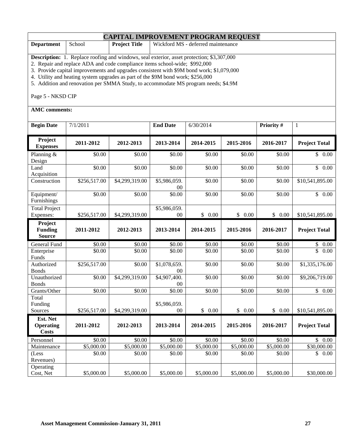|                   | <b>CAPITAL IMPROVEMENT PROGRAM REQUEST</b> |                      |                                    |  |  |  |  |
|-------------------|--------------------------------------------|----------------------|------------------------------------|--|--|--|--|
| <b>Department</b> | School                                     | <b>Project Title</b> | Wickford MS - deferred maintenance |  |  |  |  |
|                   |                                            |                      |                                    |  |  |  |  |

**Description:** 1. Replace roofing and windows, seal exterior, asset protection; \$3,307,000

2. Repair and replace ADA and code compliance items school-wide; \$992,000

3. Provide capital improvements and upgrades consistent with \$9M bond work; \$1,079,000

4. Utility and heating system upgrades as part of the \$9M bond work; \$256,000

5. Addition and renovation per SMMA Study, to accommodate MS program needs; \$4.9M

Page 5 - NKSD CIP

| <b>Begin Date</b>                            | 7/1/2011     |                | <b>End Date</b>    | 6/30/2014  |            | Priority # | $\mathbf{1}$                    |
|----------------------------------------------|--------------|----------------|--------------------|------------|------------|------------|---------------------------------|
| Project<br><b>Expenses</b>                   | 2011-2012    | 2012-2013      | 2013-2014          | 2014-2015  | 2015-2016  | 2016-2017  | <b>Project Total</b>            |
| Planning &<br>Design                         | \$0.00       | \$0.00         | \$0.00             | \$0.00     | \$0.00     | \$0.00     | \$0.00                          |
| Land<br>Acquisition                          | \$0.00       | \$0.00         | \$0.00             | \$0.00     | \$0.00     | \$0.00     | $\overline{\mathbb{S}}$<br>0.00 |
| Construction                                 | \$256,517.00 | \$4,299,319.00 | \$5,986,059.<br>00 | \$0.00     | \$0.00     | \$0.00     | \$10,541,895.00                 |
| Equipment/<br>Furnishings                    | \$0.00       | \$0.00         | \$0.00             | \$0.00     | \$0.00     | \$0.00     | \$0.00                          |
| <b>Total Project</b>                         |              |                | \$5,986,059.       |            |            |            |                                 |
| Expenses:                                    | \$256,517.00 | \$4,299,319.00 | 00                 | \$0.00     | \$0.00     | \$0.00     | \$10,541,895.00                 |
| Project<br><b>Funding</b><br><b>Source</b>   | 2011-2012    | 2012-2013      | 2013-2014          | 2014-2015  | 2015-2016  | 2016-2017  | <b>Project Total</b>            |
| <b>General Fund</b>                          | \$0.00       | \$0.00         | \$0.00             | \$0.00     | \$0.00     | \$0.00     | \$<br>$0.00\,$                  |
| Enterprise<br>Funds                          | \$0.00       | \$0.00         | \$0.00             | \$0.00     | \$0.00     | \$0.00     | $\overline{\mathbb{S}}$<br>0.00 |
| Authorized<br><b>Bonds</b>                   | \$256,517.00 | \$0.00         | \$1,078,659.<br>00 | \$0.00     | \$0.00     | \$0.00     | \$1,335,176.00                  |
| Unauthorized<br><b>Bonds</b>                 | \$0.00       | \$4,299,319.00 | \$4,907,400.<br>00 | \$0.00     | \$0.00     | \$0.00     | \$9,206,719.00                  |
| Grants/Other                                 | \$0.00       | \$0.00         | \$0.00             | \$0.00     | \$0.00     | \$0.00     | $\overline{\$}$ 0.00            |
| Total<br>Funding                             |              |                | \$5,986,059.       |            |            |            |                                 |
| Sources                                      | \$256,517.00 | \$4,299,319.00 | 00                 | \$0.00     | \$0.00     | \$0.00     | \$10,541,895.00                 |
| Est. Net<br><b>Operating</b><br><b>Costs</b> | 2011-2012    | 2012-2013      | 2013-2014          | 2014-2015  | 2015-2016  | 2016-2017  | <b>Project Total</b>            |
| Personnel                                    | \$0.00       | \$0.00         | \$0.00             | \$0.00     | \$0.00     | \$0.00     | $\mathbb{S}$<br>$0.00\,$        |
| Maintenance                                  | \$5,000.00   | \$5,000.00     | \$5,000.00         | \$5,000.00 | \$5,000.00 | \$5,000.00 | \$30,000.00                     |
| (Less<br>Revenues)                           | \$0.00       | \$0.00         | \$0.00             | \$0.00     | \$0.00     | \$0.00     | \$<br>0.00                      |
| Operating<br>Cost, Net                       | \$5,000.00   | \$5,000.00     | \$5,000.00         | \$5,000.00 | \$5,000.00 | \$5,000.00 | \$30,000.00                     |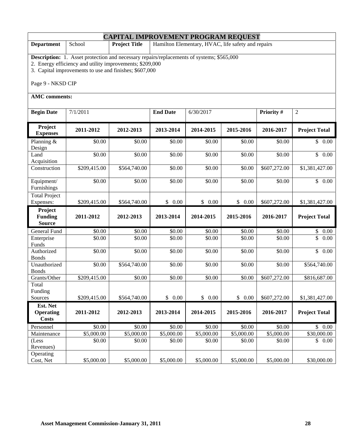| <b>CAPITAL IMPROVEMENT PROGRAM REQUEST</b> |                                                                                                                                                                                                                        |                      |                 |                                                    |            |              |                      |  |
|--------------------------------------------|------------------------------------------------------------------------------------------------------------------------------------------------------------------------------------------------------------------------|----------------------|-----------------|----------------------------------------------------|------------|--------------|----------------------|--|
| <b>Department</b>                          | School                                                                                                                                                                                                                 | <b>Project Title</b> |                 | Hamilton Elementary, HVAC, life safety and repairs |            |              |                      |  |
|                                            | <b>Description:</b> 1. Asset protection and necessary repairs/replacements of systems; \$565,000<br>2. Energy efficiency and utility improvements; \$209,000<br>3. Capital improvements to use and finishes; \$607,000 |                      |                 |                                                    |            |              |                      |  |
| Page 9 - NKSD CIP                          |                                                                                                                                                                                                                        |                      |                 |                                                    |            |              |                      |  |
| <b>AMC</b> comments:                       |                                                                                                                                                                                                                        |                      |                 |                                                    |            |              |                      |  |
| <b>Begin Date</b>                          | 7/1/2011                                                                                                                                                                                                               |                      | <b>End Date</b> | 6/30/2017                                          |            | Priority #   | $\overline{c}$       |  |
| Project<br><b>Expenses</b>                 | 2011-2012                                                                                                                                                                                                              | 2012-2013            | 2013-2014       | 2014-2015                                          | 2015-2016  | 2016-2017    | <b>Project Total</b> |  |
| Planning &<br>Design                       | \$0.00                                                                                                                                                                                                                 | \$0.00               | \$0.00          | \$0.00                                             | \$0.00     | \$0.00       | \$0.00               |  |
| Land<br>Acquisition                        | \$0.00                                                                                                                                                                                                                 | \$0.00               | \$0.00          | \$0.00                                             | \$0.00     | \$0.00       | $\frac{1}{2}$ 0.00   |  |
| Construction                               | \$209,415.00                                                                                                                                                                                                           | \$564,740.00         | \$0.00          | \$0.00                                             | \$0.00     | \$607,272.00 | \$1,381,427.00       |  |
| Equipment/<br>Furnishings                  | \$0.00                                                                                                                                                                                                                 | \$0.00               | \$0.00          | \$0.00                                             | \$0.00     | \$0.00       | $\mathbb{S}$<br>0.00 |  |
| <b>Total Project</b><br>Expenses:          | \$209,415.00                                                                                                                                                                                                           | \$564,740.00         | \$0.00          | \$0.00                                             | \$0.00     | \$607,272.00 | \$1,381,427.00       |  |
| Project<br><b>Funding</b><br><b>Source</b> | 2011-2012                                                                                                                                                                                                              | 2012-2013            | 2013-2014       | 2014-2015                                          | 2015-2016  | 2016-2017    | <b>Project Total</b> |  |
| General Fund                               | \$0.00                                                                                                                                                                                                                 | \$0.00               | \$0.00          | \$0.00                                             | \$0.00     | \$0.00       | $\mathbb{S}$<br>0.00 |  |
| Enterprise<br>Funds                        | \$0.00                                                                                                                                                                                                                 | \$0.00               | \$0.00          | \$0.00                                             | \$0.00     | \$0.00       | \$<br>0.00           |  |
| Authorized<br><b>Bonds</b>                 | \$0.00                                                                                                                                                                                                                 | \$0.00               | \$0.00          | \$0.00                                             | \$0.00     | \$0.00       | $\mathsf{S}$<br>0.00 |  |
| Unauthorized<br><b>Bonds</b>               | \$0.00                                                                                                                                                                                                                 | \$564,740.00         | \$0.00          | \$0.00                                             | \$0.00     | \$0.00       | \$564,740.00         |  |
| Grants/Other                               | \$209,415.00                                                                                                                                                                                                           | \$0.00               | \$0.00          | \$0.00                                             | \$0.00     | \$607,272.00 | \$816,687.00         |  |
| Total<br>Funding<br>Sources                | \$209,415.00                                                                                                                                                                                                           | \$564,740.00         | \$0.00          | \$0.00                                             | \$0.00     | \$607,272.00 | \$1,381,427.00       |  |
| Est. Net                                   |                                                                                                                                                                                                                        |                      |                 |                                                    |            |              |                      |  |
| <b>Operating</b><br><b>Costs</b>           | 2011-2012                                                                                                                                                                                                              | 2012-2013            | 2013-2014       | 2014-2015                                          | 2015-2016  | 2016-2017    | <b>Project Total</b> |  |
| Personnel                                  | \$0.00                                                                                                                                                                                                                 | \$0.00               | \$0.00          | \$0.00                                             | \$0.00     | \$0.00       | $$0.00$              |  |
| Maintenance                                | \$5,000.00                                                                                                                                                                                                             | \$5,000.00           | \$5,000.00      | \$5,000.00                                         | \$5,000.00 | \$5,000.00   | \$30,000.00          |  |
| (Less<br>Revenues)                         | \$0.00                                                                                                                                                                                                                 | \$0.00               | \$0.00          | \$0.00                                             | \$0.00     | \$0.00       | \$0.00               |  |
| Operating<br>Cost, Net                     | \$5,000.00                                                                                                                                                                                                             | \$5,000.00           | \$5,000.00      | \$5,000.00                                         | \$5,000.00 | \$5,000.00   | \$30,000.00          |  |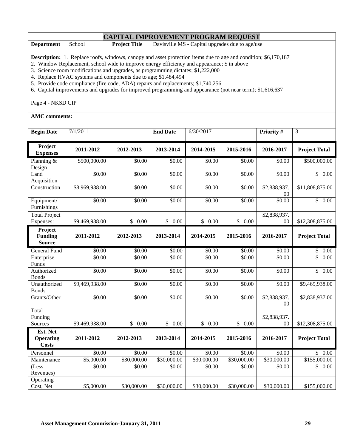| <b>CAPITAL IMPROVEMENT PROGRAM REQUEST</b> |               |                      |                                                 |  |  |  |
|--------------------------------------------|---------------|----------------------|-------------------------------------------------|--|--|--|
| <b>Department</b>                          | School School | <b>Project Title</b> | Davisville MS - Capital upgrades due to age/use |  |  |  |

**Description:** 1. Replace roofs, windows, canopy and asset protection items due to age and condition; \$6,170,187

2. Window Replacement, school wide to improve energy efficiency and appearance; \$ in above

3. Science room modifications and upgrades, as programming dictates; \$1,222,000

4. Replace HVAC systems and components due to age; \$1,484,494

5. Provide code compliance (fire code, ADA) repairs and replacements; \$1,740,256

6. Capital improvements and upgrades for improved programming and appearance (not near term); \$1,616,637

Page 4 - NKSD CIP

| <b>Begin Date</b>                            | 7/1/2011       |             | <b>End Date</b> | 6/30/2017   |                       | Priority #                     | 3                               |
|----------------------------------------------|----------------|-------------|-----------------|-------------|-----------------------|--------------------------------|---------------------------------|
| Project<br><b>Expenses</b>                   | 2011-2012      | 2012-2013   | 2013-2014       | 2014-2015   | 2015-2016             | 2016-2017                      | <b>Project Total</b>            |
| Planning &<br>Design                         | \$500,000.00   | \$0.00      | \$0.00          | \$0.00      | \$0.00                | \$0.00                         | \$500,000.00                    |
| Land<br>Acquisition                          | \$0.00         | \$0.00      | \$0.00          | \$0.00      | \$0.00                | $\overline{$}0.00$             | \$0.00                          |
| Construction                                 | \$8,969,938.00 | \$0.00      | \$0.00          | \$0.00      | \$0.00                | \$2,838,937.<br>$00\,$         | \$11,808,875.00                 |
| Equipment/<br>Furnishings                    | \$0.00         | \$0.00      | \$0.00          | \$0.00      | \$0.00                | \$0.00                         | $\overline{\mathbb{S}}$<br>0.00 |
| <b>Total Project</b><br>Expenses:            | \$9,469,938.00 | \$0.00      | \$<br>0.00      | \$0.00      | \$0.00                | \$2,838,937.<br>00             | \$12,308,875.00                 |
| Project<br><b>Funding</b><br><b>Source</b>   | 2011-2012      | 2012-2013   | 2013-2014       | 2014-2015   | 2015-2016             | 2016-2017                      | <b>Project Total</b>            |
| General Fund                                 | \$0.00         | \$0.00      | \$0.00          | \$0.00      | \$0.00                | \$0.00                         | \$<br>0.00                      |
| Enterprise<br>Funds                          | \$0.00         | \$0.00      | \$0.00          | \$0.00      | \$0.00                | \$0.00                         | \$<br>0.00                      |
| Authorized<br><b>Bonds</b>                   | \$0.00         | \$0.00      | \$0.00          | \$0.00      | \$0.00                | \$0.00                         | $\overline{\mathbb{S}}$<br>0.00 |
| Unauthorized<br><b>Bonds</b>                 | \$9,469,938.00 | \$0.00      | \$0.00          | \$0.00      | \$0.00                | \$0.00                         | \$9,469,938.00                  |
| Grants/Other                                 | \$0.00         | \$0.00      | \$0.00          | \$0.00      | \$0.00                | \$2,838,937.<br>0 <sup>0</sup> | \$2,838,937.00                  |
| Total<br>Funding<br>Sources                  | \$9,469,938.00 | \$<br>0.00  | \$<br>0.00      | \$0.00      | $\frac{1}{2}$<br>0.00 | \$2,838,937.<br>00             | \$12,308,875.00                 |
| Est. Net<br><b>Operating</b><br><b>Costs</b> | 2011-2012      | 2012-2013   | 2013-2014       | 2014-2015   | 2015-2016             | 2016-2017                      | <b>Project Total</b>            |
| Personnel                                    | \$0.00         | \$0.00      | \$0.00          | \$0.00      | \$0.00                | \$0.00                         | 0.00<br>$\mathbb{S}$            |
| Maintenance                                  | \$5,000.00     | \$30,000.00 | \$30,000.00     | \$30,000.00 | \$30,000.00           | \$30,000.00                    | \$155,000.00                    |
| (Less<br>Revenues)                           | \$0.00         | \$0.00      | \$0.00          | \$0.00      | \$0.00                | \$0.00                         | \$<br>0.00                      |
| Operating<br>Cost, Net                       | \$5,000.00     | \$30,000.00 | \$30,000.00     | \$30,000.00 | \$30,000.00           | \$30,000.00                    | \$155,000.00                    |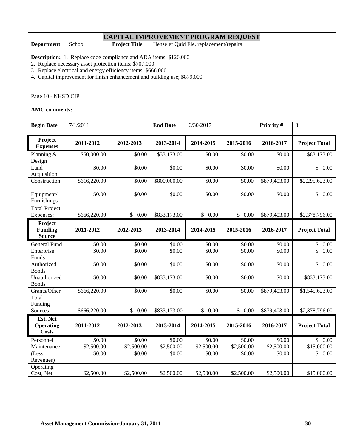|                                                                                                                                                                                                                                                                                                      | <b>CAPITAL IMPROVEMENT PROGRAM REQUEST</b> |                      |                 |                                        |            |              |                      |  |
|------------------------------------------------------------------------------------------------------------------------------------------------------------------------------------------------------------------------------------------------------------------------------------------------------|--------------------------------------------|----------------------|-----------------|----------------------------------------|------------|--------------|----------------------|--|
| <b>Department</b>                                                                                                                                                                                                                                                                                    | School                                     | <b>Project Title</b> |                 | Henseler Quid Ele, replacement/repairs |            |              |                      |  |
| <b>Description:</b> 1. Replace code compliance and ADA items; \$126,000<br>2. Replace necessary asset protection items; \$707,000<br>3. Replace electrical and energy efficiency items; \$666,000<br>4. Capital improvement for finish enhancement and building use; \$879,000<br>Page 10 - NKSD CIP |                                            |                      |                 |                                        |            |              |                      |  |
| <b>AMC</b> comments:                                                                                                                                                                                                                                                                                 |                                            |                      |                 |                                        |            |              |                      |  |
| <b>Begin Date</b>                                                                                                                                                                                                                                                                                    | 7/1/2011                                   |                      | <b>End Date</b> | 6/30/2017                              |            | Priority #   | $\overline{3}$       |  |
| Project<br><b>Expenses</b>                                                                                                                                                                                                                                                                           | 2011-2012                                  | 2012-2013            | 2013-2014       | 2014-2015                              | 2015-2016  | 2016-2017    | <b>Project Total</b> |  |
| Planning &<br>Design                                                                                                                                                                                                                                                                                 | \$50,000.00                                | \$0.00               | \$33,173.00     | \$0.00                                 | \$0.00     | \$0.00       | \$83,173.00          |  |
| Land<br>Acquisition                                                                                                                                                                                                                                                                                  | \$0.00                                     | \$0.00               | \$0.00          | \$0.00                                 | \$0.00     | \$0.00       | $\overline{\$}$ 0.00 |  |
| Construction                                                                                                                                                                                                                                                                                         | \$616,220.00                               | \$0.00               | \$800,000.00    | \$0.00                                 | \$0.00     | \$879,403.00 | \$2,295,623.00       |  |
| Equipment/<br>Furnishings                                                                                                                                                                                                                                                                            | \$0.00                                     | \$0.00               | \$0.00          | \$0.00                                 | \$0.00     | \$0.00       | \$<br>0.00           |  |
| <b>Total Project</b><br>Expenses:                                                                                                                                                                                                                                                                    | \$666,220.00                               | \$0.00               | \$833,173.00    | \$0.00                                 | \$0.00     | \$879,403.00 | \$2,378,796.00       |  |
| Project<br><b>Funding</b><br><b>Source</b>                                                                                                                                                                                                                                                           | 2011-2012                                  | 2012-2013            | 2013-2014       | 2014-2015                              | 2015-2016  | 2016-2017    | <b>Project Total</b> |  |
| General Fund                                                                                                                                                                                                                                                                                         | \$0.00                                     | \$0.00               | \$0.00          | \$0.00                                 | \$0.00     | \$0.00       | \$<br>0.00           |  |
| Enterprise<br>Funds                                                                                                                                                                                                                                                                                  | \$0.00                                     | \$0.00               | \$0.00          | \$0.00                                 | \$0.00     | \$0.00       | \$<br>0.00           |  |
| Authorized<br><b>Bonds</b>                                                                                                                                                                                                                                                                           | \$0.00                                     | \$0.00               | \$0.00          | \$0.00                                 | \$0.00     | \$0.00       | $\mathbb{S}$<br>0.00 |  |
| Unauthorized<br><b>Bonds</b>                                                                                                                                                                                                                                                                         | \$0.00                                     | \$0.00               | \$833,173.00    | \$0.00                                 | \$0.00     | \$0.00       | \$833,173.00         |  |
| Grants/Other                                                                                                                                                                                                                                                                                         | \$666,220.00                               | \$0.00               | \$0.00          | \$0.00                                 | \$0.00     | \$879,403.00 | \$1,545,623.00       |  |
| Total<br>Funding                                                                                                                                                                                                                                                                                     |                                            |                      |                 |                                        |            |              |                      |  |
| Sources                                                                                                                                                                                                                                                                                              | \$666,220.00                               | \$0.00               | \$833,173.00    | \$0.00                                 | \$0.00     | \$879,403.00 | \$2,378,796.00       |  |
| Est. Net<br><b>Operating</b><br><b>Costs</b>                                                                                                                                                                                                                                                         | 2011-2012                                  | 2012-2013            | 2013-2014       | 2014-2015                              | 2015-2016  | 2016-2017    | <b>Project Total</b> |  |
| Personnel                                                                                                                                                                                                                                                                                            | \$0.00                                     | \$0.00               | \$0.00          | $\overline{$}0.00$                     | \$0.00     | \$0.00       | \$0.00               |  |
| Maintenance                                                                                                                                                                                                                                                                                          | \$2,500.00                                 | \$2,500.00           | \$2,500.00      | \$2,500.00                             | \$2,500.00 | \$2,500.00   | \$15,000.00          |  |
| (Less<br>Revenues)                                                                                                                                                                                                                                                                                   | \$0.00                                     | \$0.00               | \$0.00          | \$0.00                                 | \$0.00     | \$0.00       | \$0.00               |  |
| Operating<br>Cost, Net                                                                                                                                                                                                                                                                               | \$2,500.00                                 | \$2,500.00           | \$2,500.00      | \$2,500.00                             | \$2,500.00 | \$2,500.00   | \$15,000.00          |  |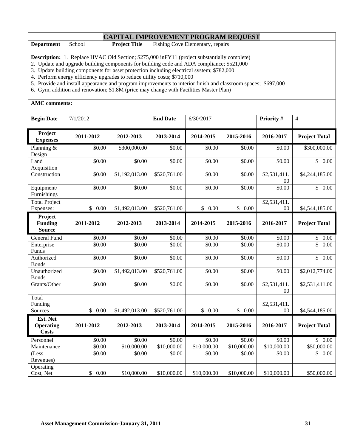#### **CAPITAL IMPROVEMENT PROGRAM REQUEST**

| <b>Depart</b><br>men | chool | <b>Title</b><br><b>Project</b><br> | $\mathbf{r}$<br>repairs<br><b>Hishing</b><br>±lementarv<br>`ove                                                                                                                                                                                                 |
|----------------------|-------|------------------------------------|-----------------------------------------------------------------------------------------------------------------------------------------------------------------------------------------------------------------------------------------------------------------|
|                      |       |                                    |                                                                                                                                                                                                                                                                 |
|                      |       |                                    | $\blacksquare$ . The contract of the contract of the contract of the contract of the contract of the contract of the contract of the contract of the contract of the contract of the contract of the contract of the contract of the<br>the control of the con- |

**Description:** 1. Replace HVAC Old Section; \$275,000 inFY11 (project substantially complete)

2. Update and upgrade building components for building code and ADA compliance; \$521,000

3. Update building components for asset protection including electrical system; \$782,000

4. Perform energy efficiency upgrades to reduce utility costs; \$710,000

5. Provide and install appearance and program improvements to interior finish and classroom spaces; \$697,000

6. Gym, addition and renovation; \$1.8M (price may change with Facilities Master Plan)

| <b>Begin Date</b>                            | 7/1/2012             |                | <b>End Date</b> | 6/30/2017   |                      | Priority #                     | $\overline{4}$                  |
|----------------------------------------------|----------------------|----------------|-----------------|-------------|----------------------|--------------------------------|---------------------------------|
| Project<br><b>Expenses</b>                   | 2011-2012            | 2012-2013      | 2013-2014       | 2014-2015   | 2015-2016            | 2016-2017                      | <b>Project Total</b>            |
| Planning &<br>Design                         | \$0.00               | \$300,000.00   | \$0.00          | \$0.00      | \$0.00               | \$0.00                         | \$300,000.00                    |
| Land<br>Acquisition                          | \$0.00               | \$0.00         | \$0.00          | \$0.00      | \$0.00               | \$0.00                         | \$0.00                          |
| Construction                                 | \$0.00               | \$1,192,013.00 | \$520,761.00    | \$0.00      | \$0.00               | \$2,531,411.<br>$00\,$         | \$4,244,185.00                  |
| Equipment/<br>Furnishings                    | \$0.00               | \$0.00         | \$0.00          | \$0.00      | \$0.00               | \$0.00                         | $\overline{\mathbb{S}}$<br>0.00 |
| <b>Total Project</b><br>Expenses:            | $\mathbb{S}$<br>0.00 | \$1,492,013.00 | \$520,761.00    | \$0.00      | $\mathbb{S}$<br>0.00 | \$2,531,411.<br>00             | \$4,544,185.00                  |
| Project<br><b>Funding</b><br><b>Source</b>   | 2011-2012            | 2012-2013      | 2013-2014       | 2014-2015   | 2015-2016            | 2016-2017                      | <b>Project Total</b>            |
| General Fund                                 | \$0.00               | \$0.00         | \$0.00          | \$0.00      | \$0.00               | \$0.00                         | \$<br>$0.00\,$                  |
| Enterprise<br>Funds                          | \$0.00               | \$0.00         | \$0.00          | \$0.00      | \$0.00               | \$0.00                         | $\overline{\mathbb{S}}$<br>0.00 |
| Authorized<br><b>Bonds</b>                   | \$0.00               | \$0.00         | \$0.00          | \$0.00      | \$0.00               | \$0.00                         | $\overline{\mathbb{S}}$<br>0.00 |
| Unauthorized<br><b>Bonds</b>                 | \$0.00               | \$1,492,013.00 | \$520,761.00    | \$0.00      | \$0.00               | \$0.00                         | \$2,012,774.00                  |
| Grants/Other                                 | \$0.00               | \$0.00         | \$0.00          | \$0.00      | \$0.00               | \$2,531,411.<br>0 <sup>0</sup> | $\overline{$2,531,411.00}$      |
| Total<br>Funding<br>Sources                  | \$0.00               | \$1,492,013.00 | \$520,761.00    | \$0.00      | \$0.00               | \$2,531,411.<br>0 <sup>0</sup> | \$4,544,185.00                  |
| Est. Net<br><b>Operating</b><br><b>Costs</b> | 2011-2012            | 2012-2013      | 2013-2014       | 2014-2015   | 2015-2016            | 2016-2017                      | <b>Project Total</b>            |
| Personnel                                    | \$0.00               | \$0.00         | \$0.00          | \$0.00      | \$0.00               | \$0.00                         | $\mathbb{S}$<br>$0.00\,$        |
| Maintenance                                  | \$0.00               | \$10,000.00    | \$10,000.00     | \$10,000.00 | \$10,000.00          | \$10,000.00                    | \$50,000.00                     |
| (Less<br>Revenues)                           | \$0.00               | \$0.00         | \$0.00          | \$0.00      | \$0.00               | \$0.00                         | \$<br>$0.00\,$                  |
| Operating<br>Cost, Net                       | \$<br>0.00           | \$10,000.00    | \$10,000.00     | \$10,000.00 | \$10,000.00          | \$10,000.00                    | \$50,000.00                     |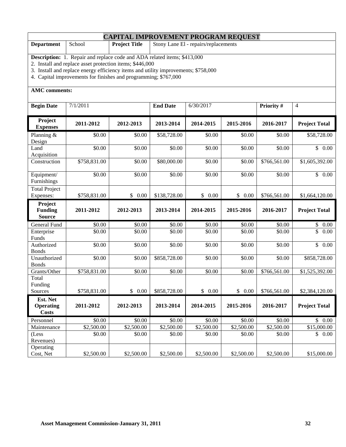|                                   |                                                                                                                                                       | <b>CAPITAL IMPROVEMENT PROGRAM REQUEST</b>                   |                    |            |            |                    |                      |  |
|-----------------------------------|-------------------------------------------------------------------------------------------------------------------------------------------------------|--------------------------------------------------------------|--------------------|------------|------------|--------------------|----------------------|--|
| <b>Department</b>                 | School                                                                                                                                                | <b>Project Title</b><br>Stony Lane El - repairs/replacements |                    |            |            |                    |                      |  |
|                                   | <b>Description:</b> 1. Repair and replace code and ADA related items; \$413,000                                                                       |                                                              |                    |            |            |                    |                      |  |
|                                   | 2. Install and replace asset protection items; \$446,000                                                                                              |                                                              |                    |            |            |                    |                      |  |
|                                   | 3. Install and replace energy efficiency items and utility improvements; \$758,000<br>4. Capital improvements for finishes and programming; \$767,000 |                                                              |                    |            |            |                    |                      |  |
|                                   |                                                                                                                                                       |                                                              |                    |            |            |                    |                      |  |
| <b>AMC</b> comments:              |                                                                                                                                                       |                                                              |                    |            |            |                    |                      |  |
| <b>Begin Date</b>                 | 7/1/2011                                                                                                                                              |                                                              | <b>End Date</b>    | 6/30/2017  |            | Priority #         | $\overline{4}$       |  |
| Project<br><b>Expenses</b>        | 2011-2012                                                                                                                                             | 2012-2013                                                    | 2013-2014          | 2014-2015  | 2015-2016  | 2016-2017          | <b>Project Total</b> |  |
| Planning &<br>Design              | \$0.00                                                                                                                                                | \$0.00                                                       | \$58,728.00        | \$0.00     | \$0.00     | \$0.00             | \$58,728.00          |  |
| Land<br>Acquisition               | \$0.00                                                                                                                                                | \$0.00                                                       | \$0.00             | \$0.00     | \$0.00     | \$0.00             | \$0.00               |  |
| Construction                      | \$758,831.00                                                                                                                                          | \$0.00                                                       | \$80,000.00        | \$0.00     | \$0.00     | \$766,561.00       | \$1,605,392.00       |  |
| Equipment/<br>Furnishings         | \$0.00                                                                                                                                                | \$0.00                                                       | \$0.00             | \$0.00     | \$0.00     | \$0.00             | \$0.00               |  |
| <b>Total Project</b><br>Expenses: | \$758,831.00                                                                                                                                          | \$0.00                                                       | \$138,728.00       | \$0.00     | \$0.00     | \$766,561.00       | \$1,664,120.00       |  |
| Project                           |                                                                                                                                                       |                                                              |                    |            |            |                    |                      |  |
| <b>Funding</b><br><b>Source</b>   | 2011-2012                                                                                                                                             | 2012-2013                                                    | 2013-2014          | 2014-2015  | 2015-2016  | 2016-2017          | <b>Project Total</b> |  |
| General Fund                      | \$0.00                                                                                                                                                | \$0.00                                                       | \$0.00             | \$0.00     | \$0.00     | \$0.00             | \$<br>$0.00\,$       |  |
| Enterprise                        | \$0.00                                                                                                                                                | \$0.00                                                       | $\overline{$}0.00$ | \$0.00     | \$0.00     | \$0.00             | \$<br>0.00           |  |
| Funds<br>Authorized               | \$0.00                                                                                                                                                | \$0.00                                                       | \$0.00             | \$0.00     | \$0.00     | $\overline{$}0.00$ | $\overline{\$}$ 0.00 |  |
| <b>Bonds</b>                      |                                                                                                                                                       |                                                              |                    |            |            |                    |                      |  |
| Unauthorized                      | \$0.00                                                                                                                                                | \$0.00                                                       | \$858,728.00       | \$0.00     | \$0.00     | \$0.00             | \$858,728.00         |  |
| <b>Bonds</b>                      |                                                                                                                                                       |                                                              |                    |            |            |                    |                      |  |
| Grants/Other                      | \$758,831.00                                                                                                                                          | \$0.00                                                       | \$0.00             | \$0.00     | \$0.00     | \$766,561.00       | \$1,525,392.00       |  |
| Total<br>Funding                  |                                                                                                                                                       |                                                              |                    |            |            |                    |                      |  |
| Sources                           | \$758,831.00                                                                                                                                          | \$0.00                                                       | \$858,728.00       | \$0.00     | \$0.00     | \$766,561.00       | \$2,384,120.00       |  |
| Est. Net                          |                                                                                                                                                       |                                                              |                    |            |            |                    |                      |  |
| <b>Operating</b><br><b>Costs</b>  | 2011-2012                                                                                                                                             | 2012-2013                                                    | 2013-2014          | 2014-2015  | 2015-2016  | 2016-2017          | <b>Project Total</b> |  |
| Personnel                         | \$0.00                                                                                                                                                | \$0.00                                                       | \$0.00             | \$0.00     | \$0.00     | \$0.00             | \$0.00               |  |
| Maintenance                       | \$2,500.00                                                                                                                                            | \$2,500.00                                                   | \$2,500.00         | \$2,500.00 | \$2,500.00 | \$2,500.00         | \$15,000.00          |  |
| (Less                             | \$0.00                                                                                                                                                | \$0.00                                                       | \$0.00             | \$0.00     | \$0.00     | \$0.00             | \$0.00               |  |
| Revenues)<br>Operating            |                                                                                                                                                       |                                                              |                    |            |            |                    |                      |  |
| Cost, Net                         | \$2,500.00                                                                                                                                            | \$2,500.00                                                   | \$2,500.00         | \$2,500.00 | \$2,500.00 | \$2,500.00         | \$15,000.00          |  |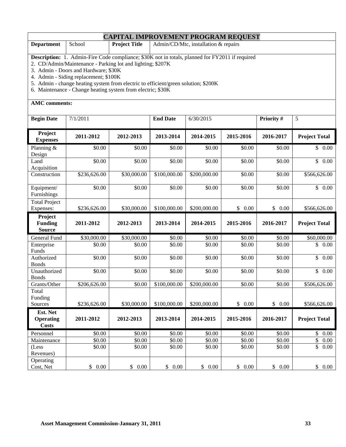| <b>CAPITAL IMPROVEMENT PROGRAM REQUEST</b>                                                             |        |                      |                                         |  |  |  |
|--------------------------------------------------------------------------------------------------------|--------|----------------------|-----------------------------------------|--|--|--|
| <b>Department</b>                                                                                      | School | <b>Project Title</b> | Admin/CD/Mtc, installation $\&$ repairs |  |  |  |
| <b>Description:</b> 1. Admin-Fire Code compliance; \$30K not in totals, planned for FY2011 if required |        |                      |                                         |  |  |  |

2. CD/Admin/Maintenance - Parking lot and lighting; \$207K

3. Admin - Doors and Hardware; \$30K

4. Admin - Siding replacement; \$100K

5. Admin - change heating system from electric to efficient/green solution; \$200K

6. Maintenance - Change heating system from electric; \$30K

| <b>Begin Date</b>                            | 7/1/2011             |             | <b>End Date</b> | 6/30/2015    |                      | Priority # | 5                               |
|----------------------------------------------|----------------------|-------------|-----------------|--------------|----------------------|------------|---------------------------------|
| Project<br><b>Expenses</b>                   | 2011-2012            | 2012-2013   | 2013-2014       | 2014-2015    | 2015-2016            | 2016-2017  | <b>Project Total</b>            |
| Planning $&$<br>Design                       | \$0.00               | \$0.00      | \$0.00          | \$0.00       | \$0.00               | \$0.00     | \$0.00                          |
| Land<br>Acquisition                          | \$0.00               | \$0.00      | \$0.00          | \$0.00       | \$0.00               | \$0.00     | $\mathbb{S}$<br>0.00            |
| Construction                                 | \$236,626.00         | \$30,000.00 | \$100,000.00    | \$200,000.00 | \$0.00               | \$0.00     | \$566,626.00                    |
| Equipment/<br>Furnishings                    | \$0.00               | \$0.00      | \$0.00          | \$0.00       | \$0.00               | \$0.00     | \$0.00                          |
| <b>Total Project</b><br>Expenses:            | \$236,626.00         | \$30,000.00 | \$100,000.00    | \$200,000.00 | \$0.00               | \$0.00     | \$566,626.00                    |
| Project<br><b>Funding</b><br><b>Source</b>   | 2011-2012            | 2012-2013   | 2013-2014       | 2014-2015    | 2015-2016            | 2016-2017  | <b>Project Total</b>            |
| General Fund                                 | \$30,000.00          | \$30,000.00 | \$0.00          | \$0.00       | \$0.00               | \$0.00     | \$60,000.00                     |
| Enterprise<br>Funds                          | \$0.00               | \$0.00      | \$0.00          | \$0.00       | \$0.00               | \$0.00     | \$<br>0.00                      |
| Authorized<br><b>Bonds</b>                   | \$0.00               | \$0.00      | \$0.00          | \$0.00       | \$0.00               | \$0.00     | 0.00<br>$\mathbb{S}$            |
| Unauthorized<br><b>Bonds</b>                 | \$0.00               | \$0.00      | \$0.00          | \$0.00       | \$0.00               | \$0.00     | $\overline{\mathbb{S}}$<br>0.00 |
| Grants/Other<br>Total                        | \$206,626.00         | \$0.00      | \$100,000.00    | \$200,000.00 | \$0.00               | \$0.00     | \$506,626.00                    |
| Funding<br>Sources                           | \$236,626.00         | \$30,000.00 | \$100,000.00    | \$200,000.00 | $\mathbb{S}$<br>0.00 | \$0.00     | \$566,626.00                    |
| Est. Net<br><b>Operating</b><br><b>Costs</b> | 2011-2012            | 2012-2013   | 2013-2014       | 2014-2015    | 2015-2016            | 2016-2017  | <b>Project Total</b>            |
| Personnel                                    | \$0.00               | \$0.00      | \$0.00          | \$0.00       | \$0.00               | \$0.00     | \$<br>0.00                      |
| Maintenance                                  | \$0.00               | \$0.00      | \$0.00          | \$0.00       | \$0.00               | \$0.00     | \$<br>0.00                      |
| (Less<br>Revenues)                           | \$0.00               | \$0.00      | \$0.00          | \$0.00       | \$0.00               | \$0.00     | \$<br>0.00                      |
| Operating<br>Cost, Net                       | 0.00<br>$\mathbb{S}$ | \$<br>0.00  | \$<br>0.00      | \$0.00       | $\mathbb{S}$<br>0.00 | \$0.00     | \$0.00                          |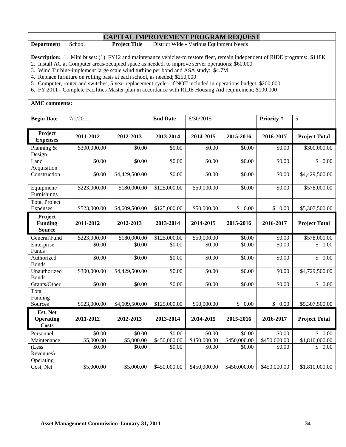#### **CAPITAL IMPROVEMENT PROGRAM REQUEST**

| <b>Department</b> | School | <b>Project Title</b> | District Wide - Various Equipment Needs |  |  |  |  |
|-------------------|--------|----------------------|-----------------------------------------|--|--|--|--|
|                   |        |                      |                                         |  |  |  |  |

**Description:** 1. Mini buses: (1) FY12 and maintenance vehicles-to restore fleet, remain independent of RIDE programs: \$118K

2. Install AC at Computer areas/occupied space as needed, to improve server operations; \$60,000

3. Wind Turbine-implement large scale wind turbine per bond and ASA study: \$4.7M

4. Replace furniture on rolling basis at each school, as needed; \$250,000

5. Computer, router and switches, 5 year replacement cycle - if NOT included in operations budget; \$200,000

6. FY 2011 - Complete Facilities Master plan in accordance with RIDE Housing Aid requirement; \$100,000

| <b>Begin Date</b>                            | 7/1/2011     |                | <b>End Date</b> | 6/30/2015    |                    | Priority #   | 5                               |
|----------------------------------------------|--------------|----------------|-----------------|--------------|--------------------|--------------|---------------------------------|
| Project<br><b>Expenses</b>                   | 2011-2012    | 2012-2013      | 2013-2014       | 2014-2015    | 2015-2016          | 2016-2017    | <b>Project Total</b>            |
| Planning &<br>Design                         | \$300,000.00 | \$0.00         | \$0.00          | \$0.00       | \$0.00             | \$0.00       | \$300,000.00                    |
| Land<br>Acquisition                          | \$0.00       | \$0.00         | \$0.00          | \$0.00       | \$0.00             | \$0.00       | \$0.00                          |
| Construction                                 | \$0.00       | \$4,429,500.00 | \$0.00          | \$0.00       | \$0.00             | \$0.00       | \$4,429,500.00                  |
| Equipment/<br>Furnishings                    | \$223,000.00 | \$180,000.00   | \$125,000.00    | \$50,000.00  | \$0.00             | \$0.00       | \$578,000.00                    |
| Total Project<br>Expenses:                   | \$523,000.00 | \$4,609,500.00 | \$125,000.00    | \$50,000.00  | \$0.00             | \$0.00       | \$5,307,500.00                  |
| Project<br><b>Funding</b><br><b>Source</b>   | 2011-2012    | 2012-2013      | 2013-2014       | 2014-2015    | 2015-2016          | 2016-2017    | <b>Project Total</b>            |
| General Fund                                 | \$223,000.00 | \$180,000.00   | \$125,000.00    | \$50,000.00  | \$0.00             | \$0.00       | \$578,000.00                    |
| Enterprise<br>Funds                          | \$0.00       | \$0.00         | \$0.00          | \$0.00       | $\overline{$}0.00$ | \$0.00       | $\overline{\mathbb{S}}$<br>0.00 |
| Authorized<br><b>Bonds</b>                   | \$0.00       | \$0.00         | \$0.00          | \$0.00       | \$0.00             | \$0.00       | \$<br>0.00                      |
| Unauthorized<br><b>Bonds</b>                 | \$300,000.00 | \$4,429,500.00 | \$0.00          | \$0.00       | \$0.00             | \$0.00       | \$4,729,500.00                  |
| Grants/Other                                 | \$0.00       | \$0.00         | \$0.00          | \$0.00       | \$0.00             | \$0.00       | \$0.00                          |
| Total<br>Funding                             |              |                |                 |              |                    |              |                                 |
| Sources                                      | \$523,000.00 | \$4,609,500.00 | \$125,000.00    | \$50,000.00  | \$0.00             | \$0.00       | \$5,307,500.00                  |
| Est. Net<br><b>Operating</b><br><b>Costs</b> | 2011-2012    | 2012-2013      | 2013-2014       | 2014-2015    | 2015-2016          | 2016-2017    | <b>Project Total</b>            |
| Personnel                                    | \$0.00       | \$0.00         | \$0.00          | \$0.00       | \$0.00             | \$0.00       | \$0.00                          |
| Maintenance                                  | \$5,000.00   | \$5,000.00     | \$450,000.00    | \$450,000.00 | \$450,000.00       | \$450,000.00 | \$1,810,000.00                  |
| (Less<br>Revenues)                           | \$0.00       | \$0.00         | \$0.00          | \$0.00       | \$0.00             | \$0.00       | \$<br>0.00                      |
| Operating<br>Cost, Net                       | \$5,000.00   | \$5,000.00     | \$450,000.00    | \$450,000.00 | \$450,000.00       | \$450,000.00 | \$1,810,000.00                  |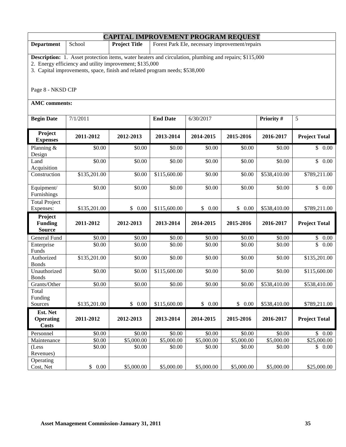| <b>CAPITAL IMPROVEMENT PROGRAM REQUEST</b>                                                                                                                                                                                                                                   |                                                                                  |            |                        |                  |            |              |                      |  |
|------------------------------------------------------------------------------------------------------------------------------------------------------------------------------------------------------------------------------------------------------------------------------|----------------------------------------------------------------------------------|------------|------------------------|------------------|------------|--------------|----------------------|--|
| <b>Department</b>                                                                                                                                                                                                                                                            | <b>Project Title</b><br>Forest Park Ele, necessary improvement/repairs<br>School |            |                        |                  |            |              |                      |  |
| <b>Description:</b> 1. Asset protection items, water heaters and circulation, plumbing and repairs; \$115,000<br>2. Energy efficiency and utility improvement; \$135,000<br>3. Capital improvements, space, finish and related program needs; \$538,000<br>Page 8 - NKSD CIP |                                                                                  |            |                        |                  |            |              |                      |  |
| <b>AMC</b> comments:                                                                                                                                                                                                                                                         |                                                                                  |            |                        |                  |            |              |                      |  |
| <b>Begin Date</b>                                                                                                                                                                                                                                                            | 7/1/2011                                                                         |            | <b>End Date</b>        | 6/30/2017        |            | Priority #   | 5                    |  |
| Project<br><b>Expenses</b>                                                                                                                                                                                                                                                   | 2011-2012                                                                        | 2012-2013  | 2013-2014              | 2014-2015        | 2015-2016  | 2016-2017    | <b>Project Total</b> |  |
| Planning &<br>Design                                                                                                                                                                                                                                                         | \$0.00                                                                           | \$0.00     | \$0.00                 | \$0.00           | \$0.00     | \$0.00       | \$0.00               |  |
| Land<br>Acquisition                                                                                                                                                                                                                                                          | \$0.00                                                                           | \$0.00     | \$0.00                 | \$0.00           | \$0.00     | \$0.00       | \$<br>0.00           |  |
| Construction                                                                                                                                                                                                                                                                 | \$135,201.00                                                                     | \$0.00     | \$115,600.00           | \$0.00           | \$0.00     | \$538,410.00 | \$789,211.00         |  |
| Equipment/<br>Furnishings                                                                                                                                                                                                                                                    | \$0.00                                                                           | \$0.00     | \$0.00                 | \$0.00<br>\$0.00 |            | \$0.00       | $\overline{\$}$ 0.00 |  |
| <b>Total Project</b><br>Expenses:                                                                                                                                                                                                                                            | \$135,201.00                                                                     | \$0.00     | \$115,600.00           | \$0.00           | \$0.00     | \$538,410.00 | \$789,211.00         |  |
| Project<br><b>Funding</b><br><b>Source</b>                                                                                                                                                                                                                                   | 2011-2012                                                                        | 2012-2013  | 2013-2014<br>2014-2015 |                  | 2015-2016  | 2016-2017    | <b>Project Total</b> |  |
| General Fund                                                                                                                                                                                                                                                                 | \$0.00                                                                           | \$0.00     | \$0.00                 | \$0.00           | \$0.00     | \$0.00       | \$<br>$0.00\,$       |  |
| Enterprise<br>Funds                                                                                                                                                                                                                                                          | \$0.00                                                                           | \$0.00     | \$0.00                 | \$0.00           | \$0.00     | \$0.00       | \$<br>0.00           |  |
| Authorized<br><b>Bonds</b>                                                                                                                                                                                                                                                   | \$135,201.00                                                                     | \$0.00     | \$0.00                 | \$0.00           | \$0.00     | \$0.00       | \$135,201.00         |  |
| Unauthorized<br><b>Bonds</b>                                                                                                                                                                                                                                                 | \$0.00                                                                           | \$0.00     | \$115,600.00           | \$0.00           | \$0.00     | \$0.00       | \$115,600.00         |  |
| Grants/Other                                                                                                                                                                                                                                                                 | \$0.00                                                                           | \$0.00     | \$0.00                 | \$0.00           | \$0.00     | \$538,410.00 | \$538,410.00         |  |
| Total<br>Funding                                                                                                                                                                                                                                                             |                                                                                  | \$0.00     |                        |                  | \$0.00     |              |                      |  |
| Sources                                                                                                                                                                                                                                                                      | \$135,201.00                                                                     |            | \$115,600.00           | \$0.00           |            | \$538,410.00 | \$789,211.00         |  |
| Est. Net<br><b>Operating</b><br><b>Costs</b>                                                                                                                                                                                                                                 | 2011-2012                                                                        | 2012-2013  | 2013-2014              | 2014-2015        | 2015-2016  | 2016-2017    | <b>Project Total</b> |  |
| Personnel                                                                                                                                                                                                                                                                    | \$0.00                                                                           | \$0.00     | \$0.00                 | \$0.00           | \$0.00     | \$0.00       | \$0.00               |  |
| Maintenance                                                                                                                                                                                                                                                                  | \$0.00                                                                           | \$5,000.00 | \$5,000.00             | \$5,000.00       | \$5,000.00 | \$5,000.00   | \$25,000.00          |  |
| (Less<br>Revenues)                                                                                                                                                                                                                                                           | \$0.00                                                                           | \$0.00     | \$0.00                 | \$0.00           | \$0.00     | \$0.00       | \$0.00               |  |
| Operating<br>Cost, Net                                                                                                                                                                                                                                                       | \$0.00                                                                           | \$5,000.00 | \$5,000.00             | \$5,000.00       | \$5,000.00 | \$5,000.00   | \$25,000.00          |  |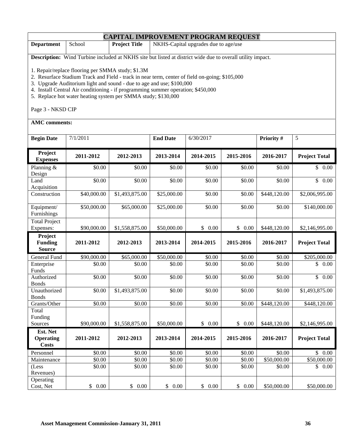| <b>CAPITAL IMPROVEMENT PROGRAM REQUEST</b> |        |                      |                                      |  |  |
|--------------------------------------------|--------|----------------------|--------------------------------------|--|--|
| <b>Department</b>                          | School | <b>Project Title</b> | NKHS-Capital upgrades due to age/use |  |  |
|                                            |        |                      |                                      |  |  |

**Description:** Wind Turbine included at NKHS site but listed at district wide due to overall utility impact.

1. Repair/replace flooring per SMMA study; \$1.3M

2. Resurface Stadium Track and Field - track in near term, center of field on-going; \$105,000

3. Upgrade Auditorium light and sound - due to age and use; \$100,000

4. Install Central Air conditioning - if programming summer operation; \$450,000

5. Replace hot water heating system per SMMA study; \$130,000

Page 3 - NKSD CIP

| <b>Begin Date</b>                            | 7/1/2011    |                         | <b>End Date</b> | 6/30/2017 | Priority #           |              | 5                               |  |
|----------------------------------------------|-------------|-------------------------|-----------------|-----------|----------------------|--------------|---------------------------------|--|
| Project<br><b>Expenses</b>                   | 2011-2012   | 2012-2013               | 2013-2014       | 2014-2015 | 2015-2016            | 2016-2017    | <b>Project Total</b>            |  |
| Planning &<br>Design                         | \$0.00      | \$0.00                  | \$0.00          | \$0.00    | \$0.00               | \$0.00       | \$0.00                          |  |
| Land<br>Acquisition                          | \$0.00      | \$0.00                  | \$0.00          | \$0.00    | \$0.00               | \$0.00       | $\overline{\mathbb{S}}$<br>0.00 |  |
| Construction                                 | \$40,000.00 | \$1,493,875.00          | \$25,000.00     | \$0.00    | \$0.00               | \$448,120.00 | \$2,006,995.00                  |  |
| Equipment/<br>Furnishings                    | \$50,000.00 | \$65,000.00             | \$25,000.00     | \$0.00    | \$0.00               | \$0.00       | \$140,000.00                    |  |
| <b>Total Project</b><br>Expenses:            | \$90,000.00 | \$1,558,875.00          | \$50,000.00     | \$0.00    | \$0.00               | \$448,120.00 | \$2,146,995.00                  |  |
| Project<br><b>Funding</b><br><b>Source</b>   | 2011-2012   | 2012-2013               | 2013-2014       | 2014-2015 | 2015-2016            | 2016-2017    | <b>Project Total</b>            |  |
| General Fund                                 | \$90,000.00 | $\overline{$65,000.00}$ | \$50,000.00     | \$0.00    | \$0.00               | \$0.00       | \$205,000.00                    |  |
| Enterprise<br>Funds                          | \$0.00      | \$0.00                  | \$0.00          | \$0.00    | \$0.00               | \$0.00       | \$<br>0.00                      |  |
| Authorized<br><b>Bonds</b>                   | \$0.00      | \$0.00                  | \$0.00          | \$0.00    | \$0.00               | \$0.00       | \$<br>0.00                      |  |
| Unauthorized<br><b>Bonds</b>                 | \$0.00      | \$1,493,875.00          | \$0.00          | \$0.00    | \$0.00               | \$0.00       | \$1,493,875.00                  |  |
| Grants/Other                                 | \$0.00      | \$0.00                  | \$0.00          | \$0.00    | \$0.00               | \$448,120.00 | \$448,120.00                    |  |
| Total<br>Funding                             |             |                         |                 |           |                      |              |                                 |  |
| Sources                                      | \$90,000.00 | \$1,558,875.00          | \$50,000.00     | \$0.00    | \$0.00               | \$448,120.00 | \$2,146,995.00                  |  |
| Est. Net<br><b>Operating</b><br><b>Costs</b> | 2011-2012   | 2012-2013               | 2013-2014       | 2014-2015 | 2015-2016            | 2016-2017    | <b>Project Total</b>            |  |
| Personnel                                    | \$0.00      | \$0.00                  | \$0.00          | \$0.00    | \$0.00               | \$0.00       | \$0.00                          |  |
| Maintenance                                  | \$0.00      | \$0.00                  | \$0.00          | \$0.00    | \$0.00               | \$50,000.00  | \$50,000.00                     |  |
| (Less<br>Revenues)                           | \$0.00      | \$0.00                  | \$0.00          | \$0.00    | \$0.00               | \$0.00       | \$<br>0.00                      |  |
| Operating<br>Cost, Net                       | \$0.00      | $\mathbb{S}$<br>0.00    | \$<br>0.00      | \$0.00    | $\mathbb{S}$<br>0.00 | \$50,000.00  | \$50,000.00                     |  |